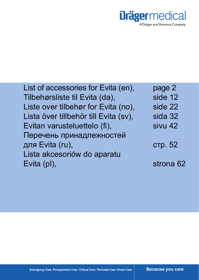

| List of accessories for Evita (en),   | page 2    |
|---------------------------------------|-----------|
| Tilbehørsliste til Evita (da),        | side 12   |
| Liste over tilbehør for Evita (no),   | side 22   |
| Lista över tillbehör till Evita (sv), | sida 32   |
| Evitan varusteluettelo (fi),          | sivu 42   |
| Перечень принадлежностей              |           |
| для Evita (ru),                       | стр. 52   |
| Lista akcesoriów do aparatu           |           |
| Evita (pl),                           | strona 62 |
|                                       |           |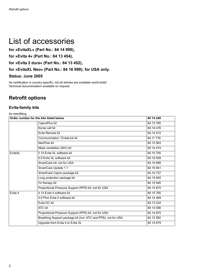# List of accessories

**for »EvitaXL« (Part No.: 84 14 999),**

**for »Evita 4« (Part No.: 84 13 454),**

**for »Evita 2 dura« (Part No.: 84 13 452),**

**for »EvitaXL Neo« (Part No.: 84 16 999); for USA only.**

### **Status: June 2005**

As certification is country-specific, not all articles are available world-wide! Technical documentation available on request.

# **Retrofit options**

### **Evita-family kits**

for retrofitting

| Order number for the kits listed below |                                                                | 84 14 240 |
|----------------------------------------|----------------------------------------------------------------|-----------|
|                                        | CapnoPlus kit                                                  | 84 13 780 |
|                                        | Nurse call kit                                                 | 84 14 476 |
|                                        | Evita Remote kit                                               | 84 14 472 |
|                                        | Communication / EvitaLink kit                                  | 84 11 735 |
|                                        | NeoFlow kit                                                    | 84 13 563 |
|                                        | Mask ventilation (NIV) kit                                     | 84 14 474 |
| EvitaXL                                | 5.10 Evita XL software kit                                     | 84 15 700 |
|                                        | 6.0 Evita XL software kit                                      | 84 15 939 |
|                                        | SmartCare kit; not for USA                                     | 84 15 699 |
|                                        | SmartCare Update 1.1                                           | 84 15 941 |
|                                        | SmartCare Capno package kit                                    | 84 15 737 |
|                                        | Lung protection package kit                                    | 84 15 945 |
|                                        | O <sub>2</sub> therapy kit                                     | 84 15 946 |
|                                        | Proportional Pressure Support (PPS) kit; not for USA           | 84 14 875 |
| Evita 4                                | 4.14 Evita 4 software kit                                      | 84 15 795 |
|                                        | 4.0 Plus Evita 4 software kit                                  | 84 14 469 |
|                                        | Evita DC kit                                                   | 84 13 034 |
|                                        | ATC kit                                                        | 84 14 556 |
|                                        | Proportional Pressure Support (PPS) kit; not for USA           | 84 14 875 |
|                                        | Breathing Support package kit (incl. ATC and PPS); not for USA | 84 13 562 |
|                                        | Upgrade from Evita 4 to Evita XL                               | 84 14 879 |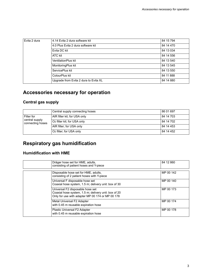| Evita 2 dura | 4.14 Evita 2 dura software kit        | 84 15 794 |
|--------------|---------------------------------------|-----------|
|              | 4.0 Plus Evita 2 dura software kit    | 84 14 470 |
|              | Evita DC kit                          | 84 13 034 |
|              | ATC kit                               | 84 14 556 |
|              | <b>VentilationPlus kit</b>            | 84 13 540 |
|              | MonitoringPlus kit                    | 84 13 545 |
|              | ServicePlus kit                       | 84 13 550 |
|              | ColourPlus kit                        | 84 11 888 |
|              | Upgrade from Evita 2 dura to Evita XL | 84 14 880 |

# **Accessories necessary for operation**

# **Central gas supply**

|                                                  | Central supply connecting hoses         | 86 01 697 |
|--------------------------------------------------|-----------------------------------------|-----------|
| Filter for<br>central supply<br>connecting hoses | AIR filter kit; for USA only            | 84 14 703 |
|                                                  | O <sub>2</sub> filter kit; for USA only | 84 14 702 |
|                                                  | AIR filter; for USA only                | 84 14 453 |
|                                                  | O <sub>2</sub> filter; for USA only     | 84 14 452 |

# **Respiratory gas humidification**

# **Humidification with HME**

|  | Dräger hose set for HME, adults,<br>consisting of patient hoses and Y-piece                                                                  | 84 12 860 |
|--|----------------------------------------------------------------------------------------------------------------------------------------------|-----------|
|  | Disposable hose set for HME, adults,<br>consisting of 2 patient hoses with Y-piece                                                           | MP 00 142 |
|  | Universal F disposable hose set<br>Coaxial hose system, 1.5 m; delivery unit: box of 30                                                      | MP 00 140 |
|  | Universal F2 disposable hose set<br>Coaxial hose system, 1.5 m; delivery unit: box of 20<br>Only for use with adapter MP 00 174 or MP 00 178 | MP 00 173 |
|  | Metal Universal F2 Adapter<br>with 0.45 m reusable expiration hose                                                                           | MP 00 174 |
|  | Plastic Universal F2 Adapter<br>with 0.45 m reusable expiration hose                                                                         | MP 00 178 |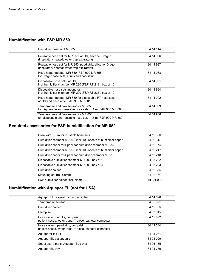# **Humidification with F&P MR 850**

|  | Humidifier basic unit MR 850                                                                              | 84 14 144 |
|--|-----------------------------------------------------------------------------------------------------------|-----------|
|  | Reusable hose set for MR 850, adults, silicone, Dräger<br>(inspiratory heated; water trap expiratory)     | 84 14 986 |
|  | Reusable hose set for MR 850, paediatric, silicone, Dräger<br>(inspiratory heated; water trap expiratory) | 84 14 987 |
|  | Hose heater adapter MR 850 (F&P 900 MR 858)<br>for Dräger hose sets, adults and paediatric                | 84 14 968 |
|  | Disposable hose sets, adults,<br>incl. humidifier chamber MR 290 (F&P RT 212), box of 10                  | 84 14 991 |
|  | Disposable hose sets, neonates,<br>incl. humidifier chamber MR 290 (F&P RT 225), box of 10                | 84 14 994 |
|  | Hose heater adapter MR 850 for disposable RT hose sets,<br>adults and paediatric (F&P 900 MR 801)         | 84 14 992 |
|  | Temperature and flow sensor for MR 850<br>for disposable and reusable hose sets, 1.1 m (F&P 900 MR 868)   | 84 14 989 |
|  | Temperature and flow sensor for MR 850<br>for disposable and reusable hose sets, 1.5 m (F&P 900 MR 869)   | 84 14 966 |

## **Required accessories for F&P humidification for MR 850**

| Draw wire 1.5 m for reusable hose sets                         | 84 11 050 |
|----------------------------------------------------------------|-----------|
| Humidifier chamber MR 340 incl. 100 sheets of humidifier paper | 84 11 047 |
| Humidifier paper refill pack for humidifier chamber MR 340     | 84 11 073 |
| Humidifier chamber MR 370 incl. 100 sheets of humidifier paper | 84 12 217 |
| Humidifier paper refill pack for humidifier chamber MR 370     | 84 12 218 |
| Disposable humidifier chamber MR 290, box of 10                | 84 18 282 |
| Disposable humidifier chamber MR 290, box of 40                | 84 18 283 |
| Humidifier holder                                              | 84 11 956 |
| Mounting set (rail clamp)                                      | 84 11 074 |
| F&P humidifier holder, incl. clamp                             | MP 01 002 |

# **Humidification with Aquapor EL (not for USA)**

|  | Aquapor EL respiratory gas humidifier                                                           | 84 14 698 |
|--|-------------------------------------------------------------------------------------------------|-----------|
|  | Temperature sensor                                                                              | 84 05 371 |
|  | Humidifier holder                                                                               | 84 11 956 |
|  | Clamp set                                                                                       | 84 03 345 |
|  | Hose system, adults, comprising:<br>patient hoses, water traps, Y-piece, catheter connector     | 84 12 092 |
|  | Hose system, paediatric, comprising:<br>patient hoses, water traps, Y-piece, catheter connector | 84 12 344 |
|  | Aguapor filling kit                                                                             | 84 05 031 |
|  | Aquapor EL patient part                                                                         | 84 05 029 |
|  | Set of spare parts, Aquapor EL cover                                                            | 84 06 135 |
|  | Aquapor EL tray                                                                                 | 84 04 739 |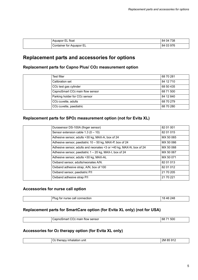|  | float<br>Aquapor<br>ᄔ       | 738<br>04<br>84              |
|--|-----------------------------|------------------------------|
|  | Aquapor EL<br>Container for | 976<br>റാ<br>84<br><b>UJ</b> |

# **Replacement parts and accessories for options**

## **Replacement parts for Capno Plus/ CO2 measurement option**

|  | <b>Test filter</b>                          | 68 70 281 |
|--|---------------------------------------------|-----------|
|  | Calibration set                             | 84 12 710 |
|  | CO <sub>2</sub> test gas cylinder           | 68 50 435 |
|  | CapnoSmart CO <sub>2</sub> main flow sensor | 68 71 500 |
|  | Parking holder for CO <sub>2</sub> sensor   | 84 12 840 |
|  | CO <sub>2</sub> cuvette, adults             | 68 70 279 |
|  | CO <sub>2</sub> cuvette, paediatric         | 68 70 280 |

# **Replacement parts for SPO2 measurement option (not for Evita XL)**

| Durasensor DS-100A (finger sensor)                                  | 82 01 001   |
|---------------------------------------------------------------------|-------------|
| Sensor extension cable $1.3(0 - 10)$                                | 82 01 015   |
| Adhesive sensor, adults >30 kg, MAX-A, box of 24                    | l MX 50 065 |
| Adhesive sensor, paediatric 10 - 50 kg, MAX-P, box of 24            | MX 50 066   |
| Adhesive sensor, adults and neonates <3 or >40 kg, MAX-N, box of 24 | l MX 50 068 |
| Adhesive sensor, paediatric 1 - 20 kg, MAX-I, box of 24             | l MX 50 067 |
| Adhesive sensor, adults > 30 kg, MAX-AL                             | MX 50 071   |
| Oxiband sensor, adults/neonates A/N.                                | 82 01 013   |
| Oxiband adhesive strap, A/N, box of 100                             | 82 01 012   |
| Oxiband sensor, paediatric P/I                                      | 21 70 205   |
| Oxiband adhesive strap P/I                                          | l 21 70 221 |

## **Accessories for nurse call option**

## **Replacement parts for SmartCare option (for Evita XL only) (not for USA)**

| CapnoSmart CO <sub>2</sub> main flow sensor | 68 71 500 |
|---------------------------------------------|-----------|

## **Accessories for O2 therapy option (for Evita XL only)**

| therapy<br>$\sim$<br>◡▵ | unit<br><b>Inhalation</b><br>. | 85.012<br>2M.<br><b>RE</b><br>.<br>ے ات |
|-------------------------|--------------------------------|-----------------------------------------|
|-------------------------|--------------------------------|-----------------------------------------|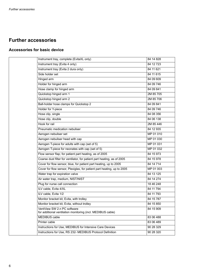# **Further accessories**

## **Accessories for basic device**

| Instrument tray, complete (EvitaXL only)                                                   | 84 14 828 |
|--------------------------------------------------------------------------------------------|-----------|
| Instrument tray (Evita 4 only)                                                             | 84 12 723 |
| Instrument tray (Evita 2 dura only)                                                        | 84 11 621 |
| Side holder set                                                                            | 84 11 615 |
| Hinged arm                                                                                 | 84 09 609 |
| Holder for hinged arm                                                                      | 84 09 746 |
| Hose clamp for hinged arm                                                                  | 84 09 841 |
| Quickstop hinged arm 1                                                                     | 2M 85 705 |
| Quickstop hinged arm 2                                                                     | 2M 85 706 |
| Ball-holder hose clamps for Quickstop 2                                                    | 84 09 841 |
| Holder for Y-piece                                                                         | 84 09 746 |
| Hose clip, single                                                                          | 84 08 356 |
| Hose clip, double                                                                          | 84 06 138 |
| Hook for rail                                                                              | 2M 85 446 |
| Pneumatic medication nebuliser                                                             | 84 12 935 |
| Aerogen nebuliser set                                                                      | MP 01 010 |
| Aerogen nebuliser head with cap                                                            | MP 01 030 |
| Aerogen T-piece for adults with cap (set of 5)                                             | MP 01 031 |
| Aerogen T-piece for neonates with cap (set of 5)                                           | MP 01 032 |
| Flow sensor flap; for patient part heating, as of 2005                                     | 84 15 973 |
| Coarse dust filter for ventilator, for patient part heating, as of 2005                    | 84 15 978 |
| Cover for flow sensor, blue, for patient part heating, up to 2005                          | 84 14 714 |
| Cover for flow sensor, Plexiglas, for patient part heating, up to 2005                     | MP 01 003 |
| Water trap for expiration valve                                                            | 84 13 125 |
| Air water trap, medium, NIST/NIST                                                          | 84 14 274 |
| Plug for nurse call connection                                                             | 18 46 248 |
| ILV cable, Evita 4/XL                                                                      | 84 11 794 |
| ILV cable, Evita 1/2                                                                       | 84 11 793 |
| Monitor bracket kit, Evita, with trolley                                                   | 84 15 787 |
| Monitor bracket kit, Evita, without trolley                                                | 84 15 850 |
| VentView SW 2.n PC software<br>for additional ventilation monitoring (incl. MEDIBUS cable) | 84 15 909 |
| MEDIBUS cable                                                                              | 83 06 488 |
| Printer cable                                                                              | 83 06 489 |
| Instructions for Use, MEDIBUS for Intensive Care Devices                                   | 90 28 329 |
| Instructions for Use, RS 232- MEDIBUS Protocol Definition                                  | 90 28 320 |
|                                                                                            |           |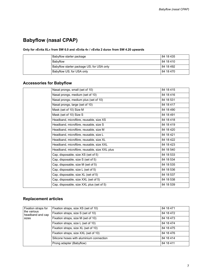# **Babyflow (nasal CPAP)**

#### **Only for »Evita XL« from SW 6.0 and »Evita 4« / »Evita 2 dura« from SW 4.20 upwards**

| Babyflow starter package                  | 84 18 435 |
|-------------------------------------------|-----------|
| Babyflow                                  | 84 18 410 |
| Babyflow starter package US; for USA only | 84 18 492 |
| Babyflow US; for USA only                 | 84 18 470 |

## **Accessories for Babyflow**

| Nasal prongs, small (set of 10)               | 84 18 415  |
|-----------------------------------------------|------------|
| Nasal prongs, medium (set of 10)              | 84 18 416  |
| Nasal prongs, medium plus (set of 10)         | 84 18 531  |
| Nasal prongs, large (set of 10)               | 84 18 417  |
| Mask (set of 10) Size M                       | 84 18 490  |
| Mask (set of 10) Size S                       | 84 18 491  |
| Headband, microfibre, reusable, size XS       | 84 18 4 18 |
| Headband, microfibre, reusable, size S        | 84 18 419  |
| Headband, microfibre, reusable, size M        | 84 18 4 20 |
| Headband, microfibre, reusable, size L        | 84 18 421  |
| Headband, microfibre, reusable, size XL       | 84 18 422  |
| Headband, microfibre, reusable, size XXL      | 84 18 423  |
| Headband, microfibre, reusable, size XXL plus | 84 18 540  |
| Cap, disposable, size XS (set of 5)           | 84 18 533  |
| Cap, disposable, size S (set of 5)            | 84 18 534  |
| Cap, disposable, size M (set of 5)            | 84 18 535  |
| Cap, disposable, size L (set of 5)            | 84 18 536  |
| Cap, disposable, size XL (set of 5)           | 84 18 537  |
| Cap, disposable, size XXL (set of 5)          | 84 18 538  |
| Cap, disposable, size XXL plus (set of 5)     | 84 18 539  |

# **Replacement articles**

| Fixation straps for<br>the various<br>headband and cap | Fixation straps, size XS (set of 10)     | 84 18 471 |
|--------------------------------------------------------|------------------------------------------|-----------|
|                                                        | Fixation straps, size S (set of 10)      | 84 18 472 |
| sizes                                                  | Fixation straps, size M (set of 10)      | 84 18 473 |
|                                                        | Fixation straps, size L (set of 10)      | 84 18 474 |
|                                                        | Fixation straps, size XL (set of 10)     | 84 18 475 |
|                                                        | Fixation straps, size XXL (set of 10)    | 84 18 476 |
|                                                        | Silicone hoses with aluminium connection | 84 18 414 |
|                                                        | Prong adapter (Babyflow)                 | 84 18 411 |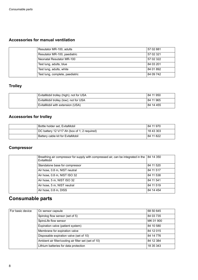## **Accessories for manual ventilation**

| Resutator MR-100, adults        | 57 02 881 |
|---------------------------------|-----------|
| Resutator MR-100, paediatric    | 57 02 321 |
| Neonatal Resutator MR-100       | 57 02 322 |
| Test lung, adults, blue         | 84 03 201 |
| Test lung, adults, white        | 84 01 892 |
| Test lung, complete, paediatric | 84 09 742 |

# **Trolley**

| EvitaMobil trolley (high); not for USA | 84 11 950 |
|----------------------------------------|-----------|
| EvitaMobil trolley (low); not for USA  | 84 11 965 |
| EvitaMobil with extension (USA)        | 84 14 455 |

# **Accessories for trolley**

| Bottle holder set, EvitaMobil                | 84 11 970 |
|----------------------------------------------|-----------|
| DC battery 12 V/17 Ah (box of 1; 2 required) | 18 43 303 |
| Battery cable kit for EvitaMobil             | 84 11 822 |

## **Compressor**

| Breathing air compressor for supply with compressed air, can be integrated in the  84 14 350<br>EvitaMobil |           |
|------------------------------------------------------------------------------------------------------------|-----------|
| Standalone base for compressor                                                                             | 84 11 520 |
| Air hose, 0.8 m, NIST neutral                                                                              | 84 11 517 |
| Air hose, 0.8 m, NIST ISO 32                                                                               | 84 11 538 |
| Air hose, 5 m, NIST ISO 32                                                                                 | 84 11 541 |
| Air hose, 5 m, NIST neutral                                                                                | 84 11 519 |
| Air hose, 0.8 m, DISS                                                                                      | 84 14 454 |

# **Consumable parts**

| For basic device | O <sub>2</sub> sensor capsule                         | 68 50 645 |
|------------------|-------------------------------------------------------|-----------|
|                  | Spirolog flow sensor (set of 5)                       | 84 03 735 |
|                  | SpiroLife flow sensor                                 | MK 01 900 |
|                  | Expiration valve (patient system)                     | 84 10 580 |
|                  | Membrane for expiration valve                         | 84 12 015 |
|                  | Disposable expiration valve (set of 10)               | 84 14 776 |
|                  | Ambient air filter/cooling air filter set (set of 10) | 84 12 384 |
|                  | Lithium batteries for data protection                 | 18 35 343 |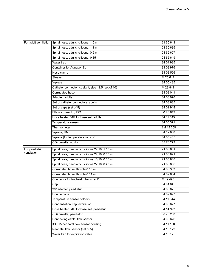|                | For adult ventilation Spiral hose, adults, silicone, 1.5 m | 21 65 643 |
|----------------|------------------------------------------------------------|-----------|
|                | Spiral hose, adults, silicone, 1.1 m                       | 21 65 635 |
|                | Spiral hose, adults, silicone, 0.6 m                       | 21 65 627 |
|                | Spiral hose, adults, silicone, 0.35 m                      | 21 65 619 |
|                | Water trap                                                 | 84 04 985 |
|                | Container for Aquapor EL                                   | 84 03 976 |
|                | Hose clamp                                                 | 84 03 566 |
|                | Sleeve                                                     | M 25 647  |
|                | Y-piece                                                    | 84 05 435 |
|                | Catheter connector, straight, size 12.5 (set of 10)        | M 23 841  |
|                | Corrugated hose                                            | 84 02 041 |
|                | Adapter, adults                                            | 84 03 076 |
|                | Set of catheter connectors, adults                         | 84 03 685 |
|                | Set of caps (set of 5)                                     | 84 02 918 |
|                | Elbow connector, ISO                                       | M 25 649  |
|                | Hose heater F&P for hose set, adults                       | 84 11 045 |
|                | Temperature sensor                                         | 84 05 371 |
|                | Thermometer                                                | 2M 13 259 |
|                | Y-piece, HME                                               | 84 12 888 |
|                | Y-piece (for temperature sensor)                           | 84 05 435 |
|                | CO <sub>2</sub> cuvette, adults                            | 68 70 279 |
| For paediatric | Spiral hose, paediatric, silicone 22/10, 1.10 m            | 21 65 651 |
| ventilation    | Spiral hose, paediatric, silicone 22/10, 0.60 m            | 21 65 821 |
|                | Spiral hose, paediatric, silicone 10/10, 0.60 m            | 21 65 848 |
|                | Spiral hose, paediatric, silicone 22/10, 0.40 m            | 21 65 856 |
|                | Corrugated hose, flexible 0.13 m                           | 84 03 333 |
|                | Corrugated hose, flexible 0.14 m                           | 84 09 634 |
|                | Connector for tracheal tube, size 11                       | M 19 490  |
|                | Cap                                                        | 84 01 645 |
|                | 90° adapter. paediatric                                    | 84 03 075 |
|                | Double cone                                                | 84 09 897 |
|                | Temperature sensor holders                                 | 84 11 044 |
|                | Condensation trap, expiration                              | 84 09 627 |
|                | Hose heater F&P for hose set, paediatric                   | 84 14 993 |
|                | CO <sub>2</sub> cuvette, paediatric                        | 68 70 280 |
|                | Connecting cable, flow sensor                              | 84 09 626 |
|                | ISO 15 neonatal flow sensor housing                        | 84 11 130 |
|                | Neonatal flow sensor (set of 5)                            | 84 10 179 |
|                | Water trap for expiration valve                            | 84 13 125 |
|                |                                                            |           |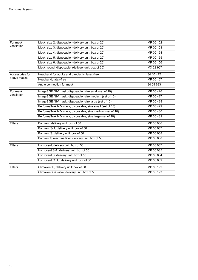| For mask<br>ventilation | Mask, size 2, disposable, (delivery unit: box of 20)       | MP 00 152 |
|-------------------------|------------------------------------------------------------|-----------|
|                         | Mask, size 3, disposable, (delivery unit: box of 20)       | MP 00 153 |
|                         | Mask, size 4, disposable, (delivery unit: box of 20)       | MP 00 154 |
|                         | Mask, size 5, disposable, (delivery unit: box of 20)       | MP 00 155 |
|                         | Mask, size 6, disposable, (delivery unit: box of 20)       | MP 00 156 |
|                         | Mask, round, disposable, (delivery unit: box of 20)        | MX 22 907 |
| Accessories for         | Headband for adults and paediatric, latex-free             | 84 10 472 |
| above masks             | Headband, latex-free                                       | MP 00 167 |
|                         | Angle connection for mask                                  | 84 09 683 |
| For mask                | Image3 SE NIV mask, disposable, size small (set of 10)     | MP 00 426 |
| ventilation             | Image3 SE NIV mask, disposable, size medium (set of 10)    | MP 00 427 |
|                         | Image3 SE NIV mask, disposable, size large (set of 10)     | MP 00 428 |
|                         | PerformaTrak NIV mask, disposable, size small (set of 10)  | MP 00 429 |
|                         | PerformaTrak NIV mask, disposable, size medium (set of 10) | MP 00 430 |
|                         | PerformaTrak NIV mask, disposable, size large (set of 10)  | MP 00 431 |
| <b>Filters</b>          | Barrvent, delivery unit: box of 50                         | MP 00 086 |
|                         | Barrvent S-A, delivery unit: box of 50                     | MP 00 087 |
|                         | Barrvent S, delivery unit: box of 50                       | MP 00 068 |
|                         | Barrvent S machine filter, delivery unit: box of 50        | MP 00 088 |
| Filters                 | Hygrovent, delivery unit: box of 50                        | MP 00 067 |
|                         | Hygrovent S-A, delivery unit: box of 50                    | MP 00 085 |
|                         | Hygrovent S, delivery unit: box of 50                      | MP 00 084 |
|                         | Hygrovent Child, delivery unit: box of 50                  | MP 00 089 |
| Filters                 | Climavent S, delivery unit: box of 50                      | MP 00 192 |
|                         | Climavent O2 valve, delivery unit: box of 50               | MP 00 193 |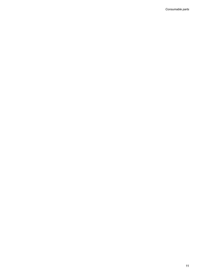*Consumable parts*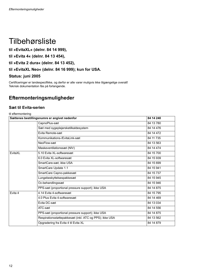# Tilbehørsliste

**til »EvitaXL« (delnr. 84 14 999),**

**til »Evita 4« (delnr. 84 13 454),**

**til »Evita 2 dura« (delnr. 84 13 452),**

**til »EvitaXL Neo« (delnr. 84 16 999); kun for USA.**

### **Status: juni 2005**

Certificeringer er landespecifikke, og derfor er alle varer muligvis ikke tilgængelige overalt! Teknisk dokumentation fås på forlangende.

# **Eftermonteringsmuligheder**

### **Sæt til Evita-serien**

| til eftermontering |
|--------------------|
|                    |
|                    |

| Sættenes bestillingsnumre er angivet nedenfor |                                                         | 84 14 240 |
|-----------------------------------------------|---------------------------------------------------------|-----------|
|                                               | CapnoPlus-sæt                                           | 84 13 780 |
|                                               | Sæt med sygeplejersketilkaldesystem                     | 84 14 476 |
|                                               | Fvita Remote-sæt                                        | 84 14 472 |
|                                               | Kommunikations-/EvitaLink-sæt                           | 84 11 735 |
|                                               | NeoFlow-sæt                                             | 84 13 563 |
|                                               | Maskeventilationssæt (NIV)                              | 84 14 474 |
| EvitaXL                                       | 5.10 Evita XL-softwaresæt                               | 84 15 700 |
|                                               | 6.0 Evita XL-softwaresæt                                | 84 15 939 |
|                                               | SmartCare-sæt; ikke USA                                 | 84 15 699 |
|                                               | SmartCare Update 1.1                                    | 84 15 941 |
|                                               | SmartCare Capno-pakkesæt                                | 84 15 737 |
|                                               | Lungebeskyttelsespakkesæt                               | 84 15 945 |
|                                               | O <sub>2</sub> -behandlingssæt                          | 84 15 946 |
|                                               | PPS-sæt (proportional pressure support); ikke USA       | 84 14 875 |
| Evita 4                                       | 4.14 Evita 4-softwaresæt                                | 84 15 795 |
|                                               | 4.0 Plus Evita 4-softwaresæt                            | 84 14 469 |
|                                               | Evita DC-sæt                                            | 84 13 034 |
|                                               | ATC-sæt                                                 | 84 14 556 |
|                                               | PPS-sæt (proportional pressure support); ikke USA       | 84 14 875 |
|                                               | Respirationsstøttepakkesæt (inkl. ATC og PPS); ikke USA | 84 13 562 |
|                                               | Opgradering fra Evita 4 til Evita XL                    | 84 14 879 |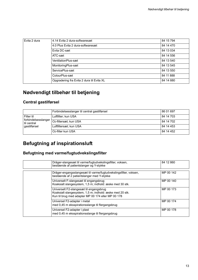| $\sqrt{\frac{1}{1}}$ Evita 2 dura | 4.14 Evita 2 dura-softwaresæt             | 84 15 794 |
|-----------------------------------|-------------------------------------------|-----------|
|                                   | 4.0 Plus Evita 2 dura-softwaresæt         | 84 14 470 |
|                                   | Evita DC-sæt                              | 84 13 034 |
|                                   | ATC-sæt                                   | 84 14 556 |
|                                   | VentilationPlus-sæt                       | 84 13 540 |
|                                   | MonitoringPlus-sæt                        | 84 13 545 |
|                                   | ServicePlus-sæt                           | 84 13 550 |
|                                   | ColourPlus-sæt                            | 84 11 888 |
|                                   | Opgradering fra Evita 2 dura til Evita XL | 84 14 880 |

# **Nødvendigt tilbehør til betjening**

# **Central gastilførsel**

|                                                                  | Forbindelsesslanger til central gastilførsel | 86 01 697 |
|------------------------------------------------------------------|----------------------------------------------|-----------|
| Filter til<br>forbindelsesslanger<br>til central<br>qastilførsel | Luftfilter; kun USA                          | 84 14 703 |
|                                                                  | O2-filtersæt: kun USA                        | 84 14 702 |
|                                                                  | Luftfiltersæt; kun USA                       | 84 14 453 |
|                                                                  | O <sub>2</sub> -filter kun USA               | 84 14 452 |

# **Befugtning af inspirationsluft**

# **Befugtning med varme/fugtudvekslingsfilter**

|  | Dräger-slangesæt til varme/fugtudvekslingsfilter, voksen,<br>bestående af patientslanger og Y-stykke                                                      | 84 12 860 |
|--|-----------------------------------------------------------------------------------------------------------------------------------------------------------|-----------|
|  | Dräger-engangsslangesæt til varme/fugtudvekslingsfilter, voksen,<br>bestående af 2 patientslanger med Y-stykke                                            | MP 00 142 |
|  | Universelt F-slangesæt til engangsbrug<br>Koaksialt slangesystem, 1,5 m; indhold: æske med 30 stk.                                                        | MP 00 140 |
|  | Universelt F2-slangesæt til engangsbrug<br>Koaksialt slangesystem, 1,5 m; indhold: æske med 20 stk.<br>Kun til brug med adapter MP 00 174 eller MP 00 178 | MP 00 173 |
|  | Universel F2-adapter i metal<br>med 0,45 m eksspirationsslange til flergangsbrug                                                                          | MP 00 174 |
|  | Universel F2-adapter i plast<br>med 0,45 m eksspirationsslange til flergangsbrug                                                                          | MP 00 178 |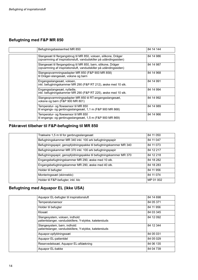# **Befugtning med F&P MR 850**

|  | Befugtningsbasisenhed MR 850                                                                                                          | 84 14 144 |
|--|---------------------------------------------------------------------------------------------------------------------------------------|-----------|
|  | Slangesæt til flergangsbrug til MR 850, voksen, silikone, Dräger<br>(opvarmning af inspirationsluft, vandudskiller på udåndingssiden) | 84 14 986 |
|  | Slangesæt til flergangsbrug til MR 850, børn, silikone, Dräger<br>(opvarmning af inspirationsluft, vandudskiller på udåndingssiden)   | 84 14 987 |
|  | Slangeopvarmningsadapter MR 850 (F&P 900 MR 858)<br>til Dräger-slangesæt, voksne og børn                                              | 84 14 968 |
|  | Engangsslangesæt, voksen,<br>inkl. befugtningskammer MR 290 (F&P RT 212), æske med 10 stk.                                            | 84 14 991 |
|  | Engangsslangesæt, nyfødte,<br>inkl. befugtningskammer MR 290 (F&P RT 225), æske med 10 stk.                                           | 84 14 994 |
|  | Slangeopvarmningsadapter MR 850 til RT-engangsslangesæt,<br>voksne og børn (F&P 900 MR 801)                                           | 84 14 992 |
|  | Temperatur- og flowsensor til MR 850<br>til engangs- og genbrugsslangesæt, 1,1 m (F&P 900 MR 868)                                     | 84 14 989 |
|  | Temperatur- og flowsensor til MR 850<br>til engangs- og genbrugsslangesæt, 1,5 m (F&P 900 MR 869)                                     | 84 14 966 |

# **Påkrævet tilbehør til F&P-befugtning til MR 850**

| Trækwire 1,5 m til for genbrugsslangesæt                           | 84 11 050 |
|--------------------------------------------------------------------|-----------|
| Befugtningskammer MR 340 inkl. 100 ark befugtningspapir            | 84 11 047 |
| Befugtningspapir, genopfyldningspakke til befugtningskammer MR 340 | 84 11 073 |
| Befugtningskammer MR 370 inkl. 100 ark befugtningspapir            | 84 12 217 |
| Befugtningspapir, genopfyldningspakke til befugtningskammer MR 370 | 84 12 218 |
| Engangsbefugtningskammer MR 290, æske med 10 stk.                  | 84 18 282 |
| Engangsbefugtningskammer MR 290, æske med 40 stk.                  | 84 18 283 |
| Holder til befugter                                                | 84 11 956 |
| Monteringssæt (skinneklo)                                          | 84 11 074 |
| Holder til F&P-befugter, inkl. klo                                 | MP 01 002 |

# **Befugtning med Aquapor EL (ikke USA)**

|  | Aquapor EL-befugter til inspirationsluft                                                 | 84 14 698 |
|--|------------------------------------------------------------------------------------------|-----------|
|  | Temperatursensor                                                                         | 84 05 371 |
|  | Holder til befugter                                                                      | 84 11 956 |
|  | Klosæt                                                                                   | 84 03 345 |
|  | Slangesystem, voksen, indhold:<br>patientslanger, vandudskillere, Y-stykke, kateterstuds | 84 12 092 |
|  | Slangesystem, børn, indhold:<br>patientslanger, vandudskillere, Y-stykke, kateterstuds   | 84 12 344 |
|  | Aquapor-opfyldningssæt                                                                   | 84 05 031 |
|  | Aguapor EL-patientdel                                                                    | 84 05 029 |
|  | Reservedelssæt, Aquapor EL-afdækning                                                     | 84 06 135 |
|  | Aguapor EL-bakke                                                                         | 84 04 739 |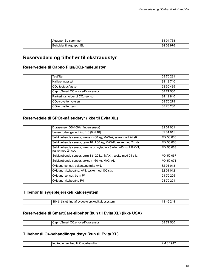|  | : EL-svømmer<br>Aquapor                                 | 738<br>04<br>-84 |
|--|---------------------------------------------------------|------------------|
|  | <br>$\overline{\phantom{a}}$<br>Beholder til Aquapor EL | 03 976<br>-84    |

# **Reservedele og tilbehør til ekstraudstyr**

### **Reservedele til Capno Plus/CO2-måleudstyr**

|  | <b>Testfilter</b>                | 68 70 281 |
|--|----------------------------------|-----------|
|  | Kalibreringssæt                  | 84 12 710 |
|  | CO <sub>2</sub> -testgasflaske   | 68 50 435 |
|  | CapnoSmart CO2-hovedflowsensor   | 68 71 500 |
|  | Parkeringsholder til CO2-sensor  | 84 12 840 |
|  | CO <sub>2</sub> -cuvette, voksen | 68 70 279 |
|  | CO <sub>2</sub> -cuvette, børn   | 68 70 280 |

## **Reservedele til SPO2-måleudstyr (ikke til Evita XL)**

|  | Durasensor DS-100A (fingersensor)                                                  | 82 01 001 |
|--|------------------------------------------------------------------------------------|-----------|
|  | Sensorforlængerledning 1,3 (0 til 10)                                              | 82 01 015 |
|  | Selvklæbende sensor, voksen > 30 kg, MAX-A, æske med 24 stk.                       | MX 50 065 |
|  | Selvklæbende sensor, børn 10 til 50 kg, MAX-P, æske med 24 stk.                    | MX 50 066 |
|  | Selvklæbende sensor, voksne og nyfødte <3 eller >40 kg, MAX-N,<br>æske med 24 stk. | MX 50 068 |
|  | Selvklæbende sensor, børn 1 til 20 kg, MAX-I, æske med 24 stk.                     | MX 50 067 |
|  | Selvklæbende sensor, voksen >30 kg, MAX-AL                                         | MX 50 071 |
|  | Oxiband-sensor, voksne/nyfødte A/N.                                                | 82 01 013 |
|  | Oxiband-klæbebånd, A/N, æske med 100 stk.                                          | 82 01 012 |
|  | Oxiband-sensor, børn P/I                                                           | 21 70 205 |
|  | Oxiband-klæbebånd P/I                                                              | 21 70 221 |

### **Tilbehør til sygeplejersketilkaldesystem**

| Stik til tilslutning af sygeplejersketilkaldesystem<br>ີ | } 46 248<br>18<br>$\sim$ |
|----------------------------------------------------------|--------------------------|

### **Reservedele til SmartCare-tilbehør (kun til Evita XL) (ikke USA)**

| CapnoSmart CO <sub>2</sub> -hovedflowsensor | 68 71 500 |
|---------------------------------------------|-----------|
|                                             |           |

### **Tilbehør til O2-behandlingsudstyr (kun til Evita XL)**

| ワハハ<br><br>סווונט<br>י זו<br>ш<br>.<br>$\cdot$ 1/ $\cdot$<br>. . |  |
|------------------------------------------------------------------|--|
|------------------------------------------------------------------|--|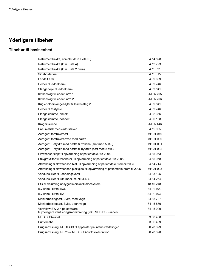# **Yderligere tilbehør**

## **Tilbehør til basisenhed**

| Instrumentbakke, komplet (kun EvitaXL)                                                       | 84 14 828 |
|----------------------------------------------------------------------------------------------|-----------|
| Instrumentbakke (kun Evita 4)                                                                | 84 12 723 |
| Instrumentbakke (kun Evita 2 dura)                                                           | 84 11 621 |
| Sideholdersæt                                                                                | 84 11 615 |
| Leddelt arm                                                                                  | 84 09 609 |
| Holder til leddelt arm                                                                       | 84 09 746 |
| Slangebøjle til leddelt arm                                                                  | 84 09 841 |
| Kvikbeslag til leddelt arm 1                                                                 | 2M 85 705 |
| Kvikbeslag til leddelt arm 2                                                                 | 2M 85 706 |
| Kugleholderslangebøjler til kvikbeslag 2                                                     | 84 09 841 |
| Holder til Y-stykke                                                                          | 84 09 746 |
| Slangeklemme, enkelt                                                                         | 84 08 356 |
| Slangeklemme, dobbelt                                                                        | 84 06 138 |
| Krog til skinne                                                                              | 2M 85 446 |
| Pneumatisk medicinforstøver                                                                  | 84 12 935 |
| Aerogent forstøversæt                                                                        | MP 01 010 |
| Aerogent forstøverhoved med hætte                                                            | MP 01 030 |
| Aerogent T-stykke med hætte til voksne (sæt med 5 stk.)                                      | MP 01 031 |
| Aerogent T-stykke med hætte til nyfødte (sæt med 5 stk.)                                     | MP 01 032 |
| Flowsensorklap; til opvarmning af patientdele, fra 2005                                      | 84 15 973 |
| Støvgrovfilter til respirator, til opvarmning af patientdele, fra 2005                       | 84 15 978 |
| Afdækning til flowsensor, blåt, til opvarmning af patientdele, frem til 2005                 | 84 14 714 |
| Afdækning til flowsensor, plexiglas, til opvarmning af patientdele, frem til 2005            | MP 01 003 |
| Vandudskiller til udåndingsventil                                                            | 84 13 125 |
| Vandudskiller til luft, medium, NIST/NIST                                                    | 84 14 274 |
| Stik til tilslutning af sygeplejersketilkaldesystem                                          | 18 46 248 |
| ILV-kabel, Evita 4/XL                                                                        | 84 11 794 |
| ILV-kabel, Evita 1/2                                                                         | 84 11 793 |
| Monitorbeslagsæt, Evita, med vogn                                                            | 84 15 787 |
| Monitorbeslagsæt, Evita, uden vogn                                                           | 84 15 850 |
| VentView SW 2.n-pc-software<br>til yderligere ventileringsmonitorering (inkl. MEDIBUS-kabel) | 84 15 909 |
| MEDIBUS-kabel                                                                                | 83 06 488 |
| Printerkabel                                                                                 | 83 06 489 |
| Brugsanvisning, MEDIBUS til apparater på intensivafdelinger                                  | 90 28 329 |
| Brugsanvisning, RS 232- MEDIBUS-protokoldefinition                                           | 90 28 320 |
|                                                                                              |           |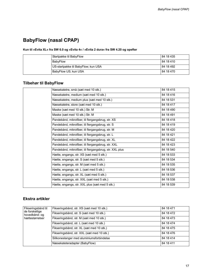# **BabyFlow (nasal CPAP)**

### **Kun til »Evita XL« fra SW 6.0 og »Evita 4« / »Evita 2 dura« fra SW 4.20 og opefter**

|  | Startpakke til BabyFlow             | 84 18 435 |
|--|-------------------------------------|-----------|
|  | BabyFlow                            | 84 18 410 |
|  | US-startpakke til BabyFlow; kun USA | 84 18 492 |
|  | BabyFlow US; kun USA                | 84 18 470 |

# **Tilbehør til BabyFlow**

| Næsekatetre, små (sæt med 10 stk.)                      | 84 18 415  |
|---------------------------------------------------------|------------|
| Næsekatetre, medium (sæt med 10 stk.)                   | 84 18 416  |
| Næsekatetre, medium plus (sæt med 10 stk.)              | 84 18 531  |
| Næsekatetre, store (sæt med 10 stk.)                    | 84 18 417  |
| Maske (sæt med 10 stk.) Str. M                          | 84 18 490  |
| Maske (sæt med 10 stk.) Str. M                          | 84 18 491  |
| Pandebånd, mikrofiber, til flergangsbrug, str. XS       | 84 18 418  |
| Pandebånd, mikrofiber, til flergangsbrug, str. S        | 84 18 419  |
| Pandebånd, mikrofiber, til flergangsbrug, str. M        | 84 18 4 20 |
| Pandebånd, mikrofiber, til flergangsbrug, str. L        | 84 18 421  |
| Pandebånd, mikrofiber, til flergangsbrug, str. XL       | 84 18 422  |
| Pandebånd, mikrofiber, til flergangsbrug, str. XXL      | 84 18 423  |
| Pandebånd, mikrofiber, til flergangsbrug, str. XXL plus | 84 18 540  |
| Hætte, engangs, str. XS (sæt med 5 stk.)                | 84 18 533  |
| Hætte, engangs, str. S (sæt med 5 stk.)                 | 84 18 534  |
| Hætte, engangs, str. M (sæt med 5 stk.)                 | 84 18 535  |
| Hætte, engangs, str. L (sæt med 5 stk.)                 | 84 18 536  |
| Hætte, engangs, str. XL (sæt med 5 stk.)                | 84 18 537  |
| Hætte, engangs, str. XXL (sæt med 5 stk.)               | 84 18 538  |
| Hætte, engangs, str. XXL plus (sæt med 5 stk.)          | 84 18 539  |
|                                                         |            |

## **Ekstra artikler**

| Fikseringsbånd til<br>de forskellige<br>hovedbånd- og | Fikseringsbånd, str. XS (sæt med 10 stk.)  | 84 18 471 |
|-------------------------------------------------------|--------------------------------------------|-----------|
|                                                       | Fikseringsbånd, str. S (sæt med 10 stk.)   | 84 18 472 |
| <b>hættestørrelser</b>                                | Fikseringsbånd, str. M (sæt med 10 stk.)   | 84 18 473 |
|                                                       | Fikseringsbånd, str. L (sæt med 10 stk.)   | 84 18 474 |
|                                                       | Fikseringsbånd, str. XL (sæt med 10 stk.)  | 84 18 475 |
|                                                       | Fikseringsbånd, str. XXL (sæt med 10 stk.) | 84 18 476 |
|                                                       | Silikoneslanger med aluminiumsforbindelse  | 84 18 414 |
|                                                       | Næsekateteradapter (BabyFlow)              | 84 18 411 |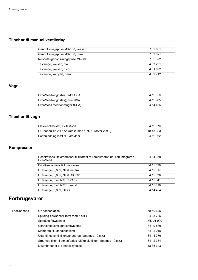# **Tilbehør til manuel ventilering**

| Genoplivningspose MR-100, voksen  | 57 02 881 |
|-----------------------------------|-----------|
| Genoplivningspose MR-100, børn    | 57 02 321 |
| Neonatal-genoplivningspose MR-100 | 57 02 322 |
| Testlunge, voksen, blå            | 84 03 201 |
| Testlunge, voksen, hvid           | 84 01 892 |
| Testlunge, komplet, børn          | 84 09 742 |

# **Vogn**

|  | EvitaMobil-vogn (høj); ikke USA | 84 11 950 |
|--|---------------------------------|-----------|
|  | EvitaMobil-vogn (lav); ikke USA | 84 11 965 |
|  | EvitaMobil med forlænger (USA)  | 84 14 455 |

# **Tilbehør til vogn**

| Flaskeholdersæt, EvitaMobil                            | 84 11 970   |
|--------------------------------------------------------|-------------|
| DC-batteri 12 V/17 Ah (æske med 1 stk.; kræver 2 stk.) | 18 43 303   |
| Batteriledningssæt til EvitaMobil                      | l 84 11 822 |

# **Kompressor**

|  | Respirationsluftkompressor til tilførsel af komprimeret luft, kan integreres i<br>EvitaMobil | 84 14 350   |
|--|----------------------------------------------------------------------------------------------|-------------|
|  | Fritstående base til kompressor                                                              | l 84 11 520 |
|  | Luftslange, 0,8 m, NIST neutral                                                              | 84 11 517   |
|  | Luftslange, 0,8 m, NIST ISO 32                                                               | 84 11 538   |
|  | Luftslange, 5 m, NIST ISO 32                                                                 | 84 11 541   |
|  | Luftslange, 5 m, NIST neutral                                                                | 84 11 519   |
|  | Luftslange, 0,8 m, DISS                                                                      | 84 14 454   |

# **Forbrugsvarer**

| Til basisenhed | O <sub>2</sub> -sensorkapsel                                         | 68 50 645 |
|----------------|----------------------------------------------------------------------|-----------|
|                | Spirolog-flowsensor (sæt med 5 stk.)                                 | 84 03 735 |
|                | SpiroLife-flowsensor                                                 | MK 01 900 |
|                | Udåndingsventil (patientsystem)                                      | 84 10 580 |
|                | Membran til udåndingsventil                                          | 84 12 015 |
|                | Udåndingsventil til engangsbrug (sæt med 10 stk.)                    | 84 14 776 |
|                | Sæt med filter til atmosfærisk luft/køleluftfilter (sæt med 10 stk.) | 84 12 384 |
|                | Litiumbatterier til databeskyttelse                                  | 18 35 343 |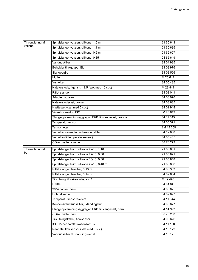| Til ventilering af<br>voksne | Spiralslange, voksen, silikone, 1,5 m                 | 21 65 643 |
|------------------------------|-------------------------------------------------------|-----------|
|                              | Spiralslange, voksen, silikone, 1,1 m                 | 21 65 635 |
|                              | Spiralslange, voksen, silikone, 0,6 m                 | 21 65 627 |
|                              | Spiralslange, voksen, silikone, 0,35 m                | 21 65 619 |
|                              | Vandudskiller                                         | 84 04 985 |
|                              | Beholder til Aquapor EL                               | 84 03 976 |
|                              | Slangebøjle                                           | 84 03 566 |
|                              | Muffe                                                 | M 25 647  |
|                              | Y-stykke                                              | 84 05 435 |
|                              | Kateterstuds, lige, str. 12,5 (sæt med 10 stk.)       | M 23 841  |
|                              | Riflet slange                                         | 84 02 041 |
|                              | Adapter, voksen                                       | 84 03 076 |
|                              | Kateterstudssæt, voksen                               | 84 03 685 |
|                              | Hættesæt (sæt med 5 stk.)                             | 84 02 918 |
|                              | Vinkelkonnektor, ISO                                  | M 25 649  |
|                              | Slangeopvarmningsaggregat, F&P, til slangesæt, voksne | 84 11 045 |
|                              | Temperatursensor                                      | 84 05 371 |
|                              | <b>Termometer</b>                                     | 2M 13 259 |
|                              | Y-stykke, varme/fugtudvekslingsfilter                 | 84 12 888 |
|                              | Y-stykke (til temperatursensor)                       | 84 05 435 |
|                              | CO <sub>2</sub> -cuvette, voksne                      | 68 70 279 |
| Til ventilering af           | Spiralslange, børn, silikone 22/10, 1,10 m            | 21 65 651 |
| børn                         | Spiralslange, børn, silikone 22/10, 0,60 m            | 21 65 821 |
|                              | Spiralslange, børn, silikone 10/10, 0,60 m            | 21 65 848 |
|                              | Spiralslange, børn, silikone 22/10, 0,40 m            | 21 65 856 |
|                              | Riflet slange, fleksibel, 0,13 m                      | 84 03 333 |
|                              | Riflet slange, fleksibel, 0,14 m                      | 84 09 634 |
|                              | Tilslutning til trakealtube, str. 11                  | M 19 490  |
|                              | Hætte                                                 | 84 01 645 |
|                              | 90°-adapter, børn                                     | 84 03 075 |
|                              | Dobbeltkegle                                          | 84 09 897 |
|                              | Temperatursensorholdere                               | 84 11 044 |
|                              | Kondensvandsudskiller, udåndingsluft                  | 84 09 627 |
|                              | Slangeopvarmningsaggregat, F&P, til slangesæt, børn   | 84 14 993 |
|                              | CO <sub>2</sub> -cuvette, børn                        | 68 70 280 |
|                              | Tilslutningskabel, flowsensor                         | 84 09 626 |
|                              | ISO 15 neonatalt flowsensorhus                        | 84 11 130 |
|                              | Neonatal flowsensor (sæt med 5 stk.)                  | 84 10 179 |
|                              | Vandudskiller til udåndingsventil                     | 84 13 125 |
|                              |                                                       |           |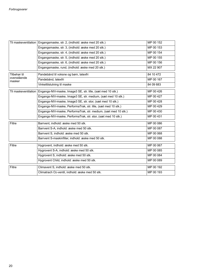|                       | Til maskeventilation   Engangsmaske, str. 2, (indhold: æske med 20 stk.)           | MP 00 152 |
|-----------------------|------------------------------------------------------------------------------------|-----------|
|                       | Engangsmaske, str. 3, (indhold: æske med 20 stk.)                                  | MP 00 153 |
|                       | Engangsmaske, str. 4, (indhold: æske med 20 stk.)                                  | MP 00 154 |
|                       | Engangsmaske, str. 5, (indhold: æske med 20 stk.)                                  | MP 00 155 |
|                       | Engangsmaske, str. 6, (indhold: æske med 20 stk.)                                  | MP 00 156 |
|                       | Engangsmaske, rund, (indhold: æske med 20 stk.)                                    | MX 22 907 |
| Tilbehør til          | Pandebånd til voksne og børn, latexfri                                             | 84 10 472 |
| ovenstående<br>masker | Pandebånd, latexfri                                                                | MP 00 167 |
|                       | Vinkeltilslutning til maske                                                        | 84 09 683 |
|                       | Til maskeventilation   Engangs-NIV-maske, Image3 SE, str. lille, (sæt med 10 stk.) | MP 00 426 |
|                       | Engangs-NIV-maske, Image3 SE, str. medium, (sæt med 10 stk.)                       | MP 00 427 |
|                       | Engangs-NIV-maske, Image3 SE, str. stor, (sæt med 10 stk.)                         | MP 00 428 |
|                       | Engangs-NIV-maske, PerformaTrak, str. lille, (sæt med 10 stk.)                     | MP 00 429 |
|                       | Engangs-NIV-maske, PerformaTrak, str. medium, (sæt med 10 stk.)                    | MP 00 430 |
|                       | Engangs-NIV-maske, PerformaTrak, str. stor, (sæt med 10 stk.)                      | MP 00 431 |
| Filtre                | Barrvent, indhold: æske med 50 stk.                                                | MP 00 086 |
|                       | Barrvent S-A, indhold: æske med 50 stk.                                            | MP 00 087 |
|                       | Barrvent S, indhold: æske med 50 stk.                                              | MP 00 068 |
|                       | Barrvent S-maskinfilter, indhold: æske med 50 stk.                                 | MP 00 088 |
| Filtre                | Hygrovent, indhold: æske med 50 stk.                                               | MP 00 067 |
|                       | Hygrovent S-A, indhold: æske med 50 stk.                                           | MP 00 085 |
|                       | Hygrovent S, indhold: æske med 50 stk.                                             | MP 00 084 |
|                       | Hygrovent Child, indhold: æske med 50 stk.                                         | MP 00 089 |
| Filtre                | Climavent S, indhold: æske med 50 stk.                                             | MP 00 192 |
|                       | Climatrach O2-ventil, indhold: æske med 50 stk.                                    | MP 00 193 |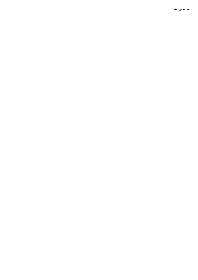*Forbrugsvarer*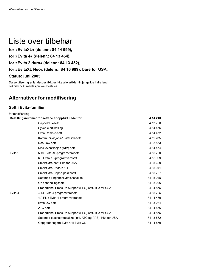# Liste over tilbehør

**for »EvitaXL« (delenr.: 84 14 999),**

**for »Evita 4« (delenr.: 84 13 454),**

**for »Evita 2 dura« (delenr.: 84 13 452),**

**for »EvitaXL Neo« (delenr.: 84 16 999); bare for USA.**

# **Status: juni 2005**

Da sertifisering er landsspesifikk, er ikke alle artikler tilgjengelige i alle land! Teknisk dokumentasjon kan bestilles.

# **Alternativer for modifisering**

### **Sett i Evita-familien**

| for modifisering                                           |           |  |
|------------------------------------------------------------|-----------|--|
| Bestillingsnummer for settene er oppført nedenfor          |           |  |
| CapnoPlus-sett                                             | 84 13 780 |  |
| Sykepleiertilkalling                                       | 84 14 476 |  |
| Evita Remote-sett                                          | 84 14 472 |  |
| Kommunikasjons-/EvitaLink-sett                             | 84 11 735 |  |
| NeoFlow-sett                                               | 84 13 563 |  |
| Maskeventilasjon (NIV)-sett                                | 84 14 474 |  |
| 5.10 Evita XL-programvaresett                              | 84 15 700 |  |
| 6.0 Evita XL-programvaresett                               | 84 15 939 |  |
| SmartCare-sett, ikke for USA                               | 84 15 699 |  |
| SmartCare Update 1.1                                       | 84 15 941 |  |
| SmartCare Capno-pakkesett                                  | 84 15 737 |  |
| Sett med lungebeskyttelsespakke                            | 84 15 945 |  |
| O <sub>2</sub> -behandlingssett                            | 84 15 946 |  |
| Proportional Pressure Support (PPS)-sett, ikke for USA     | 84 14 875 |  |
| 4.14 Evita 4-programvaresett                               | 84 15 795 |  |
| 4.0 Plus Evita 4-programvaresett                           | 84 14 469 |  |
| Evita DC-sett                                              | 84 13 034 |  |
| ATC-sett                                                   | 84 14 556 |  |
| Proportional Pressure Support (PPS)-sett, ikke for USA     | 84 14 875 |  |
| Sett med pustestøttepakke (inkl. ATC og PPS), ikke for USA | 84 13 562 |  |
| Oppgradering fra Evita 4 til Evita XL                      | 84 14 879 |  |
|                                                            |           |  |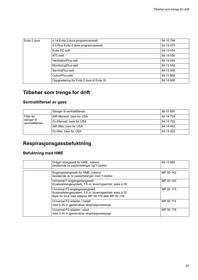| Evita 2 dura | 4.14 Evita 2 dura-programvaresett          | 84 15 794 |
|--------------|--------------------------------------------|-----------|
|              | 4.0 Plus Evita 2 dura-programvaresett      | 84 14 470 |
|              | Evita DC-sett                              | 84 13 034 |
|              | ATC-sett                                   | 84 14 556 |
|              | VentilationPlus-sett                       | 84 13 540 |
|              | MonitoringPlus-sett                        | 84 13 545 |
|              | ServicePlus-sett                           | 84 13 550 |
|              | ColourPlus-sett                            | 84 11 888 |
|              | Oppgradering fra Evita 2 dura til Evita XL | 84 14 880 |

# **Tilbehør som trengs for drift**

# **Sentraltilførsel av gass**

|                                               | Slanger til sentraltilførsel             | 86 01 697 |
|-----------------------------------------------|------------------------------------------|-----------|
| Filter for<br>slanger til<br>sentraltilførsel | AIR-filtersett, bare for USA             | 84 14 703 |
|                                               | O <sub>2</sub> -filtersett, bare for USA | 84 14 702 |
|                                               | AIR-filter, bare for USA                 | 84 14 453 |
|                                               | O <sub>2</sub> -filter, bare for USA     | 84 14 452 |

# **Respirasjonsgassbefuktning**

# **Befuktning med HME**

|  | Dräger-slangesett for HME, voksne,<br>bestående av pasientslanger og Y-stykke                                                                   | 84 12 860 |
|--|-------------------------------------------------------------------------------------------------------------------------------------------------|-----------|
|  | Engangsslangesett for HME, voksne,<br>bestående av to pasientslanger med Y-stykke                                                               | MP 00 142 |
|  | Universal F-engangsslangesett<br>Koaksialslangesystem, 1,5 m; leveringsenhet: eske à 30                                                         | MP 00 140 |
|  | Universal F2-engangsslangesett<br>Koaksialslangesystem, 1,5 m; leveringsenhet: eske à 20<br>Bare for bruk med adapter MP 00 174 eller MP 00 178 | MP 00 173 |
|  | Universal F2-adapter i metall<br>med 0,45 m gjenbrukbar ekspirasjonsslange                                                                      | MP 00 174 |
|  | Universal F2-adapter i plast<br>med 0,45 m gjenbrukbar ekspirasjonsslange                                                                       | MP 00 178 |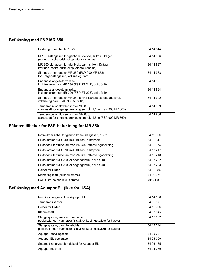# **Befuktning med F&P MR 850**

|  | Fukter, grunnenhet MR 850                                                                                | 84 14 144 |
|--|----------------------------------------------------------------------------------------------------------|-----------|
|  | MR 850-slangesett for gjenbruk, voksne, silikon, Dräger<br>(varmes inspiratorisk; ekspiratorisk vannlås) | 84 14 986 |
|  | MR 850-slangesett for gjenbruk, barn, silikon, Dräger<br>(varmes inspiratorisk; ekspiratorisk vannlås)   | 84 14 987 |
|  | Slangevarmeradapter MR 850 (F&P 900 MR 858)<br>for Dräger-slangesett, voksne og barn                     | 84 14 968 |
|  | Engangsslangesett, voksne,<br>inkl. fuktekammer MR 290 (F&P RT 212), eske à 10                           | 84 14 991 |
|  | Engangsslangesett, nyfødte,<br>inkl. fuktekammer MR 290 (F&P RT 225), eske à 10                          | 84 14 994 |
|  | Slangevarmeradapter MR 850 for RT-slangesett, engangsbruk,<br>voksne og barn (F&P 900 MR 801)            | 84 14 992 |
|  | Temperatur- og flowsensor for MR 850,<br>slangesett for engangsbruk og gjenbruk, 1,1 m (F&P 900 MR 868)  | 84 14 989 |
|  | Temperatur- og flowsensor for MR 850,<br>slangesett for engangsbruk og gjenbruk, 1,5 m (F&P 900 MR 869)  | 84 14 966 |

## **Påkrevd tilbehør for F&P-befuktning for MR 850**

| Inntrekkbar kabel for gjenbrukbare slangesett, 1,5 m    | 84 11 050 |
|---------------------------------------------------------|-----------|
| Fuktekammer MR 340, inkl. 100 stk. fuktepapir           | 84 11 047 |
| Fuktepapir for fuktekammer MR 340, etterfyllingspakning | 84 11 073 |
| Fuktekammer MR 370, inkl. 100 stk. fuktepapir           | 84 12 217 |
| Fuktepapir for fuktekammer MR 370, etterfyllingspakning | 84 12 218 |
| Fuktekammer MR 290 for engangsbruk, eske à 10           | 84 18 282 |
| Fuktekammer MR 290 for engangsbruk, eske à 40           | 84 18 283 |
| Holder for fukter                                       | 84 11 956 |
| Monteringssett (skinneklemme)                           | 84 11 074 |
| F&P-fukterholder, inkl. klemme                          | MP 01 002 |
|                                                         |           |

# **Befuktning med Aquapor EL (ikke for USA)**

|  | Respirasjonsgassfukter Aquapor EL                                                                    | 84 14 698 |
|--|------------------------------------------------------------------------------------------------------|-----------|
|  | Temperatursensor                                                                                     | 84 05 371 |
|  | Holder for fukter                                                                                    | 84 11 956 |
|  | Klemmesett                                                                                           | 84 03 345 |
|  | Slangesystem, voksne. Inneholder:<br>pasientslanger, vannlåser, Y-stykke, koblingsstykke for kateter | 84 12 092 |
|  | Slangesystem, barn. Inneholder:<br>pasientslanger, vannlåser, Y-stykke, koblingsstykke for kateter   | 84 12 344 |
|  | Aquapor-påfyllingssett                                                                               | 84 05 031 |
|  | Aquapor EL-pasientdel                                                                                | 84 05 029 |
|  | Sett med reservedeler, deksel for Aquapor EL                                                         | 84 06 135 |
|  | Aguapor EL-brett                                                                                     | 84 04 739 |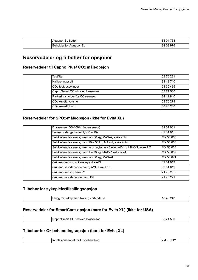|  | _-flottør<br>Auuabol<br>டட   | 738<br>-04<br>84       |
|--|------------------------------|------------------------|
|  | Reholder for<br>* Aquapor EL | 07C<br>84<br>910<br>്ധ |

# **Reservedeler og tilbehør for opsjoner**

### **Reservedeler til Capno Plus/ CO2 måleopsjon**

|  | <b>Testfilter</b>                           | 68 70 281 |
|--|---------------------------------------------|-----------|
|  | Kalibreringssett                            | 84 12 710 |
|  | CO <sub>2</sub> -testgassylinder            | 68 50 435 |
|  | CapnoSmart CO <sub>2</sub> -hovedflowsensor | 68 71 500 |
|  | Parkeringsholder for CO2-sensor             | 84 12 840 |
|  | CO <sub>2</sub> kuvett, voksne              | 68 70 279 |
|  | CO <sub>2</sub> -kuvett, barn               | 68 70 280 |

## **Reservedeler for SPO2-måleopsjon (ikke for Evita XL)**

|  | Durasensor DS-100A (fingersensor)                                        | 82 01 001 |
|--|--------------------------------------------------------------------------|-----------|
|  | Sensor forlengerkabel $1,3(0 - 10)$                                      | 82 01 015 |
|  | Selvklebende sensor, voksne >30 kg, MAX-A, eske à 24                     | MX 50 065 |
|  | Selvklebende sensor, barn 10 – 50 kg, MAX-P, eske à 24                   | MX 50 066 |
|  | Selvklebende sensor, voksne og nyfødte <3 eller >40 kg, MAX-N, eske à 24 | MX 50 068 |
|  | Selvklebende sensor, barn 1 – 20 kg, MAX-P, eske à 24                    | MX 50 067 |
|  | Selvklebende sensor, voksne >30 kg, MAX-AL                               | MX 50 071 |
|  | Oxiband-sensor, voksne/nyfødte A/N.                                      | 82 01 013 |
|  | Oxiband selvklebende bånd, A/N, eske à 100                               | 82 01 012 |
|  | Oxiband-sensor, barn P/I                                                 | 21 70 205 |
|  | Oxiband selvklebende bånd P/I                                            | 21 70 221 |

### **Tilbehør for sykepleiertilkallingsopsjon**

| <br>.<br>2 A S<br>יוור.<br>مماماه ومنطوعة ومسترج<br>.<br><b>16</b><br>A 1.<br>svkr<br>TOI<br>≏rtiikaiiind⊾<br>eniek<br>. pindeise |  |
|-----------------------------------------------------------------------------------------------------------------------------------|--|
|-----------------------------------------------------------------------------------------------------------------------------------|--|

# **Reservedeler for SmartCare-opsjon (bare for Evita XL) (ikke for USA)**

| 500<br>68<br>.O2 -hovedflowsensor<br>∴anno:<br>Smart<br>$\cdot$ |  |  |
|-----------------------------------------------------------------|--|--|
|                                                                 |  |  |

## **Tilbehør for O2-behandlingsopsjon (bare for Evita XL)**

|--|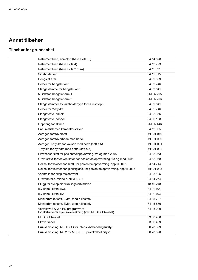# **Annet tilbehør**

# **Tilbehør for grunnenhet**

| Instrumentbrett, komplett (bare EvitaXL)                                                   | 84 14 828 |
|--------------------------------------------------------------------------------------------|-----------|
| Instrumentbrett (bare Evita 4)                                                             | 84 12 723 |
| Instrumentbrett (bare Evita 2 dura)                                                        | 84 11 621 |
| Sideholdersett                                                                             | 84 11 615 |
| Hengslet arm                                                                               | 84 09 609 |
| Holder for hengslet arm                                                                    | 84 09 746 |
| Slangeklemme for hengslet arm                                                              | 84 09 841 |
| Quickstop hengslet arm 1                                                                   | 2M 85 705 |
| Quickstop hengslet arm 2                                                                   | 2M 85 706 |
| Slangeklemmer av kuleholdertype for Quickstop 2                                            | 84 09 841 |
| Holder for Y-stykke                                                                        | 84 09 746 |
| Slangefeste, enkelt                                                                        | 84 08 356 |
| Slangefeste, dobbelt                                                                       | 84 06 138 |
| Oppheng for skinne                                                                         | 2M 85 446 |
| Pneumatisk medikamentforstøver                                                             | 84 12 935 |
| Aerogen forstøversett                                                                      | MP 01 010 |
| Aerogen forstøverhode med hette                                                            | MP 01 030 |
| Aerogen T-stykke for voksen med hette (sett à 5)                                           | MP 01 031 |
| T-stykke for nyfødte med hette (sett à 5)                                                  | MP 01 032 |
| Flowsensorklaff for pasientdeloppvarming, fra og med 2005                                  | 84 15 973 |
| Grovt støvfilter for ventilator, for pasientdeloppvarming, fra og med 2005                 | 84 15 978 |
| Deksel for flowsensor, blått, for pasientdeloppvarming, opp til 2005                       | 84 14 714 |
| Deksel for flowsensor, pleksiglass, for pasientdeloppvarming, opp til 2005                 | MP 01 003 |
| Vannfelle for ekspirasjonsventil                                                           | 84 13 125 |
| Luftvannfelle, middels, NIST/NIST                                                          | 84 14 274 |
| Plugg for sykepleiertilkallingsforbindelse                                                 | 18 46 248 |
| ILV-kabel, Evita 4/XL                                                                      | 84 11 794 |
| ILV-kabel, Evita 1/2                                                                       | 84 11 793 |
| Monitorbrakettsett, Evita, med rullestativ                                                 | 84 15 787 |
| Monitorbrakettsett, Evita, uten rullestativ                                                | 84 15 850 |
| VentView SW 2.n PC-programvare<br>for ekstra ventilasjonsovervåkning (inkl. MEDIBUS-kabel) | 84 15 909 |
| MEDIBUS-kabel                                                                              | 83 06 488 |
| Skriverkabel                                                                               | 83 06 489 |
| Bruksanvisning, MEDIBUS for intensivbehandlingsutstyr                                      | 90 28 329 |
| Bruksanvisning, RS 232- MEDIBUS protokolldefinisjon                                        | 90 28 320 |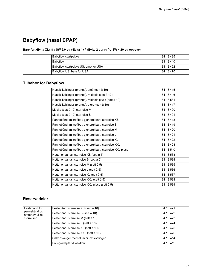# **Babyflow (nasal CPAP)**

### **Bare for »Evita XL« fra SW 6.0 og »Evita 4« / »Evita 2 dura« fra SW 4.20 og oppover**

|  | <b>Babyflow startpakke</b>           | 84 18 435 |
|--|--------------------------------------|-----------|
|  | Babyflow                             | 84 18 410 |
|  | Babyflow startpakke US; bare for USA | 84 18 492 |
|  | Babyflow US; bare for USA            | 84 18 470 |

## **Tilbehør for Babyflow**

| Nasaltilkoblinger (prongs), små (sett à 10)              | 84 18 415  |
|----------------------------------------------------------|------------|
| Nasaltilkoblinger (prongs), middels (sett à 10)          | 84 18 416  |
| Nasaltilkoblinger (prongs), middels pluss (sett à 10)    | 84 18 531  |
| Nasaltilkoblinger (prongs), store (sett à 10)            | 84 18 417  |
| Maske (sett à 10) størrelse M                            | 84 18 490  |
| Maske (sett à 10) størrelse S                            | 84 18 491  |
| Pannebånd, mikrofiber, gjenbrukbart, størrelse XS        | 84 18 418  |
| Pannebånd, mikrofiber, gjenbrukbart, størrelse S         | 84 18 419  |
| Pannebånd, mikrofiber, gjenbrukbart, størrelse M         | 84 18 4 20 |
| Pannebånd, mikrofiber, gjenbrukbart, størrelse L         | 84 18 421  |
| Pannebånd, mikrofiber, gjenbrukbart, størrelse XL        | 84 18 422  |
| Pannebånd, mikrofiber, gjenbrukbart, størrelse XXL       | 84 18 423  |
| Pannebånd, mikrofiber, gjenbrukbart, størrelse XXL pluss | 84 18 540  |
| Hette, engangs, størrelse XS (sett à 5)                  | 84 18 533  |
| Hette, engangs, størrelse S (sett à 5)                   | 84 18 534  |
| Hette, engangs, størrelse M (sett à 5)                   | 84 18 535  |
| Hette, engangs, størrelse L (sett à 5)                   | 84 18 536  |
| Hette, engangs, størrelse XL (sett à 5)                  | 84 18 537  |
| Hette, engangs, størrelse XXL (sett à 5)                 | 84 18 538  |
| Hette, engangs, størrelse XXL pluss (sett à 5)           | 84 18 539  |

## **Reservedeler**

| Festebånd for<br>pannebånd og<br>hetter av ulike<br><b>størrelser</b> | Festebånd, størrelse XS (sett à 10)    | 84 18 471 |
|-----------------------------------------------------------------------|----------------------------------------|-----------|
|                                                                       | Festebånd, størrelse S (sett à 10)     | 84 18 472 |
|                                                                       | Festebånd, størrelse M (sett à 10)     | 84 18 473 |
|                                                                       | Festebånd, størrelse L (sett à 10)     | 84 18 474 |
|                                                                       | Festebånd, størrelse XL (sett à 10)    | 84 18 475 |
|                                                                       | Festebånd, størrelse XXL (sett à 10)   | 84 18 476 |
|                                                                       | Silikonslanger med aluminiumskoblinger | 84 18 414 |
|                                                                       | Prong-adapter (Babyflow)               | 84 18 411 |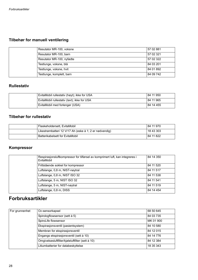# **Tilbehør for manuell ventilering**

| Resutator MR-100, voksne  | 57 02 881 |
|---------------------------|-----------|
| Resutator MR-100, barn    | 57 02 321 |
| Resutator MR-100, nyfødte | 57 02 322 |
| Testlunge, voksne, blå    | 84 03 201 |
| Testlunge, voksne, hvit   | 84 01 892 |
| Testlunge, komplett, barn | 84 09 742 |

### **Rullestativ**

| EvitaMobil rullestativ (høyt); ikke for USA | 84 11 950 |
|---------------------------------------------|-----------|
| EvitaMobil rullestativ (lavt); ikke for USA | 84 11 965 |
| EvitaMobil med forlenger (USA)              | 84 14 455 |

## **Tilbehør for rullestativ**

| Flaskeholdersett, EvitaMobil                           | 84 11 970 |
|--------------------------------------------------------|-----------|
| Likestrømbatteri 12 V/17 Ah (eske à 1; 2 er nødvendig) | 18 43 303 |
| Batterikabelsett for EvitaMobil                        | 84 11 822 |

## **Kompressor**

|  | Respirasjonsluftkompressor for tilførsel av komprimert luft, kan integreres i<br>EvitaMobil | 84 14 350 |
|--|---------------------------------------------------------------------------------------------|-----------|
|  | Frittstående sokkel for kompressor                                                          | 84 11 520 |
|  | Luftslange, 0,8 m, NIST-nøytral                                                             | 84 11 517 |
|  | Luftslange, 0,8 m, NIST ISO 32                                                              | 84 11 538 |
|  | Luftslange, 5 m, NIST ISO 32                                                                | 84 11 541 |
|  | Luftslange, 5 m, NIST-nøytral                                                               | 84 11 519 |
|  | Luftslange, 0,8 m, DISS                                                                     | 84 14 454 |

# **Forbruksartikler**

| For grunnenhet | O <sub>2</sub> -sensorkapsel                     | 68 50 645 |
|----------------|--------------------------------------------------|-----------|
|                | Spirologflowsensor (sett à 5)                    | 84 03 735 |
|                | SpiroLife flowsensor                             | MK 01 900 |
|                | Ekspirasjonsventil (pasientsystem)               | 84 10 580 |
|                | Membran for ekspirasjonsventil                   | 84 12 015 |
|                | Engangs ekspirasjonsventil (sett à 10)           | 84 14 776 |
|                | Omgivelsesluftfilter/kjøleluftfilter (sett à 10) | 84 12 384 |
|                | Litiumbatterier for databeskyttelse              | 18 35 343 |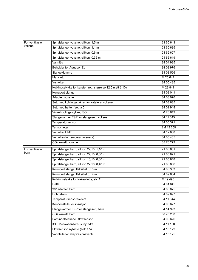| For ventilasjon, | Spiralslange, voksne, silikon, 1,5 m                         | 21 65 643 |
|------------------|--------------------------------------------------------------|-----------|
| voksne           | Spiralslange, voksne, silikon, 1,1 m                         | 21 65 635 |
|                  | Spiralslange, voksne, silikon, 0,6 m                         | 21 65 627 |
|                  | Spiralslange, voksne, silikon, 0,35 m                        | 21 65 619 |
|                  | Vannlås                                                      | 84 04 985 |
|                  | Beholder for Aquapor EL                                      | 84 03 976 |
|                  | Slangeklemme                                                 | 84 03 566 |
|                  | Mansjett                                                     | M 25 647  |
|                  | Y-stykke                                                     | 84 05 435 |
|                  | Koblingsstykke for kateter, rett, størrelse 12,5 (sett à 10) | M 23 841  |
|                  | Korrugert slange                                             | 84 02 041 |
|                  | Adapter, voksne                                              | 84 03 076 |
|                  | Sett med koblingsstykker for katetere, voksne                | 84 03 685 |
|                  | Sett med hetter (sett à 5)                                   | 84 02 918 |
|                  | Vinkelkoblingsstykke, ISO                                    | M 25 649  |
|                  | Slangevarmer F&P for slangesett, voksne                      | 84 11 045 |
|                  | Temperatursensor                                             | 84 05 371 |
|                  | <b>Termometer</b>                                            | 2M 13 259 |
|                  | Y-stykke, HME                                                | 84 12 888 |
|                  | Y-stykke (for temperatursensor)                              | 84 05 435 |
|                  | CO <sub>2</sub> kuvett, voksne                               | 68 70 279 |
| For ventilasjon, | Spiralslange, barn, silikon 22/10, 1,10 m                    | 21 65 651 |
| barn             | Spiralslange, barn, silikon 22/10, 0,60 m                    | 21 65 821 |
|                  | Spiralslange, barn, silikon 10/10, 0,60 m                    | 21 65 848 |
|                  | Spiralslange, barn, silikon 22/10, 0,40 m                    | 21 65 856 |
|                  | Korrugert slange, fleksibel 0,13 m                           | 84 03 333 |
|                  | Korrugert slange, fleksibel 0,14 m                           | 84 09 634 |
|                  | Koblingsstykke for trakealtube, str. 11                      | M 19 490  |
|                  | Hette                                                        | 84 01 645 |
|                  | $\overline{90^{\circ}}$ adapter, barn                        | 84 03 075 |
|                  | Dobbelkon                                                    | 84 09 897 |
|                  | Temperatursensorholdere                                      | 84 11 044 |
|                  | Kondensfelle, ekspirasjon                                    | 84 09 627 |
|                  | Slangevarmer F&P for slangesett, barn                        | 84 14 993 |
|                  | CO <sub>2</sub> -kuvett, barn                                | 68 70 280 |
|                  | Forbindelseskabel, flowsensor                                | 84 09 626 |
|                  | ISO 15-flowsensorhus, nyfødte                                | 84 11 130 |
|                  | Flowsensor, nyfødte (sett à 5)                               | 84 10 179 |
|                  | Vannfelle for ekspirasjonsventil                             | 84 13 125 |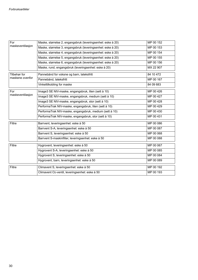| For              | Maske, størrelse 2, engangsbruk (leveringsenhet: eske à 20) | MP 00 152 |
|------------------|-------------------------------------------------------------|-----------|
| maskeventilasjon | Maske, størrelse 3, engangsbruk (leveringsenhet: eske à 20) | MP 00 153 |
|                  | Maske, størrelse 4, engangsbruk (leveringsenhet: eske à 20) | MP 00 154 |
|                  | Maske, størrelse 5, engangsbruk (leveringsenhet: eske à 20) | MP 00 155 |
|                  | Maske, størrelse 6, engangsbruk (leveringsenhet: eske à 20) | MP 00 156 |
|                  | Maske, rund, engangsbruk (leveringsenhet: eske à 20)        | MX 22 907 |
| Tilbehør for     | Pannebånd for voksne og barn, lateksfritt                   | 84 10 472 |
| maskene ovenfor  | Pannebånd, lateksfritt                                      | MP 00 167 |
|                  | Vinkeltilkobling for maske                                  | 84 09 683 |
| For              | Image3 SE NIV-maske, engangsbruk, liten (sett à 10)         | MP 00 426 |
| maskeventilasjon | Image3 SE NIV-maske, engangsbruk, medium (sett à 10)        | MP 00 427 |
|                  | Image3 SE NIV-maske, engangsbruk, stor (sett à 10)          | MP 00 428 |
|                  | PerformaTrak NIV-maske, engangsbruk, liten (sett à 10)      | MP 00 429 |
|                  | PerformaTrak NIV-maske, engangsbruk, medium (sett à 10)     | MP 00 430 |
|                  | PerformaTrak NIV-maske, engangsbruk, stor (sett à 10)       | MP 00 431 |
| Filtre           | Barrvent, leveringsenhet: eske à 50                         | MP 00 086 |
|                  | Barrvent S-A, leveringsenhet: eske à 50                     | MP 00 087 |
|                  | Barrvent S, leveringsenhet: eske à 50                       | MP 00 068 |
|                  | Barrvent S-maskinfilter, leveringsenhet: eske à 50          | MP 00 088 |
| Filtre           | Hygrovent, leveringsenhet: eske à 50                        | MP 00 067 |
|                  | Hygrovent S-A, leveringsenhet: eske à 50                    | MP 00 085 |
|                  | Hygrovent S, leveringsenhet: eske à 50                      | MP 00 084 |
|                  | Hygrovent, barn, leveringsenhet: eske à 50                  | MP 00 089 |
| Filtre           | Climavent S, leveringsenhet: eske à 50                      | MP 00 192 |
|                  | Climavent O2-ventil, leveringsenhet: eske à 50              | MP 00 193 |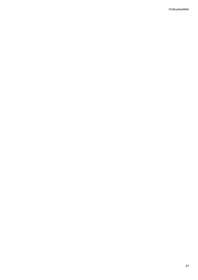*Forbruksartikler*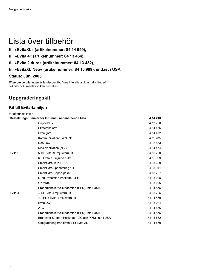# Lista över tillbehör

**till »EvitaXL« (artikelnummer: 84 14 999),**

**till »Evita 4« (artikelnummer: 84 13 454),**

**till »Evita 2 dura« (artikelnummer: 84 13 452),**

**till »EvitaXL Neo« (artikelnummer: 84 16 999), endast i USA.**

#### **Status: Juni 2005**

Eftersom certifieringen är landsspecifik, finns inte alla artiklar i alla länder! Teknisk dokumentation kan beställas.

# **Uppgraderingskit**

### **Kit till Evita-familjen**

| för efterinstallation |                                                       |           |
|-----------------------|-------------------------------------------------------|-----------|
|                       | Beställningsnummer för kit finns i nedanstående lista | 84 14 240 |
|                       | CapnoPlus                                             | 84 13 780 |
|                       | Sköterskelarm                                         | 84 14 476 |
|                       | Evita fjärr                                           | 84 14 472 |
|                       | Kommunikation/EvitaLink                               | 84 11 735 |
|                       | <b>NeoFlow</b>                                        | 84 13 563 |
|                       | Maskventilation (NIV)                                 | 84 14 474 |
| EvitaXL               | 5.10 Evita XL mjukvaru-kit                            | 84 15 700 |
|                       | 6.0 Evita XL mjukvaru-kit                             | 84 15 939 |
|                       | SmartCare, inte i USA                                 | 84 15 699 |
|                       | SmartCare uppdatering 1.1                             | 84 15 941 |
|                       | SmartCare Capno-paket                                 | 84 15 737 |
|                       | Lung Protection Package (LPP)                         | 84 15 945 |
|                       | O <sub>2</sub> -terapi                                | 84 15 946 |
|                       | Proportionellt tryckunderstöd (PPS), inte i USA       | 84 14 875 |
| Evita 4               | 4.14 Evita 4 mjukvaru-kit                             | 84 15 795 |
|                       | 4.0 Plus Evita 4 mjukvaru-kit                         | 84 14 469 |
|                       | Evita DC                                              | 84 13 034 |
|                       | <b>ATC</b>                                            | 84 14 556 |
|                       | Proportionellt tryckunderstöd (PPS), inte i USA       | 84 14 875 |
|                       | Breathing Support Package (ATC och PPS), inte i USA   | 84 13 562 |
|                       | Uppgradering från Evita 4 till Evita XL               | 84 14 879 |
|                       |                                                       |           |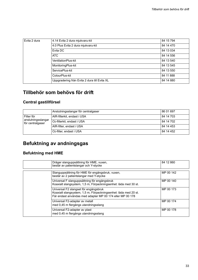| Evita 2 dura | 4.14 Evita 2 dura mjukvaru-kit               | 84 15 794 |
|--------------|----------------------------------------------|-----------|
|              | 4.0 Plus Evita 2 dura mjukvaru-kit           | 84 14 470 |
|              | Evita DC                                     | 84 13 034 |
|              | <b>ATC</b>                                   | 84 14 556 |
|              | <b>VentilationPlus-kit</b>                   | 84 13 540 |
|              | MonitoringPlus-kit                           | 84 13 545 |
|              | ServicePlus-kit                              | 84 13 550 |
|              | ColourPlus-kit                               | 84 11 888 |
|              | Uppgradering från Evita 2 dura till Evita XL | 84 14 880 |

# **Tillbehör som behövs för drift**

## **Central gastillförsel**

|                                        | Anslutningsslangar för centralgaser  | 86 01 697 |
|----------------------------------------|--------------------------------------|-----------|
| Filter för                             | AIR-filterkit, endast i USA          | 84 14 703 |
| anslutningsslangar<br>för centralgaser | O2-filterkit, endast i USA           | 84 14 702 |
|                                        | AIR-filter, endast i USA             | 84 14 453 |
|                                        | O <sub>2</sub> -filter, endast i USA | 84 14 452 |

# **Befuktning av andningsgas**

# **Befuktning med HME**

| Dräger slanguppsättning för HME, vuxen,<br>består av patientslangar och Y-stycke                                                                                      | 84 12 860 |
|-----------------------------------------------------------------------------------------------------------------------------------------------------------------------|-----------|
| Slanguppsättning för HME för engångsbruk, vuxen,<br>består av 2 patientslangar med Y-stycke                                                                           | MP 00 142 |
| Universal F slanguppsättning för engångsbruk<br>Koaxialt slangsystem, 1,5 m, Förpackningsenhet: låda med 30 st.                                                       | MP 00 140 |
| Universal F2 slangset för engångsbruk<br>Koaxialt slangsystem, 1,5 m, Förpackningsenhet: låda med 20 st.<br>Får endast användas med adapter MP 00 174 eller MP 00 178 | MP 00 173 |
| Universal F2-adapter av metall<br>med 0,45 m flergångs utandningsslang                                                                                                | MP 00 174 |
| Universal F2-adapter av plast<br>med 0,45 m flergångs utandningsslang                                                                                                 | MP 00 178 |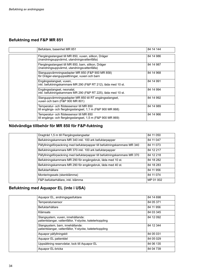# **Befuktning med F&P MR 851**

|  | Befuktare, basenhet MR 851                                                                              | 84 14 144 |
|--|---------------------------------------------------------------------------------------------------------|-----------|
|  | Flergångsslangset till MR 850, vuxen, silikon, Dräger<br>(inandningsuppvärmd, utandningsvattenfälla)    | 84 14 986 |
|  | Flergångsslangset till MR 850, barn, silikon, Dräger<br>(inandningsuppvärmd, utandningsvattenfälla)     | 84 14 987 |
|  | Slanguppvärmningsadapter MR 850 (F&P 900 MR 858)<br>för Dräger-slanguppsättningar, vuxen och barn       | 84 14 968 |
|  | Engångsslangset, vuxen,<br>inkl. befuktningskammare MR 290 (F&P RT 212), låda med 10 st.                | 84 14 991 |
|  | Engångsslangset, neonatal,<br>inkl. befuktningskammare MR 290 (F&P RT 225), låda med 10 st.             | 84 14 994 |
|  | Slanguppvärmningsadapter MR 850 till RT engångsslangset,<br>vuxen och barn (F&P 900 MR 801)             | 84 14 992 |
|  | Temperatur- och flödessensor till MR 850<br>till engångs- och flergångsslangset, 1,1 m (F&P 900 MR 868) | 84 14 989 |
|  | Temperatur- och flödessensor till MR 850<br>till engångs- och flergångsslangset, 1,5 m (F&P 900 MR 869) | 84 14 966 |

## **Nödvändiga tillbehör för MR 850 för F&P-fuktning**

| Dragtråd 1,5 m till Flergångsslangsetar                                  | 84 11 050 |
|--------------------------------------------------------------------------|-----------|
| Befuktningskammare MR 340 inkl. 100 ark befuktarpapper                   | 84 11 047 |
| Påfyllningsförpackning med befuktarpapper till befuktningskammare MR 340 | 84 11 073 |
| Befuktningskammare MR 370 inkl. 100 ark befuktarpapper                   | 84 12 217 |
| Påfyllningsförpackning med befuktarpapper till befuktningskammare MR 370 | 84 12 218 |
| Befuktningskammare MR 290 för engångsbruk, låda med 10 st.               | 84 18 282 |
| Befuktningskammare MR 290 för engångsbruk, låda med 40 st.               | 84 18 283 |
| Befuktarhållare                                                          | 84 11 956 |
| Monteringssats (skenklämma)                                              | 84 11 074 |
| F&P-befuktarhållare, inkl. klämma                                        | MP 01 002 |

# **Befuktning med Aquapor EL (inte i USA)**

|  | Aquapor EL, andningsgasfuktare                                                               | 84 14 698 |
|--|----------------------------------------------------------------------------------------------|-----------|
|  | Temperatursensor                                                                             | 84 05 371 |
|  | Befuktarhållare                                                                              | 84 11 956 |
|  | Klämsats                                                                                     | 84 03 345 |
|  | Slangsystem, vuxen, innehållande:<br>patientslangar, vattenfällor, Y-stycke, kateterkoppling | 84 12 092 |
|  | Slangsystem, barn, innehållande:<br>patientslangar, vattenfällor, Y-stycke, kateterkoppling  | 84 12 344 |
|  | Aquapor påfyllningskit                                                                       | 84 05 031 |
|  | Aguapor EL patientdel                                                                        | 84 05 029 |
|  | Uppsättning reservdelar, lock till Aquapor EL                                                | 84 06 135 |
|  | Aguapor EL-bricka                                                                            | 84 04 739 |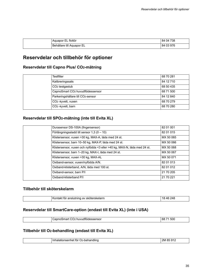| EL flottör<br>Aquapor     | 738<br>. 04<br>84 |
|---------------------------|-------------------|
| Behållare till Aquapor EL | 976<br>03<br>84   |

# **Reservdelar och tillbehör för optioner**

### **Reservdelar till Capno Plus/ CO2-mätning**

|  | <b>Testfilter</b>                 | 68 70 281 |
|--|-----------------------------------|-----------|
|  | Kalibreringssats                  | 84 12 710 |
|  | CO <sub>2</sub> testgastub        | 68 50 435 |
|  | CapnoSmart CO2 huvudflödessensor  | 68 71 500 |
|  | Parkeringshållare till CO2-sensor | 84 12 840 |
|  | CO <sub>2</sub> -kyvett, vuxen    | 68 70 279 |
|  | CO <sub>2</sub> -kyvett, barn     | 68 70 280 |

## **Reservdelar till SPO2-mätning (inte till Evita XL)**

| Durasensor DS-100A (fingersensor)                                        | 82 01 001 |
|--------------------------------------------------------------------------|-----------|
| Förlängningssladd till sensor 1,3 (0 - 10)                               | 82 01 015 |
| Klistersensor, vuxen > 30 kg, MAX-A, låda med 24 st.                     | MX 50 065 |
| Klistersensor, barn 10-50 kg, MAX-P, låda med 24 st.                     | MX 50 066 |
| Klistersensor, vuxen och nyfödda <3 eller >40 kg, MAX-N, låda med 24 st. | MX 50 068 |
| Klistersensor, barn 1-20 kg, MAX-I, låda med 24 st.                      | MX 50 067 |
| Klistersensor, vuxen >30 kg, MAX-AL                                      | MX 50 071 |
| Oxiband-sensor, vuxen/nyfödda A/N.                                       | 82 01 013 |
| Oxiband-klisterband, A/N, låda med 100 st.                               | 82 01 012 |
| Oxiband-sensor, barn P/I                                                 | 21 70 205 |
| Oxiband-klisterband P/I                                                  | 21 70 221 |

### **Tillbehör till sköterskelarm**

|  | kolorm<br>lontak)<br>.skoter<br>TOL<br>ansiut<br>av<br>.ming<br>skeidili. | 24٤<br>. $\Lambda$ $\Gamma$<br><b>PLA</b> |
|--|---------------------------------------------------------------------------|-------------------------------------------|
|  |                                                                           |                                           |

## **Reservdelar till SmartCare-option (endast till Evita XL) (inte i USA)**

|  | CapnoSmart CO <sub>2</sub> huvudflödessensor | 68 71 500 |
|--|----------------------------------------------|-----------|

### **Tillbehör till O2-behandling (endast till Evita XL)**

| $\cdots$<br>OC<br><br>2Μ<br>handlınc<br>. .<br>tor<br><b>Innalationsennet</b><br>oе<br>ö.<br>.<br>. . <u>. .</u><br>.<br>_______<br>. |
|---------------------------------------------------------------------------------------------------------------------------------------|
|---------------------------------------------------------------------------------------------------------------------------------------|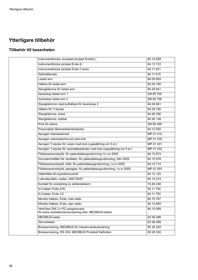# **Ytterligare tillbehör**

## **Tillbehör till basenheten**

| Instrumentbricka, komplett (endast EvitaXL)                                               | 84 14 828 |
|-------------------------------------------------------------------------------------------|-----------|
| Instrumentbricka (endast Evita 4)                                                         | 84 12 723 |
| Instrumentbricka (endast Evita 2 dura)                                                    | 84 11 621 |
| Sidohållarsats                                                                            | 84 11 615 |
| Ledad arm                                                                                 | 84 09 609 |
| Hållare för ledad arm                                                                     | 84 09 746 |
| Slangklämma för ledad arm                                                                 | 84 09 841 |
| Quickstop ledad arm 1                                                                     | 2M 85 705 |
| Quickstop ledad arm 2                                                                     | 2M 85 706 |
| Slangklämmor med kulhållare för Quickstop 2                                               | 84 09 841 |
| Hållare för Y-stycke                                                                      | 84 09 746 |
| Slangklämma, enkel                                                                        | 84 08 356 |
| Slangklämma, dubbel                                                                       | 84 06 138 |
| Krok för skena                                                                            | 2M 85 446 |
| Pneumatisk läkemedelsnebulisator                                                          | 84 12 935 |
| Aerogen nebulisatorset                                                                    | MP 01 010 |
| Aerogen nebulisatorhuvud med lock                                                         | MP 01 030 |
| Aerogen T-stycke för vuxen med lock (uppsättning om 5 st.)                                | MP 01 031 |
| Aerogen T-stycke för neonatalpatienter med lock (uppsättning om 5 st.)                    | MP 01 032 |
| Flödessensorskydd, för patientdelsuppvärmning, fr.o.m 2005                                | 84 15 973 |
| Grovdammsfilter för ventilator, för patientdelsuppvärmning, från 2005                     | 84 15 978 |
| Flödessensorskydd, blått, för patientdelsuppvärmning, t.o.m 2005                          | 84 14 714 |
| Flödessensorskydd, plexiglas, för patientdelsuppvärmning, t.o.m 2005                      | MP 01 003 |
| Vattenfälla till expirationsventil                                                        | 84 13 125 |
| Luftvattenfälla, mellan, NIST/NIST                                                        | 84 14 274 |
| Kontakt för anslutning av sköterskelarm                                                   | 18 46 248 |
| ILV-kabel, Evita 4/XL                                                                     | 84 11 794 |
| ILV-kabel, Evita 1/2                                                                      | 84 11 793 |
| Monitor-hållare, Evita, med stativ                                                        | 84 15 787 |
| Monitor-hållare, Evita, utan stativ                                                       | 84 15 850 |
| VentView SW 2.n PC-programvara<br>för extra ventilationsövervakning (inkl. MEDIBUS-kabel) | 84 15 909 |
| MEDIBUS-kabel                                                                             | 83 06 488 |
| Skrivarkabel                                                                              | 83 06 489 |
| Bruksanvisning, MEDIBUS för intensivvårdsutrustning                                       | 90 28 329 |
| Bruksanvisning, RS 232- MEDIBUS Protokoll Definition                                      | 90 28 320 |
|                                                                                           |           |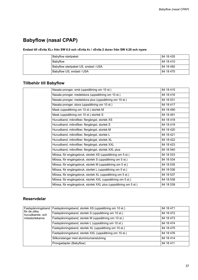# **Babyflow (nasal CPAP)**

#### **Endast till »Evita XL« från SW 6.0 och »Evita 4« / »Evita 2 dura« från SW 4.20 och nyare**

|  | <b>Babyflow startpaket</b>           | 84 18 435 |
|--|--------------------------------------|-----------|
|  | Babyflow                             | 84 18 410 |
|  | Babyflow startpaket US, endast i USA | 84 18 492 |
|  | Babyflow US, endast i USA            | 84 18 470 |

# **Tillbehör till Babyflow**

| Nasala pronger, små (uppsättning om 10 st.)                     | 84 18 415  |
|-----------------------------------------------------------------|------------|
| Nasala pronger, medelstora (uppsättning om 10 st.)              | 84 18 4 16 |
| Nasala pronger, medelstora plus (uppsättning om 10 st.)         | 84 18 531  |
| Nasala pronger, stora (uppsättning om 10 st.)                   | 84 18 417  |
| Mask (uppsättning om 10 st.) storlek M                          | 84 18 490  |
| Mask (uppsättning om 10 st.) storlek S                          | 84 18 491  |
| Huvudband, mikrofiber, flergångst, storlek XS                   | 84 18 418  |
| Huvudband, mikrofiber, flergångst, storlek S                    | 84 18 419  |
| Huvudband, mikrofiber, flergångst, storlek M                    | 84 18 4 20 |
| Huvudband, mikrofiber, flergångst, storlek L                    | 84 18 421  |
| Huvudband, mikrofiber, flergångst, storlek XL                   | 84 18 422  |
| Huvudband, mikrofiber, flergångst, storlek XXL                  | 84 18 4 23 |
| Huvudband, mikrofiber, flergångst, storlek XXL plus             | 84 18 540  |
| Mössa, för engångsbruk, storlek XS (uppsättning om 5 st.)       | 84 18 533  |
| Mössa, för engångsbruk, storlek S (uppsättning om 5 st.)        | 84 18 534  |
| Mössa, för engångsbruk, storlek M (uppsättning om 5 st.)        | 84 18 535  |
| Mössa, för engångsbruk, storlek L (uppsättning om 5 st.)        | 84 18 536  |
| Mössa, för engångsbruk, storlek XL (uppsättning om 5 st.)       | 84 18 537  |
| Mössa, för engångsbruk, storlek XXL (uppsättning om 5 st.)      | 84 18 538  |
| Mössa, för engångsbruk, storlek XXL plus (uppsättning om 5 st.) | 84 18 539  |
|                                                                 |            |

#### **Reservdelar**

| Fastspänningsband<br>l för de olika<br>huvudbands- och<br>l mösstorlekarna | Fastspänningsband, storlek XS (uppsättning om 10 st.)  | 84 18 471 |
|----------------------------------------------------------------------------|--------------------------------------------------------|-----------|
|                                                                            | Fastspänningsband, storlek S (uppsättning om 10 st.)   | 84 18 472 |
|                                                                            | Fastspänningsband, storlek M (uppsättning om 10 st.)   | 84 18 473 |
|                                                                            | Fastspänningsband, storlek L (uppsättning om 10 st.)   | 84 18 474 |
|                                                                            | Fastspänningsband, storlek XL (uppsättning om 10 st.)  | 84 18 475 |
|                                                                            | Fastspänningsband, storlek XXL (uppsättning om 10 st.) | 84 18 476 |
|                                                                            | Silikonslangar med aluminiumanslutning                 | 84 18 414 |
|                                                                            | Prongadapter (Babyflow)                                | 84 18 411 |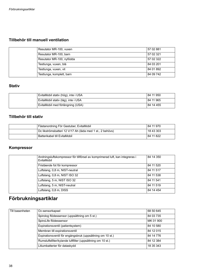### **Tillbehör till manuell ventilation**

|  | Resutator MR-100, vuxen   | 57 02 881 |
|--|---------------------------|-----------|
|  | Resutator MR-100, barn    | 57 02 321 |
|  | Resutator MR-100, nyfödda | 57 02 322 |
|  | Testlunga, vuxen, blå     | 84 03 201 |
|  | Testlunga, vuxen, vit     | 84 01 892 |
|  | Testlunga, komplett, barn | 84 09 742 |

#### **Stativ**

|  | EvitaMobil stativ (hög), inte i USA | 84 11 950 |
|--|-------------------------------------|-----------|
|  | EvitaMobil stativ (låg), inte i USA | 84 11 965 |
|  | EvitaMobil med förlängning (USA)    | 84 14 455 |

### **Tillbehör till stativ**

| Fästanordning För Gastuber, EvitaMobil                    | 84 11 970 |
|-----------------------------------------------------------|-----------|
| Dc likströmsbatteri 12 V/17 Ah (låda med 1 st., 2 behövs) | 18 43 303 |
| Batterikabel till EvitaMobil                              | 84 11 822 |

### **Kompressor**

|  | Andningsluftskompressor för tillförsel av komprimerad luft, kan integreras i<br>EvitaMobil | 84 14 350 |
|--|--------------------------------------------------------------------------------------------|-----------|
|  | Fristående fot för kompressor                                                              | 84 11 520 |
|  | Luftslang, 0,8 m, NIST-neutral                                                             | 84 11 517 |
|  | Luftslang, 0,8 m, NIST ISO 32                                                              | 84 11 538 |
|  | Luftslang, 5 m, NIST ISO 32                                                                | 84 11 541 |
|  | Luftslang, 5 m, NIST-neutral                                                               | 84 11 519 |
|  | Luftslang, 0,8 m, DISS                                                                     | 84 14 454 |

# **Förbrukningsartiklar**

| Till basenheten | O <sub>2</sub> -sensorkapsel                               | 68 50 645 |
|-----------------|------------------------------------------------------------|-----------|
|                 | Spirolog flödessensor (uppsättning om 5 st.)               | 84 03 735 |
|                 | SpiroLife flödessensor                                     | MK 01 900 |
|                 | Expirationsventil (patientsystem)                          | 84 10 580 |
|                 | Membran till expirationsventil                             | 84 12 015 |
|                 | Expirationsventil för engångsbruk (uppsättning om 10 st.)  | 84 14 776 |
|                 | Rumsluftsfilter/kylande luftfilter (uppsättning om 10 st.) | 84 12 384 |
|                 | Litiumbatterier för dataskydd                              | 18 35 343 |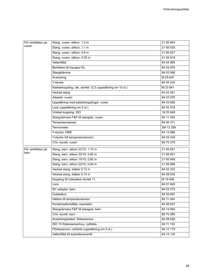| Slang, vuxen, silikon, 1,5 m                               |           |
|------------------------------------------------------------|-----------|
|                                                            | 21 65 643 |
| Slang, vuxen, silikon, 1,1 m                               | 21 65 635 |
| Slang, vuxen, silikon, 0,6 m                               | 21 65 627 |
| Slang, vuxen, silikon, 0,35 m                              | 21 65 619 |
| Vattenfälla                                                | 84 04 985 |
| Behållare till Aquapor EL                                  | 84 03 976 |
| Slangklämma                                                | 84 03 566 |
| Anslutning                                                 | M 25 647  |
| Y-stycke                                                   | 84 05 435 |
| Kateterkoppling, rak, storlek 12,5 (uppsättning om 10 st.) | M 23 841  |
| Veckad slang                                               | 84 02 041 |
| Adapter, vuxen                                             | 84 03 076 |
| Uppsättning med kateterkopplingar, vuxen                   | 84 03 685 |
| Lock (uppsättning om 5 st.)                                | 84 02 918 |
| Vinklad koppling, ISO                                      | M 25 649  |
| Slangvärmare F&P till slangset, vuxen                      | 84 11 045 |
| Temperatursensor                                           | 84 05 371 |
| Termometer                                                 | 2M 13 259 |
| Y-stycke, HME                                              | 84 12 888 |
| Y-stycke (till temperatursensor)                           | 84 05 435 |
| CO <sub>2</sub> -kyvett, vuxen                             | 68 70 279 |
| Slang, barn, silikon 22/10, 1,10 m                         |           |
|                                                            | 21 65 651 |
| Slang, barn, silikon 22/10, 0,60 m                         | 21 65 821 |
| Slang, barn, silikon 10/10, 0,60 m                         | 21 65 848 |
| Slang, barn, silikon 22/10, 0,40 m                         | 21 65 856 |
| Veckad slang, böjbar 0,13 m                                | 84 03 333 |
| Veckad slang, böjbar 0,14 m                                | 84 09 634 |
| Koppling till trakealtub storlek 11                        | M 19 490  |
| Lock                                                       | 84 01 645 |
| 90°-adapter, barn                                          | 84 03 075 |
| Dubbelkon                                                  | 84 09 897 |
| Hållare till temperatursensor                              | 84 11 044 |
| Kondensationsfälla, expiration                             | 84 09 627 |
| Slangvärmare F&P till slangset, barn                       | 84 14 993 |
| CO <sub>2</sub> -kyvett, barn                              | 68 70 280 |
| Anslutningskabel, flödessensor                             | 84 09 626 |
| ISO 15 flödessensorhus, nyfödda                            | 84 11 130 |
| Flödessensor, nyfödda (uppsättning om 5 st.)               | 84 10 179 |
|                                                            |           |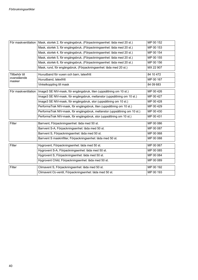| För maskventilation   | Mask, storlek 2, för engångsbruk, (Förpackningsenhet: låda med 20 st.)     | MP 00 152 |
|-----------------------|----------------------------------------------------------------------------|-----------|
|                       | Mask, storlek 3, för engångsbruk, (Förpackningsenhet: låda med 20 st.)     | MP 00 153 |
|                       | Mask, storlek 4, för engångsbruk, (Förpackningsenhet: låda med 20 st.)     | MP 00 154 |
|                       | Mask, storlek 5, för engångsbruk, (Förpackningsenhet: låda med 20 st.)     | MP 00 155 |
|                       | Mask, storlek 6, för engångsbruk, (Förpackningsenhet: låda med 20 st.)     | MP 00 156 |
|                       | Mask, rund, för engångsbruk, (Förpackningsenhet: låda med 20 st.)          | MX 22 907 |
| Tillbehör till        | Huvudband för vuxen och barn, latexfritt                                   | 84 10 472 |
| ovanstående<br>masker | Huvudband, latexfritt                                                      | MP 00 167 |
|                       | Vinkelkoppling till mask                                                   | 84 09 683 |
| För maskventilation   | Image3 SE NIV-mask, för engångsbruk, liten (uppsättning om 10 st.)         | MP 00 426 |
|                       | Image3 SE NIV-mask, för engångsbruk, mellanstor (uppsättning om 10 st.)    | MP 00 427 |
|                       | Image3 SE NIV-mask, för engångsbruk, stor (uppsättning om 10 st.)          | MP 00 428 |
|                       | PerformaTrak NIV-mask, för engångsbruk, liten (uppsättning om 10 st.)      | MP 00 429 |
|                       | PerformaTrak NIV-mask, för engångsbruk, mellanstor (uppsättning om 10 st.) | MP 00 430 |
|                       | PerformaTrak NIV-mask, för engångsbruk, stor (uppsättning om 10 st.)       | MP 00 431 |
| Filter                | Barrvent, Förpackningsenhet: låda med 50 st.                               | MP 00 086 |
|                       | Barrvent S-A, Förpackningsenhet: låda med 50 st.                           | MP 00 087 |
|                       | Barrvent S, Förpackningsenhet: låda med 50 st.                             | MP 00 068 |
|                       | Barrvent S maskinfilter, Förpackningsenhet: låda med 50 st.                | MP 00 088 |
| Filter                | Hygrovent, Förpackningsenhet: låda med 50 st.                              | MP 00 067 |
|                       | Hygrovent S-A, Förpackningsenhet: låda med 50 st.                          | MP 00 085 |
|                       | Hygrovent S, Förpackningsenhet: låda med 50 st.                            | MP 00 084 |
|                       | Hygrovent Child, Förpackningsenhet: låda med 50 st.                        | MP 00 089 |
| Filter                | Climavent S, Förpackningsenhet: låda med 50 st.                            | MP 00 192 |
|                       | Climavent O2-ventil, Förpackningsenhet: låda med 50 st.                    | MP 00 193 |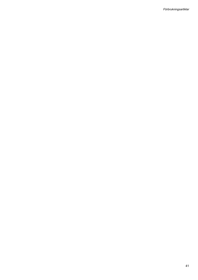*Förbrukningsartiklar*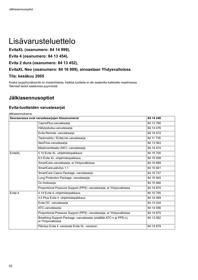# Lisävarusteluettelo

**EvitaXL (osanumero: 84 14 999),**

**Evita 4 (osanumero: 84 13 454),**

**Evita 2 dura (osanumero: 84 13 452),**

**EvitaXL Neo (osanumero: 84 16 999), ainoastaan Yhdysvalloissa.**

#### **Tila: kesäkuu 2005**

Koska tyyppihyväksyntä on maakohtaista, kaikkia tuotteita ei ole saatavilla kaikkialla maailmassa. Tekniset tiedot saatavissa pyynnöstä.

# **Jälkiasennusoptiot**

#### **Evita-tuotteiden varustesarjat**

| jälkiasennuksena |                                                                                         |           |
|------------------|-----------------------------------------------------------------------------------------|-----------|
|                  | Seuraavassa ovat varustesarjojen tilausnumerot                                          | 84 14 240 |
|                  | CapnoPlus-varustesarja                                                                  | 84 13 780 |
|                  | Hälytyskutsu-varustesarja                                                               | 84 14 476 |
|                  | Evita Remote -varustesarja                                                              | 84 14 472 |
|                  | Tiedonsiirto / EvitaLink-varustesarja                                                   | 84 11 735 |
|                  | NeoFlow-varustesarja                                                                    | 84 13 563 |
|                  | Maskiventilaatio (NIV) -varustesarja                                                    | 84 14 474 |
| EvitaXL          | 5.10 Evita XL -ohjelmistopakkaus                                                        | 84 15 700 |
|                  | 6.0 Evita XL -ohjelmistopakkaus                                                         | 84 15 939 |
|                  | SmartCare-varustesarja, ei Yhdysvalloissa                                               | 84 15 699 |
|                  | SmartCare-päivitys 1.1                                                                  | 84 15 941 |
|                  | SmartCare Capno Package -varustesarja                                                   | 84 15 737 |
|                  | Lung Protection Package - varustesarja                                                  | 84 15 945 |
|                  | O <sub>2</sub> -hoitosarja                                                              | 84 15 946 |
|                  | Proportional Pressure Support (PPS) -varustesarja, ei Yhdysvalloissa                    | 84 14 875 |
| Evita 4          | 4.14 Evita 4 - ohjelmistopakkaus                                                        | 84 15 795 |
|                  | 4.0 Plus Evita 4 - ohjelmistopakkaus                                                    | 84 14 469 |
|                  | Evita DC -varustesarja                                                                  | 84 13 034 |
|                  | ATC-varustesarja                                                                        | 84 14 556 |
|                  | Proportional Pressure Support (PPS) -varustesarja, ei Yhdysvalloissa                    | 84 14 875 |
|                  | Breathing Support Package -varustesarja (sisältää ATC:n ja PPS:n),<br>ei Yhdysvalloissa | 84 13 562 |
|                  | Päivitys Evita 4 -versiosta Evita XL -versioon                                          | 84 14 879 |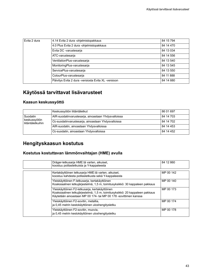| Evita 2 dura | 4.14 Evita 2 dura - ohjelmistopakkaus               | 84 15 794 |
|--------------|-----------------------------------------------------|-----------|
|              | 4.0 Plus Evita 2 dura -ohjelmistopakkaus            | 84 14 470 |
|              | Evita DC -varustesarja                              | 84 13 034 |
|              | ATC-varustesarja                                    | 84 14 556 |
|              | VentilationPlus-varustesarja                        | 84 13 540 |
|              | MonitoringPlus-varustesarja                         | 84 13 545 |
|              | ServicePlus-varustesarja                            | 84 13 550 |
|              | ColourPlus-varustesaria                             | 84 11 888 |
|              | Päivitys Evita 2 dura -versiosta Evita XL -versioon | 84 14 880 |

# **Käytössä tarvittavat lisävarusteet**

#### **Kaasun keskussyöttö**

|                                                 | Keskussyötön liitäntäletkut                         | 86 01 697 |
|-------------------------------------------------|-----------------------------------------------------|-----------|
| Suodatin<br>  keskussyötön<br>liitäntäletkuihin | AIR-suodatinvarustesarja, ainoastaan Yhdysvalloissa | 84 14 703 |
|                                                 | O2-suodatinvarustesarja, ainoastaan Yhdysvalloissa  | 84 14 702 |
|                                                 | AIR-suodatin, ainoastaan Yhdysvalloissa             | 84 14 453 |
|                                                 | O2-suodatin, ainoastaan Yhdysvalloissa              | 84 14 452 |

# **Hengityskaasun kostutus**

### **Kostutus kostuttavan lämmönvaihtajan (HME) avulla**

| Dräger-letkusarja HME:tä varten, aikuiset,<br>koostuu potilasletkuista ja Y-kappaleesta                                                                                                            | 84 12 860 |
|----------------------------------------------------------------------------------------------------------------------------------------------------------------------------------------------------|-----------|
| Kertakäyttöinen letkusarja HME:tä varten, aikuiset,<br>koostuu kahdesta potilasletkusta sekä Y-kappaleesta                                                                                         | MP 00 142 |
| Yleiskäyttöinen F-letkusarja, kertakäyttöinen<br>Koaksiaalinen letkujärjestelmä, 1,5 m, toimitusyksikkö: 30 kappaleen pakkaus                                                                      | MP 00 140 |
| Yleiskäyttöinen F2-letkusarja, kertakäyttöinen<br>Koaksiaalinen letkujärjestelmä, 1,5 m, toimitusyksikkö: 20 kappaleen pakkaus<br>Käytetään ainoastaan MP 00 174- tai MP 00 178 -sovittimen kanssa | MP 00 173 |
| Yleiskäyttöinen F2-sovitin, metallia,<br>ja 0,45 metrin kestokäyttöinen uloshengitysletku                                                                                                          | MP 00 174 |
| Yleiskäyttöinen F2-sovitin, muovia,<br>ja 0,45 metrin kestokäyttöinen uloshengitysletku                                                                                                            | MP 00 178 |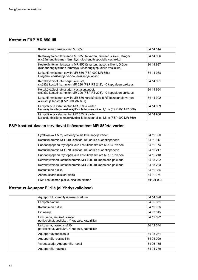#### **Kostutus F&P MR 850:llä**

| Kostuttimen perusyksikkö MR 850              |                                                                                                                                           | 84 14 144 |
|----------------------------------------------|-------------------------------------------------------------------------------------------------------------------------------------------|-----------|
|                                              | Kestokäyttöinen letkusarja MR 850:tä varten, aikuiset, silikoni, Dräger<br>(sisäänhengitysilman lämmitys, uloshengityspuolella vesilukko) | 84 14 986 |
|                                              | Kestokäyttöinen letkusarja MR 850:tä varten, lapset, silikoni, Dräger<br>(sisäänhengitysilman lämmitys, uloshengityspuolella vesilukko)   | 84 14 987 |
|                                              | Letkunlämmittimen sovitin MR 850 (F&P 900 MR 858)<br>Drägerin letkusarjoja varten, aikuiset ja lapset                                     | 84 14 968 |
| Kertakäyttöiset letkusarjat, aikuiset,       | sisältää kostutinkammion MR 290 (F&P RT 212), 10 kappaleen pakkaus                                                                        | 84 14 991 |
| Kertakäyttöiset letkusarjat, vastasyntyneet, | sisältää kostutinkammion MR 290 (F&P RT 225), 10 kappaleen pakkaus                                                                        | 84 14 994 |
| aikuiset ja lapset (F&P 900 MR 801)          | Letkunlämmittimen sovitin MR 850 kertakäyttöisiä RT-letkusarjoja varten,                                                                  | 84 14 992 |
|                                              | Lämpötila- ja virtausanturi MR 850:tä varten<br>kertakäyttöisille ja kestokäyttöisille letkusarjoille; 1,1 m (F&P 900 MR 868)             | 84 14 989 |
|                                              | Lämpötila- ja virtausanturi MR 850:tä varten<br>kertakäyttöisille ja kestokäyttöisille letkusarjoille; 1,5 m (F&P 900 MR 869)             | 84 14 966 |

#### **F&P-kostustukseen tarvittavat lisävarusteet MR 850:tä varten**

| Syöttölanka 1,5 m, kestokäyttöisiä letkusarjoja varten       | 84 11 050 |
|--------------------------------------------------------------|-----------|
|                                                              |           |
| Kostutinkammio MR 340, sisältää 100 arkkia suodatinpaperia   | 84 11 047 |
| Suodatinpaperin täyttöpakkaus kostutinkammiota MR 340 varten | 84 11 073 |
| Kostutinkammio MR 370, sisältää 100 arkkia suodatinpaperia   | 84 12 217 |
| Suodatinpaperin täyttöpakkaus kostutinkammiota MR 370 varten | 84 12 218 |
| Kertakäyttöinen kostutinkammio MR 290, 10 kappaleen pakkaus  | 84 18 282 |
| Kertakäyttöinen kostutinkammio MR 290, 40 kappaleen pakkaus  | 84 18 283 |
| Kostuttimen pidike                                           | 84 11 956 |
| Asennussarja (kiskon pidin)                                  | 84 11 074 |
| F&P-kostuttimen pidike, sisältää pitimen                     | MP 01 002 |

### **Kostutus Aquapor EL:llä (ei Yhdysvalloissa)**

|  | Aquapor EL -hengityskaasun kostutin                                                  | 84 14 698 |
|--|--------------------------------------------------------------------------------------|-----------|
|  | Lämpötila-anturi                                                                     | 84 05 371 |
|  | Kostuttimen pidike                                                                   | 84 11 956 |
|  | Pidinsaria                                                                           | 84 03 345 |
|  | Letkusarja, aikuiset, sisältö:<br>potilasletkut, vesilukot, Y-kappale, katetriliitin | 84 12 092 |
|  | Letkusarja, lapset, sisältö:<br>potilasletkut, vesilukot, Y-kappale, katetriliitin   | 84 12 344 |
|  | Aquapor-täyttöpakkaus                                                                | 84 05 031 |
|  | Aquapor EL -potilasliitin                                                            | 84 05 029 |
|  | Varaosasarja, Aquapor EL -kansi                                                      | 84 06 135 |
|  | Aguapor EL -kaukalo                                                                  | 84 04 739 |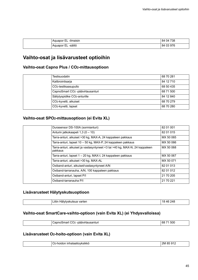|  | -ilmaisin<br>Aquapor<br>∟∟ | 738<br>04<br>-84 |
|--|----------------------------|------------------|
|  | -säiliö<br>Aquapor<br>∟∟   | 976<br>-84<br>υə |

## **Vaihto-osat ja lisävarusteet optioihin**

#### **Vaihto-osat Capno Plus / CO2-mittausoptioon**

|  | Testisuodatin                      | 68 70 281  |
|--|------------------------------------|------------|
|  | Kalibrointisarja                   | 84 12 710  |
|  | CO <sub>2</sub> -testikaasupullo   | 68 50 435  |
|  | CapnoSmart CO2 - päävirtausanturi  | 68 71 500  |
|  | Säilytyspidike CO2-anturille       | 84 12 840  |
|  | CO <sub>2</sub> -kyvetti, aikuiset | 168 70 279 |
|  | CO <sub>2</sub> -kyvetti, lapset   | 68 70 280  |

#### **Vaihto-osat SPO2-mittausoptioon (ei Evita XL)**

| Durasensor DS-100A (sormianturi)                                                       | 82 01 001 |
|----------------------------------------------------------------------------------------|-----------|
| Anturin jatkokaapeli 1,3 (0 - 10)                                                      | 82 01 015 |
| Tarra-anturi, aikuiset >30 kg, MAX-A, 24 kappaleen pakkaus                             | MX 50 065 |
| Tarra-anturi, lapset 10 - 50 kg, MAX-P, 24 kappaleen pakkaus                           | MX 50 066 |
| Tarra-anturi, aikuiset ja vastasyntyneet <3 tai >40 kg, MAX-N, 24 kappaleen<br>pakkaus | MX 50 068 |
| Tarra-anturi, lapset 1 - 20 kg, MAX-I, 24 kappaleen pakkaus                            | MX 50 067 |
| Tarra-anturi, aikuiset >30 kg, MAX-AL                                                  | MX 50 071 |
| Oxiband-anturi, aikuiset/vastasyntyneet A/N                                            | 82 01 013 |
| Oxiband-tarranauha, A/N, 100 kappaleen pakkaus                                         | 82 01 012 |
| Oxiband-anturi, lapset P/I                                                             | 21 70 205 |
| Oxiband-tarranauha P/I                                                                 | 21 70 221 |

#### **Lisävarusteet Hälytyskutsuoptioon**

| <br>Hälytyskutsua varten<br>∟iitin | 18 46 248<br>$\sim$ |
|------------------------------------|---------------------|

# **Vaihto-osat SmartCare-vaihto-optioon (vain Evita XL) (ei Yhdysvalloissa)**

| CapnoSmart CO <sub>2</sub> - päävirtausanturi | 68 71 500 |
|-----------------------------------------------|-----------|
|-----------------------------------------------|-----------|

#### **Lisävarusteet O2-hoito-optioon (vain Evita XL)**

| 2M.<br>าดเดอก<br><b><i>"IVISIKKU</i></b><br>117177111<br>.<br>້<br><br>.<br>.<br>_______ |
|------------------------------------------------------------------------------------------|
|------------------------------------------------------------------------------------------|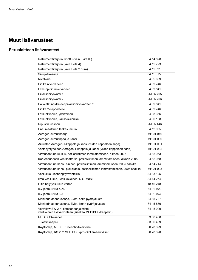# **Muut lisävarusteet**

#### **Peruslaitteen lisävarusteet**

| Instrumenttitarjotin, koottu (vain EvitaXL)                                                     | 84 14 828 |
|-------------------------------------------------------------------------------------------------|-----------|
| Instrumenttitarjotin (vain Evita 4)                                                             | 84 12 723 |
| Instrumenttitarjotin (vain Evita 2 dura)                                                        | 84 11 621 |
| Sivupidikesarja                                                                                 | 84 11 615 |
| Nivelvarsi                                                                                      | 84 09 609 |
| Pidike nivelvarteen                                                                             | 84 09 746 |
| Letkunpidin nivelvarteen                                                                        | 84 09 841 |
| Pikakiinnitysvarsi 1                                                                            | 2M 85 705 |
| Pikakiinnitysvarsi 2                                                                            | 2M 85 706 |
| Palloletkunpidikkeet pikakiinnitysvarteen 2                                                     | 84 09 841 |
| Pidike Y-kappaleelle                                                                            | 84 09 746 |
| Letkunkiinnike, yksittäinen                                                                     | 84 08 356 |
| Letkunkiinnike, kaksoiskiinnike                                                                 | 84 06 138 |
| Ripustin kiskoon                                                                                | 2M 85 446 |
| Pneumaattinen lääkesumutin                                                                      | 84 12 935 |
| Aerogen-sumutinsarja                                                                            | MP 01 010 |
| Aerogen-sumutinpää ja kansi                                                                     | MP 01 030 |
| Aikuisten Aerogen-T-kappale ja kansi (viiden kappaleen sarja)                                   | MP 01 031 |
| Vastasyntyneiden Aerogen-T-kappale ja kansi (viiden kappaleen sarja)                            | MP 01 032 |
| Virtausanturin luukku, potilasliittimen lämmittämiseen, alkaen 2005                             | 84 15 973 |
| Karkeasuodatin ventilaattoriin, potilasliittimen lämmittämiseen, alkaen 2005                    | 84 15 978 |
| Virtausanturin kansi, sininen, potilasliittimen lämmittämiseen, 2005 saakka                     | 84 14 714 |
| Virtausanturin kansi, pleksilasia, potilasliittimen lämmittämiseen, 2005 saakka                 | MP 01 003 |
| Vesilukko uloshengitysventtiiliin                                                               | 84 13 125 |
| Ilma-vesilukko, keskikokoinen, NIST/NIST                                                        | 84 14 274 |
| Liitin hälytyskutsua varten                                                                     | 18 46 248 |
| ILV-johto, Evita 4/XL                                                                           | 84 11 794 |
| ILV-johto, Evita 1/2                                                                            | 84 11 793 |
| Monitorin asennussarja, Evita, sekä pyöräjalusta                                                | 84 15 787 |
| Monitorin asennussarja, Evita, ilman pyöräjalustaa                                              | 84 15 850 |
| VentView SW 2.n -tietokoneohjelmisto<br>ventiloinnin lisävalvontaan (sisältää MEDIBUS-kaapelin) | 84 15 909 |
| MEDIBUS-kaapeli                                                                                 | 83 06 488 |
| Tulostinkaapeli                                                                                 | 83 06 489 |
| Käyttöohje, MEDIBUS tehohoitolaitteille                                                         | 90 28 329 |
| Käyttöohje, RS 232 MEDIBUS -protokollamääritykset                                               | 90 28 320 |
|                                                                                                 |           |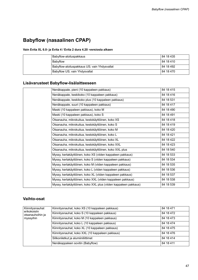# **Babyflow (nasaalinen CPAP)**

#### **Vain Evita XL 6.0- ja Evita 4 / Evita 2 dura 4.20 -versiosta alkaen**

|  | Babyflow-aloituspakkaus                      | 84 18 435   |
|--|----------------------------------------------|-------------|
|  | Babyflow                                     | 84 18 410   |
|  | Babyflow-aloituspakkaus US; vain Yhdysvallat | 84 18 492   |
|  | Babyflow US; vain Yhdysvallat                | l 84 18 470 |

### **Lisävarusteet Babyflow-lisälaitteeseen**

| Nenäkappale, pieni (10 kappaleen pakkaus)                        | 84 18 415  |
|------------------------------------------------------------------|------------|
| Nenäkappale, keskikoko (10 kappaleen pakkaus)                    | 84 18 416  |
| Nenäkappale, keskikoko plus (10 kappaleen pakkaus)               | 84 18 531  |
| Nenäkappale, suuri (10 kappaleen pakkaus)                        | 84 18 417  |
| Maski (10 kappaleen pakkaus), koko M                             | 84 18 490  |
| Maski (10 kappaleen pakkaus), koko S                             | 84 18 491  |
| Otsanauha, mikrokuitua, kestokäyttöinen, koko XS                 | 84 18 418  |
| Otsanauha, mikrokuitua, kestokäyttöinen, koko S                  | 84 18 419  |
| Otsanauha, mikrokuitua, kestokäyttöinen, koko M                  | 84 18 4 20 |
| Otsanauha, mikrokuitua, kestokäyttöinen, koko L                  | 84 18 421  |
| Otsanauha, mikrokuitua, kestokäyttöinen, koko XL                 | 84 18 422  |
| Otsanauha, mikrokuitua, kestokäyttöinen, koko XXL                | 84 18 423  |
| Otsanauha, mikrokuitua, kestokäyttöinen, koko XXL plus           | 84 18 540  |
| Myssy, kertakäyttöinen, koko XS (viiden kappaleen pakkaus)       | 84 18 533  |
| Myssy, kertakäyttöinen, koko S (viiden kappaleen pakkaus)        | 84 18 534  |
| Myssy, kertakäyttöinen, koko M (viiden kappaleen pakkaus)        | 84 18 535  |
| Myssy, kertakäyttöinen, koko L (viiden kappaleen pakkaus)        | 84 18 536  |
| Myssy, kertakäyttöinen, koko XL (viiden kappaleen pakkaus)       | 84 18 537  |
| Myssy, kertakäyttöinen, koko XXL (viiden kappaleen pakkaus)      | 84 18 538  |
| Myssy, kertakäyttöinen, koko XXL plus (viiden kappaleen pakkaus) | 84 18 539  |
|                                                                  |            |

#### **Vaihto-osat**

| Kiinnitysnauhat<br>erikokoisiin<br>otsanauhoihin ja | Kiinnitysnauhat, koko XS (10 kappaleen pakkaus)  | 84 18 471 |
|-----------------------------------------------------|--------------------------------------------------|-----------|
|                                                     | Kiinnitysnauhat, koko S (10 kappaleen pakkaus)   | 84 18 472 |
| myssyihin                                           | Kiinnitysnauhat, koko M (10 kappaleen pakkaus)   | 84 18 473 |
|                                                     | Kiinnitysnauhat, koko L (10 kappaleen pakkaus)   | 84 18 474 |
|                                                     | Kiinnitysnauhat, koko XL (10 kappaleen pakkaus)  | 84 18 475 |
|                                                     | Kiinnitysnauhat, koko XXL (10 kappaleen pakkaus) | 84 18 476 |
|                                                     | Silikoniletkut ja alumiiniliittimet              | 84 18 414 |
|                                                     | Nenäkappaleen sovitin (Babyflow)                 | 84 18 411 |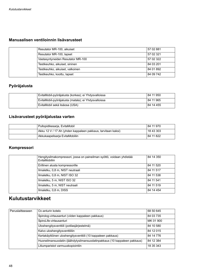### **Manuaalisen ventiloinnin lisävarusteet**

| Resutator MR-100, aikuiset        | 57 02 881 |
|-----------------------------------|-----------|
| Resutator MR-100, lapset          | 57 02 321 |
| Vastasyntyneiden Resutator MR-100 | 57 02 322 |
| Testikeuhko, aikuiset, sininen    | 84 03 201 |
| Testikeuhko, aikuiset, valkoinen  | 84 01 892 |
| Testikeuhko, koottu, lapset       | 84 09 742 |

### **Pyöräjalusta**

| EvitaMobil-pyöräjalusta (korkea); ei Yhdysvalloissa | 84 11 950 |
|-----------------------------------------------------|-----------|
| EvitaMobil-pyöräjalusta (matala); ei Yhdysvalloissa | 84 11 965 |
| EvitaMobil sekä lisäosa (USA)                       | 84 14 455 |

### **Lisävarusteet pyöräjalustaa varten**

| l Pullopidikesarja, EvitaMobil                               | 84 11 970 |
|--------------------------------------------------------------|-----------|
| Akku 12 V / 17 Ah (yhden kappaleen pakkaus, tarvitaan kaksi) | 18 43 303 |
| Akkukaapelisarja EvitaMobiliin                               | 84 11 822 |

#### **Kompressori**

|  | Hengitysilmakompressori, jossa on paineilman syöttö, voidaan yhdistää<br>EvitaMobiliin | 84 14 350 |
|--|----------------------------------------------------------------------------------------|-----------|
|  | Erillinen alusta kompressorille                                                        | 84 11 520 |
|  | Ilmaletku, 0,8 m, NIST neutraali                                                       | 84 11 517 |
|  | Ilmaletku, 0,8 m, NIST ISO 32                                                          | 84 11 538 |
|  | Ilmaletku, 5 m, NIST ISO 32                                                            | 84 11 541 |
|  | Ilmaletku, 5 m, NIST neutraali                                                         | 84 11 519 |
|  | Ilmaletku, 0,8 m, DISS                                                                 | 84 14 454 |

# **Kulutustarvikkeet**

| Peruslaitteeseen | O <sub>2</sub> -anturin kotelo                                           | 68 50 645 |
|------------------|--------------------------------------------------------------------------|-----------|
|                  | Spirolog-virtausanturi (viiden kappaleen pakkaus)                        | 84 03 735 |
|                  | SpiroLife-virtausanturi                                                  | MK 01 900 |
|                  | Uloshengitysventtiili (potilasjärjestelmä)                               | 84 10 580 |
|                  | Kalvo uloshengitysventtiiliin                                            | 84 12 015 |
|                  | Kertakäyttöinen uloshengitysventtiili (10 kappaleen pakkaus)             | 84 14 776 |
|                  | Huoneilmansuodatin-/jäähdytysilmansuodatinpakkaus (10 kappaleen pakkaus) | 84 12 384 |
|                  | Litiumparistot varmuuskopiointiin                                        | 18 35 343 |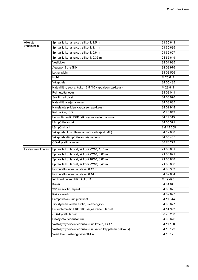| Aikuisten            | Spiraaliletku, aikuiset, silikoni; 1,5 m                  | 21 65 643 |
|----------------------|-----------------------------------------------------------|-----------|
| ventilointiin        | Spiraaliletku, aikuiset, silikoni; 1,1 m                  | 21 65 635 |
|                      | Spiraaliletku, aikuiset, silikoni; 0,6 m                  | 21 65 627 |
|                      | Spiraaliletku, aikuiset, silikoni; 0,35 m                 | 21 65 619 |
|                      | Vesilukko                                                 | 84 04 985 |
|                      | Aquapor EL -säiliö                                        | 84 03 976 |
|                      | Letkunpidin                                               | 84 03 566 |
|                      | Holkki                                                    | M 25 647  |
|                      | Y-kappale                                                 | 84 05 435 |
|                      | Katetriliitin, suora, koko 12,5 (10 kappaleen pakkaus)    | M 23 841  |
|                      | Poimutettu letku                                          | 84 02 041 |
|                      | Sovitin, aikuiset                                         | 84 03 076 |
|                      | Katetriliitinsarja, aikuiset                              | 84 03 685 |
|                      | Kansisarja (viiden kappaleen pakkaus)                     | 84 02 918 |
|                      | Kulmaliitin, ISO                                          | M 25 649  |
|                      | Letkunlämmitin F&P letkusarjaa varten, aikuiset           | 84 11 045 |
|                      | Lämpötila-anturi                                          | 84 05 371 |
|                      | Lämpömittari                                              | 2M 13 259 |
|                      | Y-kappale, kostuttava lämmönvaihtaja (HME)                | 84 12 888 |
|                      | Y-kappale (lämpötila-anturia varten)                      | 84 05 435 |
|                      | CO2-kyvetti, aikuiset                                     | 68 70 279 |
| Lasten ventilointiin | Spiraaliletku, lapset, silikoni 22/10; 1,10 m             | 21 65 651 |
|                      | Spiraaliletku, lapset, silikoni 22/10; 0,60 m             | 21 65 821 |
|                      | Spiraaliletku, lapset, silikoni 10/10; 0,60 m             | 21 65 848 |
|                      | Spiraaliletku, lapset, silikoni 22/10; 0,40 m             | 21 65 856 |
|                      | Poimutettu letku, joustava; 0,13 m                        | 84 03 333 |
|                      | Poimutettu letku, joustava; 0,14 m                        | 84 09 634 |
|                      | Intubointiputken liitin, koko 11                          | M 19 490  |
|                      | Kansi                                                     | 84 01 645 |
|                      | 90°:en sovitin, lapset                                    | 84 03 075 |
|                      | Kaksoiskartio                                             | 84 09 897 |
|                      | Lämpötila-anturin pidikkeet                               | 84 11 044 |
|                      | Tiivistyneen veden erotin, uloshengitys                   | 84 09 627 |
|                      | Letkunlämmitin F&P letkusarjaa varten, lapset             | 84 14 993 |
|                      | CO <sub>2</sub> -kyvetti, lapset                          | 68 70 280 |
|                      | Liitosjohto, virtausanturi                                | 84 09 626 |
|                      | Vastasyntyneiden virtausanturin kotelo, ISO 15            | 84 11 130 |
|                      | Vastasyntyneiden virtausanturi (viiden kappaleen pakkaus) | 84 10 179 |
|                      | Vesilukko uloshengitysventtiiliin                         | 84 13 125 |
|                      |                                                           |           |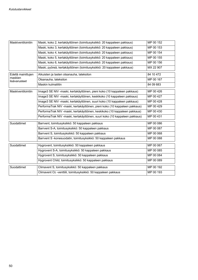| Maskiventilointiin       | Maski, koko 2, kertakäyttöinen (toimitusyksikkö: 20 kappaleen pakkaus)      | MP 00 152 |
|--------------------------|-----------------------------------------------------------------------------|-----------|
|                          | Maski, koko 3, kertakäyttöinen (toimitusyksikkö: 20 kappaleen pakkaus)      | MP 00 153 |
|                          | Maski, koko 4, kertakäyttöinen (toimitusyksikkö: 20 kappaleen pakkaus)      | MP 00 154 |
|                          | Maski, koko 5, kertakäyttöinen (toimitusyksikkö: 20 kappaleen pakkaus)      | MP 00 155 |
|                          | Maski, koko 6, kertakäyttöinen (toimitusyksikkö: 20 kappaleen pakkaus)      | MP 00 156 |
|                          | Maski, pyöreä, kertakäyttöinen (toimitusyksikkö: 20 kappaleen pakkaus)      | MX 22 907 |
| Edellä mainittujen       | Aikuisten ja lasten otsanauha, lateksiton                                   | 84 10 472 |
| maskien<br>lisävarusteet | Otsanauha, lateksiton                                                       | MP 00 167 |
|                          | Maskin kulmaliitin                                                          | 84 09 683 |
| Maskiventilointiin       | Image3 SE NIV -maski, kertakäyttöinen, pieni koko (10 kappaleen pakkaus)    | MP 00 426 |
|                          | Image3 SE NIV -maski, kertakäyttöinen, keskikoko (10 kappaleen pakkaus)     | MP 00 427 |
|                          | Image3 SE NIV -maski, kertakäyttöinen, suuri koko (10 kappaleen pakkaus)    | MP 00 428 |
|                          | PerformaTrak NIV -maski, kertakäyttöinen, pieni koko (10 kappaleen pakkaus) | MP 00 429 |
|                          | PerformaTrak NIV -maski, kertakäyttöinen, keskikoko (10 kappaleen pakkaus)  | MP 00 430 |
|                          | PerformaTrak NIV -maski, kertakäyttöinen, suuri koko (10 kappaleen pakkaus) | MP 00 431 |
| Suodattimet              | Barrvent, toimitusyksikkö: 50 kappaleen pakkaus                             | MP 00 086 |
|                          | Barrvent S-A, toimitusyksikkö: 50 kappaleen pakkaus                         | MP 00 087 |
|                          | Barrvent S, toimitusyksikkö: 50 kappaleen pakkaus                           | MP 00 068 |
|                          | Barrvent S-konesuodatin, toimitusyksikkö: 50 kappaleen pakkaus              | MP 00 088 |
| Suodattimet              | Hygrovent, toimitusyksikkö: 50 kappaleen pakkaus                            | MP 00 067 |
|                          | Hygrovent S-A, toimitusyksikkö: 50 kappaleen pakkaus                        | MP 00 085 |
|                          | Hygrovent S, toimitusyksikkö: 50 kappaleen pakkaus                          | MP 00 084 |
|                          | Hygrovent Child, toimitusyksikkö: 50 kappaleen pakkaus                      | MP 00 089 |
| Suodattimet              | Climavent S, toimitusyksikkö: 50 kappaleen pakkaus                          | MP 00 192 |
|                          | Climavent O2 -venttiili, toimitusyksikkö: 50 kappaleen pakkaus              | MP 00 193 |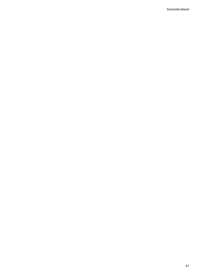*Kulutustarvikkeet*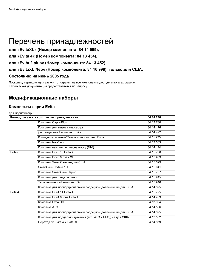# Пеpечень пpинадлежностей

**для »EvitaXL« (Номер компонента: 84 14 999),**

**для »Evita 4« (Номер компонента: 84 13 454),**

**для »Evita 2 plus« (Номер компонента: 84 13 452),**

**для »EvitaXL Neo« (Номер компонента: 84 16 999); только для США.**

#### **Состояние: на июнь 2005 года**

Поскольку сертификация зависит от страны, не все компоненты доступны во всех странах! Техническая документация предоставляется по запросу.

## **Модификационные наборы**

#### **Комплекты серии Evita**

для модификации

|         | Номер для заказа комплектов приведен ниже                    | 84 14 240 |
|---------|--------------------------------------------------------------|-----------|
|         | Комплект CapnoPlus                                           | 84 13 780 |
|         | Комплект для вызова медсестры                                | 84 14 476 |
|         | Дистанционный комплект Evita                                 | 84 14 472 |
|         | Коммуникационный/Связующий комплект Evita                    | 84 11 735 |
|         | Комплект NeoFlow                                             | 84 13 563 |
|         | Комплект вентиляции через маску (NIV)                        | 84 14 474 |
| EvitaXL | Комплект ПО 5.10 Evita XL                                    | 84 15 700 |
|         | Комплект ПО 6.0 Evita XL                                     | 84 15 939 |
|         | Комплект SmartCare; не для США                               | 84 15 699 |
|         | SmartCare Update 1.1                                         | 84 15 941 |
|         | Комплект SmartCare Capno                                     | 84 15 737 |
|         | Комплект для защиты легких                                   | 84 15 945 |
|         | Терапевтический комплект О2                                  | 84 15 946 |
|         | Комплект для пропорциональной поддержки давления; не для США | 84 14 875 |
| Evita 4 | Комплект ПО 4.14 Fvita 4                                     | 84 15 795 |
|         | Комплект ПО 4.0 Plus Evita 4                                 | 84 14 469 |
|         | Комплект Evita DC                                            | 84 13 034 |
|         | Комплект АТС                                                 | 84 14 556 |
|         | Комплект для пропорциональной поддержки давления; не для США | 84 14 875 |
|         | Комплект для поддержки дыхания (вкл. ATC и PPS); не для США  | 84 13 562 |
|         | Переход от Evita 4 к Evita XL                                | 84 14 879 |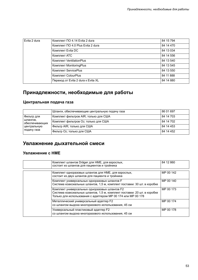| Evita 2 dura | Комплект ПО 4.14 Evita 2 dura      | 84 15 794 |
|--------------|------------------------------------|-----------|
|              | Комплект ПО 4.0 Plus Evita 2 dura  | 84 14 470 |
|              | Комплект Evita DC                  | 84 13 034 |
|              | Комплект ATC                       | 84 14 556 |
|              | Комплект VentilationPlus           | 84 13 540 |
|              | Комплект MonitoringPlus            | 84 13 545 |
|              | Комплект ServicePlus               | 84 13 550 |
|              | Комплект ColourPlus                | 84 11 888 |
|              | Переход от Evita 2 dura к Evita XL | 84 14 880 |

# **Принадлежности, необходимые для работы**

#### **Центральная подача газа**

|                                                                            | Шланги, обеспечивающие центральную подачу газа | 86 01 697 |
|----------------------------------------------------------------------------|------------------------------------------------|-----------|
| Фильтр для<br>  шлангов,<br>обеспечивающих<br>  центральную<br>подачу газа | Комплект фильтров AIR; только для США          | 84 14 703 |
|                                                                            | Комплект фильтров О2; только для США           | 84 14 702 |
|                                                                            | Фильтр AIR; только для США                     | 84 14 453 |
|                                                                            | Фильтр О2; только для США                      | 84 14 452 |

### **Увлажнение дыхательной смеси**

#### **Увлажнение с HME**

| Комплект шлангов Dräger для HME, для взрослых,<br>состоит из шлангов для пациентов и тройника                                                                                             | 84 12 860 |
|-------------------------------------------------------------------------------------------------------------------------------------------------------------------------------------------|-----------|
| Комплект одноразовых шлангов для НМЕ, для взрослых,<br>состоит из двух шлангов для пациента и тройника                                                                                    | MP 00 142 |
| Комплект универсальных одноразовых шлангов F<br>Система коаксиальных шлангов, 1,5 м, комплект поставки: 30 шт. в коробке                                                                  | MP 00 140 |
| Комплект универсальных одноразовых шлангов F2<br>Система коаксиальных шлангов, 1,5 м, комплект поставки: 20 шт. в коробке<br>Только для использования с адаптером MP 00 174 или MP 00 178 | MP 00 173 |
| Металлический универсальный адаптер F2<br>со шлангом выдоха многоразового использования, 45 см                                                                                            | MP 00 174 |
| Универсальный пластиковый адаптер F2<br>со шлангом выдоха многоразового использования, 45 см                                                                                              | MP 00 178 |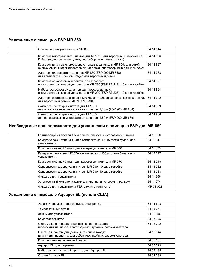### **Увлажнение с помощью F&P MR 850**

|  | Основной блок увлажнителя MR 850                                                                                                               | 84 14 144 |
|--|------------------------------------------------------------------------------------------------------------------------------------------------|-----------|
|  | Комплект многоразовых шлангов для MR 850, для взрослых, силиконовые,<br>Dräger (подогрев линии вдоха, влагосборник в линии выдоха)             | 84 14 986 |
|  | Комплект шлангов многоразового использования для MR 850, для детей,<br>силиконовые, Dräger (подогрев линии вдоха, влагосборник в линии выдоха) | 84 14 987 |
|  | Адаптер подогревателя шлангов MR 850 (F&P 900 MR 858)<br>для комплектов шлангов Dräger, для взрослых и детей                                   | 84 14 968 |
|  | Комплект одноразовых шлангов, для взрослых,<br>в комплекте с камерой увлажнителя MR 290 (F&P RT 212), 10 шт. в коробке                         | 84 14 991 |
|  | Наборы одноразовых шлангов, для новорожденных,<br>в комплекте с камерой увлажнителя MR 290 (F&P RT 225), 10 шт. в коробке                      | 84 14 994 |
|  | Адаптер подогревателя шланга MR 850 для набора одноразовых шлангов RT,<br>для взрослых и детей (F&P 900 MR 801)                                | 84 14 992 |
|  | Датчик температуры и потока для MR 850<br>для одноразовых и многоразовых шлангов, 1,10 м (F&P 900 MR 868)                                      | 84 14 989 |
|  | Датчик температуры и потока для MR 850<br>для одноразовых и многоразовых шлангов, 1,50 м (F&P 900 MR 869)                                      | 84 14 966 |

#### **Необходимые принадлежности для увлажнения с помощью F&P для MR 850**

| Втягивающийся провод 1,5 м для комплектов многоразовых шлангов                 | 84 11 050 |
|--------------------------------------------------------------------------------|-----------|
| Камера увлажнителя MR 340 в комплекте со 100 листами бумаги для<br>увлажнителя | 84 11 047 |
| Комплект сменной бумаги для камеры увлажнителя MR 340                          | 84 11 073 |
| Камера увлажнителя MR 370 в комплекте со 100 листами бумаги для<br>увлажнителя | 84 12 217 |
| Комплект сменной бумаги для камеры увлажнителя MR 370                          | 84 12 218 |
| Одноразовая камера увлажнителя MR 290, 10 шт. в коробке                        | 84 18 282 |
| Одноразовая камера увлажнителя MR 290, 40 шт. в коробке                        | 84 18 283 |
| Фиксатор для увлажнителя                                                       | 84 11 956 |
| Установочный комплект (зажим для крепления системы к рельсу)                   | 84 11 074 |
| Фиксатор для увлажнителя F&P, зажим в комплекте                                | MP 01 002 |

### **Увлажнение с помощью Aquapor EL (не для США)**

|  | Увлажнитель дыхательной смеси Aquapor EL                                                                        | 84 14 698 |
|--|-----------------------------------------------------------------------------------------------------------------|-----------|
|  | Температурный датчик                                                                                            | 84 05 371 |
|  | Зажим для увлажнителя                                                                                           | 84 11 956 |
|  | Комплект зажимов                                                                                                | 84 03 345 |
|  | Система шлангов, для взрослых, в состав входят:<br>шланги для пациента, влагосборники, тройник, разъем катетера | 84 12 092 |
|  | Система шлангов, для детей, в комплект входят:<br>шланги для пациента, влагосборники, тройник, разъем катетера  | 84 12 344 |
|  | Комплект для наполнения Aquapor                                                                                 | 84 05 031 |
|  | Aquapor EL для пациента                                                                                         | 84 05 029 |
|  | Набор запасных частей, крышка для Aquapor EL                                                                    | 84 06 135 |
|  | Столик Aquapor EL                                                                                               | 84 04 739 |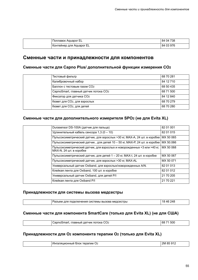| Aquapor<br>Чоплавок<br>-<br>╺╺           | 738<br>04<br>84        |
|------------------------------------------|------------------------|
| для Aquapor El<br>Контейнер<br>╺╺╸<br>-- | 976<br>^^<br>84<br>ັບບ |

### **Сменные части и принадлежности для компонентов**

#### **Сменные части для Capno Plus/ дополнительной функции измерения CO2**

|  | Тестовый фильтр                       | 68 70 281 |
|--|---------------------------------------|-----------|
|  | Калибровочный набор                   | 84 12 710 |
|  | I Баллон с тестовым газом CO2         | 68 50 435 |
|  | CapnoSmart, главный датчик потока CO2 | 68 71 500 |
|  | Фиксатор для датчика СО2              | 84 12 840 |
|  | Кювет для СО2, для взрослых           | 68 70 279 |
|  | Кювет для СО2, для детей              | 68 70 280 |

#### **Сменные части для дополнительного измерителя SPO2 (не для Evita XL)**

| Durasensor DS-100A (датчик для пальца)                                                                          | 82 01 001 |
|-----------------------------------------------------------------------------------------------------------------|-----------|
| Удлинительный кабель сенсора 1,3 (0 - 10)                                                                       | 82 01 015 |
| Пульсоксиметрический датчик, для взрослых >30 кг, МАХ-А, 24 шт. в коробке   МХ 50 065                           |           |
| Пульсоксиметрический датчик, для детей 10 – 50 кг, МАХ-Р, 24 шт. в коробке   МХ 50.066                          |           |
| Пульсоксиметрический датчик, для взрослых и новорожденных <3 или >40 кг,   МХ 50 068<br>МАХ-N, 24 шт. в коробке |           |
| Пульсоксиметрический датчик, для детей 1 – 20 кг, МАХ-I, 24 шт. в коробке                                       | MX 50 067 |
| Пульсоксиметрический датчик, для взрослых >30 кг, MAX-AL                                                        | MX 50 071 |
| Универсальный датчик Oxiband, для взрослых/новорожденных A/N.                                                   | 82 01 013 |
| Клейкая лента для Oxiband, 100 шт. в коробке                                                                    | 82 01 012 |
| Универсальный датчик Oxiband, для детей P/I                                                                     | 21 70 205 |
| Клейкая лента для Oxiband P/I                                                                                   | 21 70 221 |

#### **Принадлежности для системы вызова медсестры**

| Разъем для подключения системы вызова медсестры | 248<br>46<br>∠−™<br>−∾<br>$\sim$ |
|-------------------------------------------------|----------------------------------|
|-------------------------------------------------|----------------------------------|

#### **Сменные части для компонента SmartCare (только для Evita XL) (не для США)**

| 500<br>68<br>מרי<br>главный датчик<br>شapnoSmart<br>потока<br>- JUZ<br>. |  |
|--------------------------------------------------------------------------|--|
|--------------------------------------------------------------------------|--|

#### **Принадлежности для O2 компонента терапии O2 (только для Evita XL)**

|--|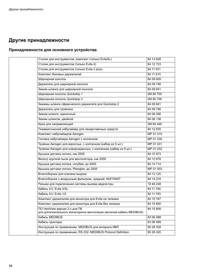# **Другие принадлежности**

# **Принадлежности для основного устройства**

| Столик для инструментов, комплект (только EvitaXL)                  | 84 14 828 |
|---------------------------------------------------------------------|-----------|
| Столик для инструментов (только Evita 4)                            | 84 12 723 |
| Столик для инструментов (только Evita 2 plus)                       | 84 11 621 |
| Комплект боковых держателей                                         | 84 11 615 |
| Шарнирная консоль                                                   | 84 09 609 |
| Держатель для шарнирной консоли                                     | 84 09 746 |
| Зажим шланга для шарнирной консоли                                  | 84 09 841 |
| Шарнирная консоль Quickstop 1                                       | 2M 85 705 |
| Шарнирная консоль Quickstop 2                                       | 2M 85 706 |
| Зажимы шланга сферического держателя для Quickstop 2                | 84 09 841 |
| Держатель для тройника                                              | 84 09 746 |
| Зажим шланга, одиночный                                             | 84 08 356 |
| Зажим шлангов, двойной                                              | 84 06 138 |
| Крюк для направляющей                                               | 2M 85 446 |
| Пневматический небулайзер для лекарственных средств                 | 84 12 935 |
| Комплект небулайзеров Aerogen                                       | MP 01 010 |
| Головка небулайзера Aerogen с колпачком                             | MP 01 030 |
| Тройник Aerogen для взрослых, с колпачком (набор из 5 шт.)          | MP 01 031 |
| Тройник Aerogen для новорожденных, с колпачком (набор из 5 шт.)     | MP 01 032 |
| Крышка датчика потока, как 2005                                     | 84 15 973 |
| Фильтр крупной пыли для вентилятора, как 2005                       | 84 15 978 |
| Крышка датчика потока, голубая, до 2005                             | 84 14 714 |
| Крышка датчика потока, Plexiglas, до 2005                           | MP 01 003 |
| Влагосборник для клапана выдоха                                     | 84 13 125 |
| Влагосборник с воздушным фильтром, средний, NIST/NIST               | 84 14 274 |
| Разъем для подключения системы вызова медсестры                     | 18 46 248 |
| Кабель ILV, Evita 4/XL                                              | 84 11 794 |
| Кабель ILV, Evita 1/2                                               | 84 11 793 |
| Комплект держателей для монитора для Evita на тележке               | 84 15 787 |
| Комплект держателей для монитора для Evita без тележки              | 84 15 850 |
| ПО VentView версии 2.n для ПК                                       | 84 15 909 |
| для дополнительного мониторинга вентиляции (включая кабель MEDIBUS) |           |
| Кабель MEDIBUS                                                      | 83 06 488 |
| Кабель принтера                                                     | 83 06 489 |
| Инструкция по применению, MEDIBUS для аппарата ИВЛ                  | 90 28 329 |
| Инструкция по применению, RS 232- MEDIBUS Protocol Definition       | 90 28 320 |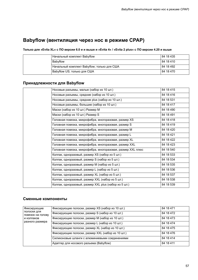# **Babyflow (вентиляция через нос в режиме CPAP)**

Только для »Evita XL« с ПО версии 6.0 и и выше и »Evita 4« / »Evita 2 plus« с ПО версии 4.20 и выше

| I Начальный комплект Babyflow               | 84 18 435 |
|---------------------------------------------|-----------|
| Babyflow                                    | 84 18 410 |
| Начальный комплект Babyflow; только для США | 84 18 492 |
| Babyflow US; только для США                 | 84 18 470 |

#### **Принадлежности для Babyflow**

| Носовые разъемы, малые (набор из 10 шт.)                    | 84 18 415  |
|-------------------------------------------------------------|------------|
| Носовые разъемы, средние (набор из 10 шт.)                  | 84 18 4 16 |
| Носовые разъемы, средние plus (набор из 10 шт.)             | 84 18 531  |
| Носовые разъемы, большие (набор из 10 шт.)                  | 84 18 417  |
| Маски (набор из 10 шт.) Размер М                            | 84 18 490  |
| Маски (набор из 10 шт.) Размер S                            | 84 18 491  |
| Головная повязка, микрофибра, многоразовая, размер XS       | 84 18 4 18 |
| Головная повязка, микрофибра, многоразовая, размер S        | 84 18 419  |
| Головная повязка, микрофибра, многоразовая, размер М        | 84 18 4 20 |
| Головная повязка, микрофибра, многоразовая, размер L        | 84 18 421  |
| Головная повязка, микрофибра, многоразовая, размер XL       | 84 18 422  |
| Головная повязка, микрофибра, многоразовая, размер XXL      | 84 18 423  |
| Головная повязка, микрофибра, многоразовая, размер XXL плюс | 84 18 540  |
| Колпак, одноразовый, размер XS (набор из 5 шт.)             | 84 18 533  |
| Колпак, одноразовый, размер S (набор из 5 шт.)              | 84 18 534  |
| Колпак, одноразовый, размер М (набор из 5 шт.)              | 84 18 535  |
| Колпак, одноразовый, размер L (набор из 5 шт.)              | 84 18 536  |
| Колпак, одноразовый, размер XL (набор из 5 шт.)             | 84 18 537  |
| Колпак, одноразовый, размер XXL (набор из 5 шт.)            | 84 18 538  |
| Колпак, одноразовый, размер XXL plus (набор из 5 шт.)       | 84 18 539  |

#### **Сменные компоненты**

| <b>Фиксирующие</b><br>ПОЛОСКИ ДЛЯ<br>повязок на голову | Фиксирующие полоски, размер XS (набор из 10 шт.)  | 84 18 471 |
|--------------------------------------------------------|---------------------------------------------------|-----------|
|                                                        | Фиксирующие полоски, размер S (набор из 10 шт.)   | 84 18 472 |
| и колпаков                                             | Фиксирующие полоски, размер М (набор из 10 шт.)   | 84 18 473 |
| разного размера                                        | фиксирующие полоски, размер L (набор из 10 шт.)   | 84 18 474 |
|                                                        | Фиксирующие полоски, размер XL (набор из 10 шт.)  | 84 18 475 |
|                                                        | Фиксирующие полоски, размер XXL (набор из 10 шт.) | 84 18 476 |
|                                                        | Силиконовые шланги с алюминиевыми соединениями    | 84 18 414 |
|                                                        | Адаптер для носового разъема (Babyflow)           | 84 18 411 |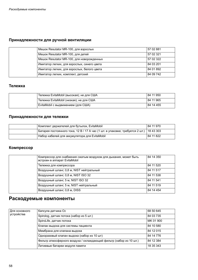### **Принадлежности для ручной вентиляции**

| Мешок Resutator MR-100, для взрослых        | 57 02 881 |
|---------------------------------------------|-----------|
| Мешок Resutator MR-100, для детей           | 57 02 321 |
| Мешок Resutator MR-100, для новорожденных   | 57 02 322 |
| Имитатор легких, для взрослых, синего цвета | 84 03 201 |
| Имитатор легких, для взрослых, белого цвета | 84 01 892 |
| Имитатор легких, комплект, детский          | 84 09 742 |

#### **Тележка**

| Тележка EvitaMobil (высокая); не для США | 84 11 950   |
|------------------------------------------|-------------|
| Тележка EvitaMobil (низкая); не для США  | l 84 11 965 |
| EvitaMobil с выдвижением (для США)       | 84 14 455   |

### **Принадлежности для тележки**

| I Комплект держателей для бутылок, EvitaMobil                                             | 84 11 970 |
|-------------------------------------------------------------------------------------------|-----------|
| Батарея постоянного тока, 12 В / 17 А час (1 шт. в упаковке; требуется 2 шт.)   18 43 303 |           |
| Набор кабелей для аккумулятора для EvitaMobil                                             | 84 11 822 |

#### **Компрессор**

| Компрессор для снабжения сжатым воздухом для дыхания, может быть<br>встроен в аппарат EvitaMobil | 84 14 350   |
|--------------------------------------------------------------------------------------------------|-------------|
| Тележка для компрессора                                                                          | l 84 11 520 |
| Воздушный шланг, 0,8 м, NIST нейтральный                                                         | 84 11 517   |
| Воздушный шланг, 0,8 м, NIST ISO 32                                                              | 84 11 538   |
| Воздушный шланг, 5 м, NIST ISO 32                                                                | 84 11 541   |
| Воздушный шланг, 5 м, NIST нейтральный                                                           | l 84 11 519 |
| Воздушный шланг, 0,8 м, DISS                                                                     | 84 14 454   |

# **Расходуемые компоненты**

| Для основного<br>устройства | Капсула датчика О2                                                 | 68 50 645 |
|-----------------------------|--------------------------------------------------------------------|-----------|
|                             | Spirolog, датчик потока (набор из 5 шт.)                           | 84 03 735 |
|                             | SpiroLife, датчик потока                                           | MK 01 900 |
|                             | Клапан выдоха для системы пациента                                 | 84 10 580 |
|                             | Мембрана для клапана выдоха                                        | 84 12 015 |
|                             | Одноразовый клапан выдоха (набор из 10 шт)                         | 84 14 776 |
|                             | Фильтр атмосферного воздуха / охлаждающий фильтр (набор из 10 шт.) | 84 12 384 |
|                             | Литиевые батареи модуля памяти                                     | 18 35 343 |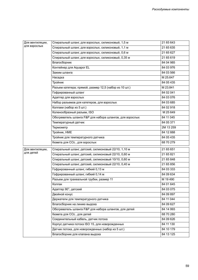| Для вентиляции, | Спиральный шланг, для взрослых, силиконовый, 1,5 м       | 21 65 643 |
|-----------------|----------------------------------------------------------|-----------|
| для взрослых    | Спиральный шланг, для взрослых, силиконовый, 1,1 м       | 21 65 635 |
|                 | Спиральный шланг, для взрослых, силиконовый, 0,6 м       | 21 65 627 |
|                 | Спиральный шланг, для взрослых, силиконовый, 0,35 м      | 21 65 619 |
|                 | Влагосборник                                             | 84 04 985 |
|                 | Контейнер для Aquapor EL                                 | 84 03 976 |
|                 | Зажим шланга                                             | 84 03 566 |
|                 | Насадка                                                  | M 25.647  |
|                 | Тройник                                                  | 84 05 435 |
|                 | Разъем катетера; прямой, размер 12,5 (набор из 10 шт.)   | M 23.841  |
|                 | Гофрированный шланг                                      | 84 02 041 |
|                 | Адаптер для взрослых                                     | 84 03 076 |
|                 | Набор разъемов для катетеров, для взрослых               | 84 03 685 |
|                 | Колпаки (набор из 5 шт.)                                 | 84 02 918 |
|                 | Коленообразный разъем, ISO                               | M 25 649  |
|                 | Обогреватель шланга F&P для набора шлангов, для взрослых | 84 11 045 |
|                 | Температурный датчик                                     | 84 05 371 |
|                 | Термометр                                                | 2M 13 259 |
|                 | Тройник, НМЕ                                             | 84 12 888 |
|                 | Тройник для температурного датчика                       | 84 05 435 |
|                 | Кювета для СО2, для взрослых                             | 68 70 279 |
| Для вентиляции, | Спиральный шланг, детский, силиконовый 22/10, 1,10 м     | 21 65 651 |
| для детей       | Спиральный шланг, детский, силиконовый 22/10, 0,60 м     | 21 65 821 |
|                 | Спиральный шланг, детский, силиконовый 10/10, 0,60 м     | 21 65 848 |
|                 | Спиральный шланг, детский, силиконовый 22/10, 0,40 м     | 21 65 856 |
|                 | Гофрированный шланг, гибкий 0,13 м                       | 84 03 333 |
|                 | Гофрированный шланг, гибкий 0,14 м                       | 84 09 634 |
|                 | Разъем для трахеальной трубки, размер 11                 | M 19 490  |
|                 | Колпак                                                   | 84 01 645 |
|                 | Адаптер 90°, детский                                     | 84 03 075 |
|                 | Двойной конус                                            | 84 09 897 |
|                 | Держатели для температурного датчика                     | 84 11 044 |
|                 | Влагосборник на линию выдоха                             | 84 09 627 |
|                 | Обогреватель шланга F&P для набора шлангов, для детей    | 84 14 993 |
|                 | Кювета для СО2, для детей                                | 68 70 280 |
|                 | Соединительный кабель, датчик потока                     | 84 09 626 |
|                 | Корпус датчика потока ISO 15, для новорожденных          | 84 11 130 |
|                 | Датчик потока, для новорожденных (набор из 5 шт.)        | 84 10 179 |
|                 | Влагосборник для клапана выдоха                          | 84 13 125 |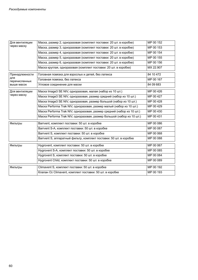| Для вентиляции       | Маска, размер 2, одноразовая (комплект поставки: 20 шт. в коробке)     | MP 00 152 |
|----------------------|------------------------------------------------------------------------|-----------|
| через маску          | Маска, размер 3, одноразовая (комплект поставки: 20 шт. в коробке)     | MP 00 153 |
|                      | Маска, размер 4, одноразовая (комплект поставки: 20 шт. в коробке)     | MP 00 154 |
|                      | Маска, размер 5, одноразовая (комплект поставки: 20 шт. в коробке)     | MP 00 155 |
|                      | Маска, размер 6, одноразовая (комплект поставки: 20 шт. в коробке)     | MP 00 156 |
|                      | Маска круглая, одноразовая (комплект поставки: 20 шт. в коробке)       | MX 22.907 |
| Принадлежности       | Головная повязка для взрослых и детей, без латекса                     | 84 10 472 |
| для<br>перечисленных | Головная повязка, без латекса                                          | MP 00 167 |
| выше масок           | Угловое соединение для маски                                           | 84 09 683 |
| Для вентиляции       | Маска Image3 SE NIV, одноразовая, малая (набор из 10 шт.)              | MP 00 426 |
| через маску          | Маска Image3 SE NIV, одноразовая, размер средний (набор из 10 шт.)     | MP 00 427 |
|                      | Маска Image3 SE NIV, одноразовая, размер большой (набор из 10 шт.)     | MP 00 428 |
|                      | Маска Performa Trak NIV, одноразовая, размер малый (набор из 10 шт.)   | MP 00 429 |
|                      | Маска Performa Trak NIV, одноразовая, размер средний (набор из 10 шт.) | MP 00 430 |
|                      | Маска Performa Trak NIV, одноразовая, размер большой (набор из 10 шт.) | MP 00 431 |
| Фильтры              | Barrvent, комплект поставки: 50 шт. в коробке                          | MP 00 086 |
|                      | Barrvent S-A, комплект поставки: 50 шт. в коробке                      | MP 00 087 |
|                      | Barrvent S, комплект поставки: 50 шт. в коробке                        | MP 00 068 |
|                      | Barrvent S, аппаратный фильтр, комплект поставки: 50 шт. в коробке     | MP 00 088 |
| Фильтры              | Hygrovent, комплект поставки: 50 шт. в коробке                         | MP 00 067 |
|                      | Hygrovent S-A, комплект поставки: 50 шт. в коробке                     | MP 00 085 |
|                      | Hygrovent S, комплект поставки: 50 шт. в коробке                       | MP 00 084 |
|                      | Hygrovent Child, комплект поставки: 50 шт. в коробке                   | MP 00 089 |
| Фильтры              | Climavent S, комплект поставки: 50 шт. в коробке                       | MP 00 192 |
|                      | Клапан O2 Climavent, комплект поставки: 50 шт. в коробке               | MP 00 193 |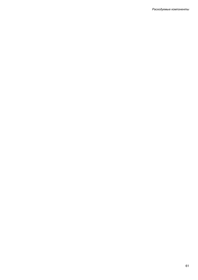*Расходуемые компоненты*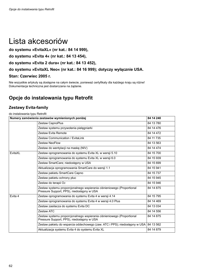# Lista akcesoriów

**do systemu »EvitaXL« (nr kat.: 84 14 999),**

**do systemu »Evita 4« (nr kat.: 84 13 454),**

**do systemu »Evita 2 dura« (nr kat.: 84 13 452),**

**do systemu »EvitaXL Neo« (nr kat.: 84 16 999); dotyczy wyłącznie USA.**

#### **Stan: Czerwiec 2005 r.**

Nie wszystkie artykuły są dostępne na całym świecie, ponieważ certyfikaty dla każdego kraju są różne! Dokumentacja techniczna jest dostarczana na żądanie.

# **Opcje do instalowania typu Retrofit**

#### **Zestawy Evita-family**

do instalowania typu Retrofit

|         | Numery zamówienia zestawów wymienionych poniżej                                                                     | 84 14 240 |
|---------|---------------------------------------------------------------------------------------------------------------------|-----------|
|         | Zestaw CapnoPlus                                                                                                    | 84 13 780 |
|         | Zestaw systemu przywołania pielęgniarki                                                                             | 84 14 476 |
|         | Zestaw Evita Remote                                                                                                 | 84 14 472 |
|         | Zestaw Communication / EvitaLink                                                                                    | 84 11 735 |
|         | Zestaw NeoFlow                                                                                                      | 84 13 563 |
|         | Zestaw do wentylacji na maskę (NIV)                                                                                 | 84 14 474 |
| EvitaXL | Zestaw oprogramowania do systemu Evita XL w wersji 5.10                                                             | 84 15 700 |
|         | Zestaw oprogramowania do systemu Evita XL w wersji 6.0                                                              | 84 15 939 |
|         | Zestaw SmartCare; niedostępny w USA                                                                                 | 84 15 699 |
|         | Aktualizacja oprogramowania SmartCare do wersji 1.1                                                                 | 84 15 941 |
|         | Zestaw pakietu SmartCare Capno                                                                                      | 84 15 737 |
|         | Zestaw pakietu ochrony płuc                                                                                         | 84 15 945 |
|         | Zestaw do terapii O2                                                                                                | 84 15 946 |
|         | Zestaw systemu proporcjonalnego wspierania ciśnieniowego (Proportional<br>Pressure Support, PPS), niedostępny w USA | 84 14 875 |
| Evita 4 | Zestaw oprogramowania do systemu Evita 4 w wersji 4.14                                                              | 84 15 795 |
|         | Zestaw oprogramowania do systemu Evita 4 w wersji 4.0 Plus                                                          | 84 14 469 |
|         | Zestaw zasilacza do systemu Evita DC                                                                                | 84 13 034 |
|         | Zestaw ATC                                                                                                          | 84 14 556 |
|         | Zestaw systemu proporcjonalnego wspierania ciśnieniowego (Proportional<br>Pressure Support, PPS), niedostępny w USA | 84 14 875 |
|         | Zestaw pakietu do wsparcia oddechowego (zaw. ATC i PPS); niedostępny w USA                                          | 84 13 562 |
|         | Aktualizacja systemu Evita 4 do systemu Evita XL                                                                    | 84 14 879 |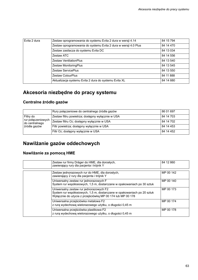| Evita 2 dura | Zestaw oprogramowania do systemu Evita 2 dura w wersji 4.14     | 84 15 794 |
|--------------|-----------------------------------------------------------------|-----------|
|              | Zestaw oprogramowania do systemu Evita 2 dura w wersji 4.0 Plus | 84 14 470 |
|              | Zestaw zasilacza do systemu Evita DC                            | 84 13 034 |
|              | Zestaw ATC                                                      | 84 14 556 |
|              | <b>Zestaw VentilationPlus</b>                                   | 84 13 540 |
|              | Zestaw MonitoringPlus                                           | 84 13 545 |
|              | Zestaw ServicePlus                                              | 84 13 550 |
|              | <b>Zestaw ColourPlus</b>                                        | 84 11 888 |
|              | Aktualizacja systemu Evita 2 dura do systemu Evita XL           | 84 14 880 |

# **Akcesoria niezbędne do pracy systemu**

### **Centralne źródło gazów**

|                                                                            | Rury połączeniowe do centralnego źródła gazów     | 86 01 697 |
|----------------------------------------------------------------------------|---------------------------------------------------|-----------|
| ∣ Filtry do<br>rur połączeniowych<br>do centralnego<br><b>źródła gazów</b> | Zestaw filtru powietrza; dostępny wyłącznie w USA | 84 14 703 |
|                                                                            | Zestaw filtru O2; dostępny wyłącznie w USA        | 84 14 702 |
|                                                                            | Filtr powietrza; dostępny wyłącznie w USA         | 84 14 453 |
|                                                                            | Filtr O <sub>2</sub> ; dostępny wyłącznie w USA   | 84 14 452 |

# **Nawilżanie gazów oddechowych**

### **Nawilżanie za pomocą HME**

|  | Zestaw rur firmy Dräger do HME, dla dorosłych,<br>zawierający rury dla pacjenta i trójnik Y                                                                                      | 84 12 860 |
|--|----------------------------------------------------------------------------------------------------------------------------------------------------------------------------------|-----------|
|  | Zestaw jednorazowych rur do HME, dla dorosłych,<br>zawierający 2 rury dla pacjenta i trójnik Y                                                                                   | MP 00 142 |
|  | Uniwersalny zestaw rur jednorazowych F<br>System rur współosiowych, 1,5 m, dostarczane w opakowaniach po 30 sztuk                                                                | MP 00 140 |
|  | Uniwersalny zestaw rur jednorazowych F2<br>System rur współosiowych, 1,5 m, dostarczane w opakowaniach po 20 sztuk<br>Wyłącznie do użycia z przejściówką MP 00 174 lub MP 00 178 | MP 00 173 |
|  | Uniwersalna przejściówka metalowa F2<br>z rurą wydechową wielorazowego użytku, o długości 0,45 m                                                                                 | MP 00 174 |
|  | Uniwersalna przejściówka plastikowa F2<br>z rurą wydechową wielorazowego użytku, o długości 0,45 m                                                                               | MP 00 178 |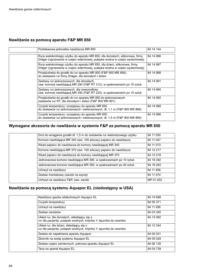### **Nawilżanie za pomocą aparatu F&P MR 850**

|  | Podstawowa jednostka nawilżacza MR 850                                                                                                                     | 84 14 144 |
|--|------------------------------------------------------------------------------------------------------------------------------------------------------------|-----------|
|  |                                                                                                                                                            |           |
|  | Rura wielokrotnego użytku do aparatu MR 850, dla dorosłych, silikonowa, firmy<br>Dräger (ogrzewanie w części wdechowej, pułapka wodna w części wydechowej) | 84 14 986 |
|  | Rura wielokrotnego użytku do aparatu MR 850, dla dzieci, silikonowa, firmy<br>Dräger (ogrzewanie w części wdechowej, pułapka wodna w części wydechowej)    | 84 14 987 |
|  | Przejściówka do grzałki do rur aparatu MR 850 (F&P 900 MR 858)<br>do zestawów rur firmy Dräger, dla dorosłych i dzieci                                     | 84 14 968 |
|  | Zestawy rur jednorazowych, dla dorosłych,<br>zaw. komorę nawilżającą MR 290 (F&P RT 212), w opakowaniach po 10 sztuk                                       | 84 14 991 |
|  | Zestawy rur jednorazowych, dla noworodków,<br>zaw. komorę nawilżającą MR 290 (F&P RT 225), w opakowaniach po 10 sztuk                                      | 84 14 994 |
|  | Przejściówka do grzałki do rur aparatu MR 850 do jednorazowych<br>zestawów rur RT, dla dorosłych i dzieci (F&P 900 MR 801)                                 | 84 14 992 |
|  | Czujnik temperatury i przepływu do aparatu MR 850<br>do zestawów rur jednorazowych i wielorazowych, dł. 1,1 m (F&P 900 MR 868)                             | 84 14 989 |
|  | Czujnik temperatury i przepływu do aparatu MR 850<br>do zestawów rur jednorazowych i wielorazowych, dł. 1,5 m (F&P 900 MR 869)                             | 84 14 966 |

### **Wymagane akcesoria do nawilżania w systemie F&P za pomocą aparatu MR 850**

|  | Drut do wciągania grzałki dł. 1,5 m do zestawów rur wielorazowego użytku | 84 11 050 |
|--|--------------------------------------------------------------------------|-----------|
|  | Komora nawilżająca MR 340 zaw. 100 arkuszy papieru do nawilżacza         | 84 11 047 |
|  | Wsad papieru do nawilżacza do komory nawilżającej MR 340                 | 84 11 073 |
|  | Komora nawilżająca MR 370 zaw. 100 arkuszy papieru do nawilżacza         | 84 12 217 |
|  | Wsad papieru do nawilżacza do komory nawilżającej MR 370                 | 84 12 218 |
|  | Jednorazowa komora nawilżająca MR 290, w opakowaniach po 10 sztuk        | 84 18 282 |
|  | Jednorazowa komora nawilżająca MR 290, w opakowaniach po 40 sztuk        | 84 18 283 |
|  | Uchwyt na nawilżacz                                                      | 84 11 956 |
|  | Zestaw montażowy (zacisk na szynę)                                       | 84 11 074 |
|  | Uchwyt na nawilżacz F&P, zaw. zacisk                                     | MP 01 002 |
|  |                                                                          |           |

### **Nawilżanie za pomocą systemu Aquapor EL (niedostępny w USA)**

|  | Nawilżacz gazów oddechowych Aquapor EL                                                                            | 84 14 698 |
|--|-------------------------------------------------------------------------------------------------------------------|-----------|
|  | Czujnik temperatury                                                                                               | 84 05 371 |
|  | Uchwyt na nawilżacz                                                                                               | 84 11 956 |
|  | Zestaw zacisków                                                                                                   | 84 03 345 |
|  | Układ rur, dla dorosłych, składający się z:<br>rur dla pacjenta, pułapek wodnych, trójnika Y, łącznika do cewnika | 84 12 092 |
|  | Układ rur, dla dzieci, składający się z:<br>rur dla pacjenta, pułapek wodnych, trójnika Y, łącznika do cewnika    | 84 12 344 |
|  | Zestaw do napełniania aparatu Aguapor                                                                             | 84 05 031 |
|  | Zbiornik na wodę systemu Aquapor EL                                                                               | 84 05 029 |
|  | Zestaw części zamiennych, pokrywa aparatu Aquapor EL                                                              | 84 06 135 |
|  | Taca na aparat Aguapor EL                                                                                         | 84 04 739 |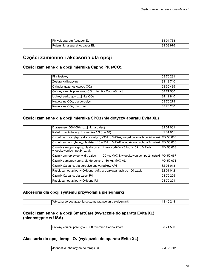|  | Plywak aparatu Aguapor EL       | 738<br>-04<br>84 |
|--|---------------------------------|------------------|
|  | I Poiemnik na aparat Aquapor EL | 84 03 976        |

## **Części zamienne i akcesoria dla opcji**

**Części zamienne dla opcji miernika Capno Plus/CO2**

|  | Filtr testowy                                                | 68 70 281 |
|--|--------------------------------------------------------------|-----------|
|  | Zestaw kalibracyjny                                          | 84 12 710 |
|  | Cylinder gazu testowego CO2                                  | 68 50 435 |
|  | Główny czujnik przepływu CO <sub>2</sub> miernika CapnoSmart | 68 71 500 |
|  | Uchwyt parkujący czujnika CO2                                | 84 12 840 |
|  | Kuweta na CO <sub>2</sub> , dla dorosłych                    | 68 70 279 |
|  | Kuweta na CO <sub>2</sub> , dla dzieci                       | 68 70 280 |

#### **Części zamienne dla opcji miernika SPO2 (nie dotyczy aparatu Evita XL)**

|  | Durasensor DS-100A (czujnik na palec)                                                                  | 82 01 001 |
|--|--------------------------------------------------------------------------------------------------------|-----------|
|  | Kabel przedłużający do czujnika 1,3 (0 – 10)                                                           | 82 01 015 |
|  | Czujnik samoprzylepny, dla dorosłych, >30 kg, MAX-A, w opakowaniach po 24 sztuki   MX 50 065           |           |
|  | Czujnik samoprzylepny, dla dzieci, 10 – 50 kg, MAX-P, w opakowaniach po 24 sztuki   MX 50 066          |           |
|  | Czujnik samoprzylepny, dla dorosłych i noworodków <3 lub >40 kg, MAX-N,<br>w opakowaniach po 24 sztuki | MX 50 068 |
|  | Czujnik samoprzylepny, dla dzieci, 1 – 20 kg, MAX-I, w opakowaniach po 24 sztuki   MX 50 067           |           |
|  | Czujnik samoprzylepny, dla dorosłych, >30 kg, MAX-AL                                                   | MX 50 071 |
|  | Czujnik Oxiband, dla dorosłych/noworodków A/N                                                          | 82 01 013 |
|  | Pasek samoprzylepny Oxiband, A/N, w opakowaniach po 100 sztuk                                          | 82 01 012 |
|  | Czujnik Oxiband, dla dzieci P/I                                                                        | 21 70 205 |
|  | Pasek samoprzylepny Oxiband P/I                                                                        | 21 70 221 |

#### **Akcesoria dla opcji systemu przywołania pielęgniarki**

| Wtvc:<br>nelegniarki v<br>czenia<br>przywołania<br>czka<br>dc<br>pogracz<br>svster<br>nu | אי |
|------------------------------------------------------------------------------------------|----|
|------------------------------------------------------------------------------------------|----|

#### **Części zamienne dla opcji SmartCare (wyłącznie do aparatu Evita XL) (niedostępne w USA)**

| I Główny czujnik przepływu CO2 miernika CapnoSmart | 500<br>68 |
|----------------------------------------------------|-----------|
|                                                    |           |

### **Akcesoria do opcji terapii O2 (wyłącznie do aparatu Evita XL)**

|--|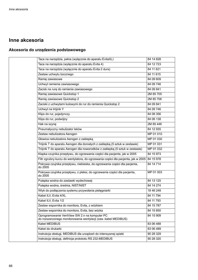# **Inne akcesoria**

# **Akcesoria do urządzenia podstawowego**

| Taca na narzędzia, pełna (wyłącznie do aparatu EvitaXL)                                                         | 84 14 828 |
|-----------------------------------------------------------------------------------------------------------------|-----------|
| Taca na narzędzia (wyłącznie do aparatu Evita 4)                                                                | 84 12 723 |
| Taca na narzędzia (wyłącznie do aparatu Evita 2 dura)                                                           | 84 11 621 |
| Zestaw uchwytu bocznego                                                                                         | 84 11 615 |
| Ramię zawiasowe                                                                                                 | 84 09 609 |
| Uchwyt ramienia zawiasowego                                                                                     | 84 09 746 |
| Zacisk na rurę do ramienia zawiasowego                                                                          | 84 09 841 |
| Ramię zawiasowe Quickstop 1                                                                                     | 2M 85 705 |
| Ramię zawiasowe Quickstop 2                                                                                     | 2M 85 706 |
| Zaciski z uchwytami kulowymi do rur do ramienia Quickstop 2                                                     | 84 09 841 |
| Uchwyt na trójnik Y                                                                                             | 84 09 746 |
| Klips do rur, pojedynczy                                                                                        | 84 08 356 |
| Klips do rur, podwójny                                                                                          | 84 06 138 |
| Hak na szynę                                                                                                    | 2M 85 446 |
| Pneumatyczny nebulizator leków                                                                                  | 84 12 935 |
| Zestaw nebulizatora Aerogen                                                                                     | MP 01 010 |
| Głowica nebulizatora Aerogen z zaślepką                                                                         | MP 01 030 |
| Trójnik T do aparatu Aerogen dla dorosłych z zaślepką (5 sztuk w zestawie)                                      | MP 01 031 |
| Trójnik T do aparatu Aerogen dla noworodków z zaślepką (5 sztuk w zestawie)                                     | MP 01 032 |
| Klapka czujnika przepływu, do ogrzewania części dla pacjenta, jak w 2005                                        | 84 15 973 |
| Filtr zgrubny kurzu do wentylatora, do ogrzewania części dla pacjenta, jak w 2005                               | 84 15 978 |
| Pokrywa czujnika przepływu, niebieska, do ogrzewania części dla pacjenta,<br>do 2005                            | 84 14 714 |
| Pokrywa czujnika przepływu, z pleksi, do ogrzewania części dla pacjenta,<br>do 2005                             | MP 01 003 |
| Pułapka wodna do zastawki wydechowej                                                                            | 84 13 125 |
| Pułapka wodna, średnia, NIST/NIST                                                                               | 84 14 274 |
| Wtyk do podłączenia systemu przywołania pielęgniarki                                                            | 18 46 248 |
| Kabel ILV, Evita 4/XL                                                                                           | 84 11 794 |
| Kabel ILV, Evita 1/2                                                                                            | 84 11 793 |
| Zestaw wspornika do monitora, Evita, z wózkiem                                                                  | 84 15 787 |
| Zestaw wspornika do monitora, Evita, bez wózka                                                                  | 84 15 850 |
| Oprogramowanie VentView SW 2.n na komputer PC<br>do rozszerzonego monitorowania wentylacji (zaw. kabel MEDIBUS) | 84 15 909 |
| Kabel MEDIBUS                                                                                                   | 83 06 488 |
| Kabel do drukarki                                                                                               | 83 06 489 |
| Instrukcja obsługi, MEDIBUS dla urządzeń do intensywnej opieki                                                  | 90 28 329 |
| Instrukcja obsługi, definicja protokołu RS 232-MEDIBUS                                                          | 90 28 320 |
|                                                                                                                 |           |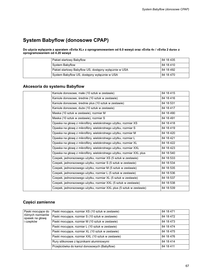# **System Babyflow (donosowe CPAP)**

**Do użycia wyłącznie z aparatem »Evita XL« z oprogramowaniem od 6.0 wzwyż oraz »Evita 4« / »Evita 2 dura« z oprogramowaniem od 4.20 wzwyż**

|  | Pakiet startowy Babyflow                              | 84 18 435 |
|--|-------------------------------------------------------|-----------|
|  | System Babyflow                                       | 84 18 410 |
|  | Pakiet startowy Babyflow US, dostępny wyłącznie w USA | 84 18 492 |
|  | System Babyflow US, dostępny wyłącznie w USA          | 84 18 470 |

#### **Akcesoria do systemu Babyflow**

| Kaniule donosowe, małe (10 sztuk w zestawie)                         | 84 18 415  |
|----------------------------------------------------------------------|------------|
| Kaniule donosowe, średnie (10 sztuk w zestawie)                      | 84 18 416  |
| Kaniule donosowe, średnie plus (10 sztuk w zestawie)                 | 84 18 531  |
| Kaniule donosowe, duże (10 sztuk w zestawie)                         | 84 18 417  |
| Maska (10 sztuk w zestawie), rozmiar M                               | 84 18 490  |
| Maska (10 sztuk w zestawie), rozmiar S                               | 84 18 491  |
| Opaska na głowę z mikrofibry, wielokrotnego użytku, rozmiar XS       | 84 18 418  |
| Opaska na głowę z mikrofibry, wielokrotnego użytku, rozmiar S        | 84 18 419  |
| Opaska na głowę z mikrofibry, wielokrotnego użytku, rozmiar M        | 84 18 4 20 |
| Opaska na głowę z mikrofibry, wielokrotnego użytku, rozmiar L        | 84 18 4 21 |
| Opaska na głowę z mikrofibry, wielokrotnego użytku, rozmiar XL       | 84 18 422  |
| Opaska na głowę z mikrofibry, wielokrotnego użytku, rozmiar XXL      | 84 18 423  |
| Opaska na głowę z mikrofibry, wielokrotnego użytku, rozmiar XXL plus | 84 18 540  |
| Czepek, jednorazowego użytku, rozmiar XS (5 sztuk w zestawie)        | 84 18 533  |
| Czepek, jednorazowego użytku, rozmiar S (5 sztuk w zestawie)         | 84 18 534  |
| Czepek, jednorazowego użytku, rozmiar M (5 sztuk w zestawie)         | 84 18 535  |
| Czepek, jednorazowego użytku, rozmiar L (5 sztuk w zestawie)         | 84 18 536  |
| Czepek, jednorazowego użytku, rozmiar XL (5 sztuk w zestawie)        | 84 18 537  |
| Czepek, jednorazowego użytku, rozmiar XXL (5 sztuk w zestawie)       | 84 18 538  |
| Czepek, jednorazowego użytku, rozmiar XXL plus (5 sztuk w zestawie)  | 84 18 539  |

#### **Części zamienne**

| Paski mocujące do<br>różnych rozmiarów<br>opasek na głowę | Paski mocujące, rozmiar XS (10 sztuk w zestawie)  | 84 18 471  |
|-----------------------------------------------------------|---------------------------------------------------|------------|
|                                                           | Paski mocujące, rozmiar S (10 sztuk w zestawie)   | 84 18 472  |
| i czepków                                                 | Paski mocujące, rozmiar M (10 sztuk w zestawie)   | 84 18 473  |
|                                                           | Paski mocujące, rozmiar L (10 sztuk w zestawie)   | 84 18 474  |
|                                                           | Paski mocujące, rozmiar XL (10 sztuk w zestawie)  | 84 18 475  |
|                                                           | Paski mocujące, rozmiar XXL (10 sztuk w zestawie) | 84 18 476  |
|                                                           | Rury silikonowe z łącznikami aluminiowymi         | 84 18 4 14 |
|                                                           | Przejściówka do kaniul donosowych (Babyflow)      | 84 18 411  |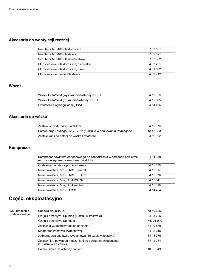### **Akcesoria do wentylacji ręcznej**

| Resutator MR-100 dla dorosłych           | 57 02 881 |
|------------------------------------------|-----------|
| Resutator MR-100 dla dzieci              | 57 02 321 |
| Resutator MR-100 dla noworodków          | 57 02 322 |
| Płuco testowe, dla dorosłych, niebieskie | 84 03 201 |
| Płuco testowe, dla dorosłych, białe      | 84 01 892 |
| Płuco testowe, pełne, dla dzieci         | 84 09 742 |

#### **Wózek**

| Wózek EvitaMobil (wysoki); niedostępny w USA | 84 11 950 |
|----------------------------------------------|-----------|
| Wózek EvitaMobil (niski); niedostępny w USA  | 84 11 965 |
| EvitaMobil z wysięgnikiem (USA)              | 84 14 455 |

#### **Akcesoria do wózka**

| Zestaw uchwytu butli, EvitaMobil                                      | 84 11 970 |
|-----------------------------------------------------------------------|-----------|
| Bateria pradu stałego, 12 V/17 Ah (1 sztuka w opakowaniu, wymagane 2) | 18 43 303 |
| ' Zestaw kabli do baterii do wózka EvitaMobil                         | 84 11 822 |

#### **Kompresor**

|  | Kompresor powietrza oddechowego do zaopatrzenia w sprężone powietrze,<br>można zintegrować z wózkiem EvitaMobil | 84 14 350   |
|--|-----------------------------------------------------------------------------------------------------------------|-------------|
|  | Oddzielna podstawa pod kompresor                                                                                | l 84 11 520 |
|  | Rura powietrza, 0,8 m, NIST neutral                                                                             | 84 11 517   |
|  | Rura powietrza, 0,8 m, NIST ISO 32                                                                              | 84 11 538   |
|  | Rura powietrza, 5 m, NIST ISO 32                                                                                | 84 11 541   |
|  | Rura powietrza, 5 m, NIST neutral                                                                               | l 84 11 519 |
|  | Rura powietrza, 0,8 m, DISS                                                                                     | 84 14 454   |

# **Części eksploatacyjne**

| Do urządzenia<br>podstawowego | Kapsuła czujnika O2                                                                     | 68 50 645 |
|-------------------------------|-----------------------------------------------------------------------------------------|-----------|
|                               | Czujnik przepływu Spirolog (5 sztuk w zestawie)                                         | 84 03 735 |
|                               | Czujnik przepływu SpiroLife                                                             | MK 01 900 |
|                               | Zastawka wydechowa (układ pacjenta)                                                     | 84 10 580 |
|                               | Membrana zastawki wydechowej                                                            | 84 12 015 |
|                               | Jednorazowa zastawka wydechowa (10 sztuk w zestawie)                                    | 84 14 776 |
|                               | Zestaw filtru powietrza otoczenia/filtru powietrza chłodzącego<br>(10 sztuk w zestawie) | 84 12 384 |
|                               | Baterie litowe do ochrony danych                                                        | 18 35 343 |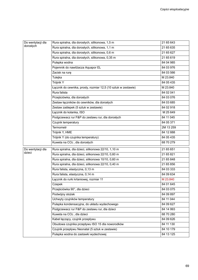| Do wentylacji dla | Rura spiralna, dla dorosłych, silikonowa, 1,5 m                | 21 65 643 |
|-------------------|----------------------------------------------------------------|-----------|
| dorosłych         | Rura spiralna, dla dorosłych, silikonowa, 1,1 m                | 21 65 635 |
|                   | Rura spiralna, dla dorosłych, silikonowa, 0,6 m                | 21 65 627 |
|                   | Rura spiralna, dla dorosłych, silikonowa, 0,35 m               | 21 65 619 |
|                   | Pułapka wodna                                                  | 84 04 985 |
|                   | Pojemnik do nawilżacza Aquapor EL                              | 84 03 976 |
|                   | Zacisk na rurę                                                 | 84 03 566 |
|                   | Tulejka                                                        | M 23.840  |
|                   | Trójnik Y                                                      | 84 05 435 |
|                   | Łącznik do cewnika, prosty, rozmiar 12,5 (10 sztuk w zestawie) | M 23.840  |
|                   | Rura falista                                                   | 84 02 041 |
|                   | Przejściówka, dla dorosłych                                    | 84 03 076 |
|                   | Zestaw łączników do cewników, dla dorosłych                    | 84 03 685 |
|                   | Zestaw zaślepek (5 sztuk w zestawie)                           | 84 02 918 |
|                   | Łącznik do kolanka, ISO                                        | M 25 649  |
|                   | Podgrzewacz rur F&P do zestawu rur, dla dorosłych              | 84 11 045 |
|                   | Czujnik temperatury                                            | 84 05 371 |
|                   | Termometr                                                      | 2M 13 259 |
|                   | Trójnik Y, HME                                                 | 84 12 888 |
|                   | Trójnik Y (do czujnika temperatury)                            | 84 05 435 |
|                   | Kuweta na CO <sub>2</sub> , dla dorosłych                      | 68 70 279 |
| Do wentylacji dla | Rura spiralna, dla dzieci, silikonowa 22/10, 1,10 m            | 21 65 651 |
| dzieci            | Rura spiralna, dla dzieci, silikonowa 22/10, 0,60 m            | 21 65 821 |
|                   | Rura spiralna, dla dzieci, silikonowa 10/10, 0,60 m            | 21 65 848 |
|                   | Rura spiralna, dla dzieci, silikonowa 22/10, 0,40 m            | 21 65 856 |
|                   | Rura falista, elastyczna, 0,13 m                               | 84 03 333 |
|                   | Rura falista, elastyczna, 0,14 m                               | 84 09 634 |
|                   | Łącznik do rurki krtaniowej, rozmiar 11                        | M 23.840  |
|                   | Czepek                                                         | 84 01 645 |
|                   | Przejściówka 90°, dla dzieci                                   | 84 03 075 |
|                   | Podwójny stożek                                                | 84 09 897 |
|                   | Uchwyty czujników temperatury                                  | 84 11 044 |
|                   | Pułapka kondensacyjna, do układu wydechowego                   | 84 09 627 |
|                   | Podgrzewacz rur F&P do zestawu rur, dla dzieci                 | 84 14 993 |
|                   | Kuweta na CO <sub>2</sub> , dla dzieci                         | 68 70 280 |
|                   | Kabel łączący, czujnik przepływu                               | 84 09 626 |
|                   | Obudowa czujnika przepływu ISO 15 dla noworodków               | 84 11 130 |
|                   | Czujnik przepływu Neonatal (5 sztuk w zestawie)                | 84 10 179 |
|                   | Pułapka wodna do zastawki wydechowej                           | 84 13 125 |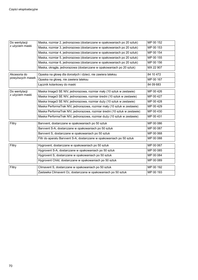| z użyciem maski<br>MP 00 153<br>Maska, rozmiar 3, jednorazowa (dostarczane w opakowaniach po 20 sztuk)<br>Maska, rozmiar 4, jednorazowa (dostarczane w opakowaniach po 20 sztuk)<br>MP 00 154<br>Maska, rozmiar 5, jednorazowa (dostarczane w opakowaniach po 20 sztuk)<br>MP 00 155<br>Maska, rozmiar 6, jednorazowa (dostarczane w opakowaniach po 20 sztuk)<br>MP 00 156<br>Maska, okrągła, jednorazowa (dostarczane w opakowaniach po 20 sztuk)<br>MX 22 907<br>Opaska na głowę dla dorosłych i dzieci, nie zawiera lateksu<br>84 10 472<br>Akcesoria do<br>powyższych masek<br>Opaska na głowę, nie zawiera lateksu<br>MP 00 167<br>Łącznik kolankowy do maski<br>84 09 683<br>MP 00 426<br>Do wentylacji<br>Maska Image3 SE NIV, jednorazowa, rozmiar mały (10 sztuk w zestawie)<br>z użyciem maski<br>Maska Image3 SE NIV, jednorazowa, rozmiar średni (10 sztuk w zestawie)<br>MP 00 427<br>Maska Image3 SE NIV, jednorazowa, rozmiar duży (10 sztuk w zestawie)<br>MP 00 428<br>MP 00 429<br>Maska PerformaTrak NIV, jednorazowa, rozmiar mały (10 sztuk w zestawie)<br>Maska PerformaTrak NIV, jednorazowa, rozmiar średni (10 sztuk w zestawie)<br>MP 00 430<br>Maska PerformaTrak NIV, jednorazowa, rozmiar duży (10 sztuk w zestawie)<br>MP 00 431<br>Barvvent, dostarczane w opakowaniach po 50 sztuk<br>Filtry<br>MP 00 086<br>Barvvent S-A, dostarczane w opakowaniach po 50 sztuk<br>MP 00 087<br>Barvvent S, dostarczane w opakowaniach po 50 sztuk<br>MP 00 068<br>Filtr do aparatu Barvvent S-A, dostarczane w opakowaniach po 50 sztuk<br>MP 00 088<br>Filtry<br>Hygrovent, dostarczane w opakowaniach po 50 sztuk<br>MP 00 067<br>Hygrovent S-A, dostarczane w opakowaniach po 50 sztuk<br>MP 00 085<br>Hygrovent S, dostarczane w opakowaniach po 50 sztuk<br>MP 00 084<br>Hygrovent Child, dostarczane w opakowaniach po 50 sztuk<br>MP 00 089<br>Climavent S, dostarczane w opakowaniach po 50 sztuk<br>MP 00 192<br>Filtry | Do wentylacji | Maska, rozmiar 2, jednorazowa (dostarczane w opakowaniach po 20 sztuk) | MP 00 152 |
|------------------------------------------------------------------------------------------------------------------------------------------------------------------------------------------------------------------------------------------------------------------------------------------------------------------------------------------------------------------------------------------------------------------------------------------------------------------------------------------------------------------------------------------------------------------------------------------------------------------------------------------------------------------------------------------------------------------------------------------------------------------------------------------------------------------------------------------------------------------------------------------------------------------------------------------------------------------------------------------------------------------------------------------------------------------------------------------------------------------------------------------------------------------------------------------------------------------------------------------------------------------------------------------------------------------------------------------------------------------------------------------------------------------------------------------------------------------------------------------------------------------------------------------------------------------------------------------------------------------------------------------------------------------------------------------------------------------------------------------------------------------------------------------------------------------------------------------------------------------------------------------------------------------------------------------------------|---------------|------------------------------------------------------------------------|-----------|
|                                                                                                                                                                                                                                                                                                                                                                                                                                                                                                                                                                                                                                                                                                                                                                                                                                                                                                                                                                                                                                                                                                                                                                                                                                                                                                                                                                                                                                                                                                                                                                                                                                                                                                                                                                                                                                                                                                                                                      |               |                                                                        |           |
|                                                                                                                                                                                                                                                                                                                                                                                                                                                                                                                                                                                                                                                                                                                                                                                                                                                                                                                                                                                                                                                                                                                                                                                                                                                                                                                                                                                                                                                                                                                                                                                                                                                                                                                                                                                                                                                                                                                                                      |               |                                                                        |           |
|                                                                                                                                                                                                                                                                                                                                                                                                                                                                                                                                                                                                                                                                                                                                                                                                                                                                                                                                                                                                                                                                                                                                                                                                                                                                                                                                                                                                                                                                                                                                                                                                                                                                                                                                                                                                                                                                                                                                                      |               |                                                                        |           |
|                                                                                                                                                                                                                                                                                                                                                                                                                                                                                                                                                                                                                                                                                                                                                                                                                                                                                                                                                                                                                                                                                                                                                                                                                                                                                                                                                                                                                                                                                                                                                                                                                                                                                                                                                                                                                                                                                                                                                      |               |                                                                        |           |
|                                                                                                                                                                                                                                                                                                                                                                                                                                                                                                                                                                                                                                                                                                                                                                                                                                                                                                                                                                                                                                                                                                                                                                                                                                                                                                                                                                                                                                                                                                                                                                                                                                                                                                                                                                                                                                                                                                                                                      |               |                                                                        |           |
|                                                                                                                                                                                                                                                                                                                                                                                                                                                                                                                                                                                                                                                                                                                                                                                                                                                                                                                                                                                                                                                                                                                                                                                                                                                                                                                                                                                                                                                                                                                                                                                                                                                                                                                                                                                                                                                                                                                                                      |               |                                                                        |           |
|                                                                                                                                                                                                                                                                                                                                                                                                                                                                                                                                                                                                                                                                                                                                                                                                                                                                                                                                                                                                                                                                                                                                                                                                                                                                                                                                                                                                                                                                                                                                                                                                                                                                                                                                                                                                                                                                                                                                                      |               |                                                                        |           |
|                                                                                                                                                                                                                                                                                                                                                                                                                                                                                                                                                                                                                                                                                                                                                                                                                                                                                                                                                                                                                                                                                                                                                                                                                                                                                                                                                                                                                                                                                                                                                                                                                                                                                                                                                                                                                                                                                                                                                      |               |                                                                        |           |
|                                                                                                                                                                                                                                                                                                                                                                                                                                                                                                                                                                                                                                                                                                                                                                                                                                                                                                                                                                                                                                                                                                                                                                                                                                                                                                                                                                                                                                                                                                                                                                                                                                                                                                                                                                                                                                                                                                                                                      |               |                                                                        |           |
|                                                                                                                                                                                                                                                                                                                                                                                                                                                                                                                                                                                                                                                                                                                                                                                                                                                                                                                                                                                                                                                                                                                                                                                                                                                                                                                                                                                                                                                                                                                                                                                                                                                                                                                                                                                                                                                                                                                                                      |               |                                                                        |           |
|                                                                                                                                                                                                                                                                                                                                                                                                                                                                                                                                                                                                                                                                                                                                                                                                                                                                                                                                                                                                                                                                                                                                                                                                                                                                                                                                                                                                                                                                                                                                                                                                                                                                                                                                                                                                                                                                                                                                                      |               |                                                                        |           |
|                                                                                                                                                                                                                                                                                                                                                                                                                                                                                                                                                                                                                                                                                                                                                                                                                                                                                                                                                                                                                                                                                                                                                                                                                                                                                                                                                                                                                                                                                                                                                                                                                                                                                                                                                                                                                                                                                                                                                      |               |                                                                        |           |
|                                                                                                                                                                                                                                                                                                                                                                                                                                                                                                                                                                                                                                                                                                                                                                                                                                                                                                                                                                                                                                                                                                                                                                                                                                                                                                                                                                                                                                                                                                                                                                                                                                                                                                                                                                                                                                                                                                                                                      |               |                                                                        |           |
|                                                                                                                                                                                                                                                                                                                                                                                                                                                                                                                                                                                                                                                                                                                                                                                                                                                                                                                                                                                                                                                                                                                                                                                                                                                                                                                                                                                                                                                                                                                                                                                                                                                                                                                                                                                                                                                                                                                                                      |               |                                                                        |           |
|                                                                                                                                                                                                                                                                                                                                                                                                                                                                                                                                                                                                                                                                                                                                                                                                                                                                                                                                                                                                                                                                                                                                                                                                                                                                                                                                                                                                                                                                                                                                                                                                                                                                                                                                                                                                                                                                                                                                                      |               |                                                                        |           |
|                                                                                                                                                                                                                                                                                                                                                                                                                                                                                                                                                                                                                                                                                                                                                                                                                                                                                                                                                                                                                                                                                                                                                                                                                                                                                                                                                                                                                                                                                                                                                                                                                                                                                                                                                                                                                                                                                                                                                      |               |                                                                        |           |
|                                                                                                                                                                                                                                                                                                                                                                                                                                                                                                                                                                                                                                                                                                                                                                                                                                                                                                                                                                                                                                                                                                                                                                                                                                                                                                                                                                                                                                                                                                                                                                                                                                                                                                                                                                                                                                                                                                                                                      |               |                                                                        |           |
|                                                                                                                                                                                                                                                                                                                                                                                                                                                                                                                                                                                                                                                                                                                                                                                                                                                                                                                                                                                                                                                                                                                                                                                                                                                                                                                                                                                                                                                                                                                                                                                                                                                                                                                                                                                                                                                                                                                                                      |               |                                                                        |           |
|                                                                                                                                                                                                                                                                                                                                                                                                                                                                                                                                                                                                                                                                                                                                                                                                                                                                                                                                                                                                                                                                                                                                                                                                                                                                                                                                                                                                                                                                                                                                                                                                                                                                                                                                                                                                                                                                                                                                                      |               |                                                                        |           |
|                                                                                                                                                                                                                                                                                                                                                                                                                                                                                                                                                                                                                                                                                                                                                                                                                                                                                                                                                                                                                                                                                                                                                                                                                                                                                                                                                                                                                                                                                                                                                                                                                                                                                                                                                                                                                                                                                                                                                      |               |                                                                        |           |
|                                                                                                                                                                                                                                                                                                                                                                                                                                                                                                                                                                                                                                                                                                                                                                                                                                                                                                                                                                                                                                                                                                                                                                                                                                                                                                                                                                                                                                                                                                                                                                                                                                                                                                                                                                                                                                                                                                                                                      |               |                                                                        |           |
|                                                                                                                                                                                                                                                                                                                                                                                                                                                                                                                                                                                                                                                                                                                                                                                                                                                                                                                                                                                                                                                                                                                                                                                                                                                                                                                                                                                                                                                                                                                                                                                                                                                                                                                                                                                                                                                                                                                                                      |               |                                                                        |           |
|                                                                                                                                                                                                                                                                                                                                                                                                                                                                                                                                                                                                                                                                                                                                                                                                                                                                                                                                                                                                                                                                                                                                                                                                                                                                                                                                                                                                                                                                                                                                                                                                                                                                                                                                                                                                                                                                                                                                                      |               |                                                                        |           |
|                                                                                                                                                                                                                                                                                                                                                                                                                                                                                                                                                                                                                                                                                                                                                                                                                                                                                                                                                                                                                                                                                                                                                                                                                                                                                                                                                                                                                                                                                                                                                                                                                                                                                                                                                                                                                                                                                                                                                      |               | Zastawka Climavent O2, dostarczana w opakowaniach po 50 sztuk          | MP 00 193 |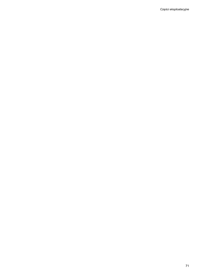*Części eksploatacyjne*